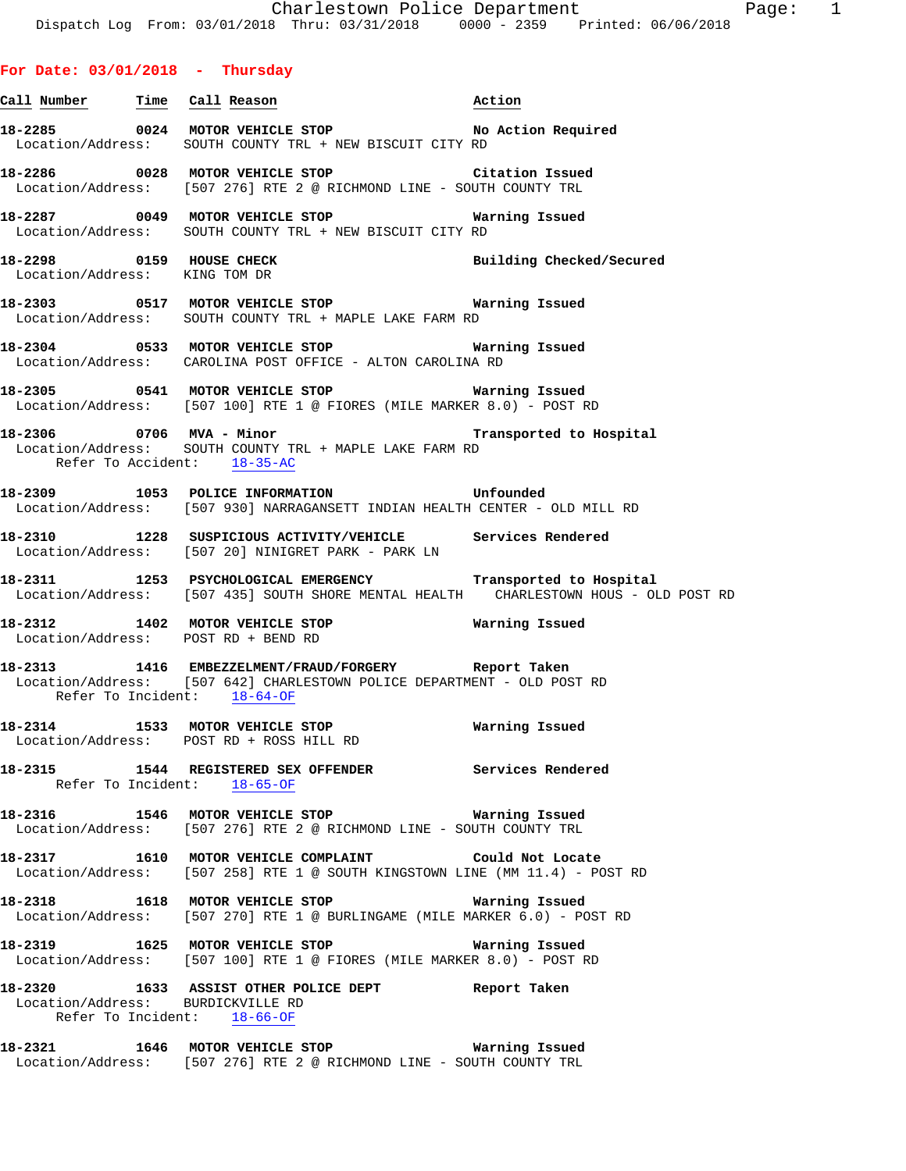## **For Date: 03/01/2018 - Thursday**

- **Call Number Time Call Reason Action 18-2285 0024 MOTOR VEHICLE STOP No Action Required**  Location/Address: SOUTH COUNTY TRL + NEW BISCUIT CITY RD
- **18-2286 0028 MOTOR VEHICLE STOP Citation Issued**  Location/Address: [507 276] RTE 2 @ RICHMOND LINE - SOUTH COUNTY TRL
- **18-2287 0049 MOTOR VEHICLE STOP Warning Issued**  Location/Address: SOUTH COUNTY TRL + NEW BISCUIT CITY RD
- **18-2298 0159 HOUSE CHECK Building Checked/Secured**  Location/Address: KING TOM DR
- **18-2303 0517 MOTOR VEHICLE STOP Warning Issued**  Location/Address: SOUTH COUNTY TRL + MAPLE LAKE FARM RD
- **18-2304 0533 MOTOR VEHICLE STOP Warning Issued**  Location/Address: CAROLINA POST OFFICE - ALTON CAROLINA RD
- **18-2305 0541 MOTOR VEHICLE STOP Warning Issued**  Location/Address: [507 100] RTE 1 @ FIORES (MILE MARKER 8.0) - POST RD
- **18-2306 0706 MVA Minor Transported to Hospital**  Location/Address: SOUTH COUNTY TRL + MAPLE LAKE FARM RD Refer To Accident: 18-35-AC
- **18-2309 1053 POLICE INFORMATION Unfounded**  Location/Address: [507 930] NARRAGANSETT INDIAN HEALTH CENTER - OLD MILL RD
- **18-2310 1228 SUSPICIOUS ACTIVITY/VEHICLE Services Rendered**  Location/Address: [507 20] NINIGRET PARK - PARK LN
- **18-2311 1253 PSYCHOLOGICAL EMERGENCY Transported to Hospital**  Location/Address: [507 435] SOUTH SHORE MENTAL HEALTH CHARLESTOWN HOUS - OLD POST RD
- **18-2312 1402 MOTOR VEHICLE STOP Warning Issued**  Location/Address: POST RD + BEND RD
- **18-2313 1416 EMBEZZELMENT/FRAUD/FORGERY Report Taken**  Location/Address: [507 642] CHARLESTOWN POLICE DEPARTMENT - OLD POST RD Refer To Incident: 18-64-OF
- **18-2314 1533 MOTOR VEHICLE STOP Warning Issued**  Location/Address: POST RD + ROSS HILL RD
- **18-2315 1544 REGISTERED SEX OFFENDER Services Rendered**  Refer To Incident: 18-65-OF
- **18-2316 1546 MOTOR VEHICLE STOP Warning Issued**  Location/Address: [507 276] RTE 2 @ RICHMOND LINE - SOUTH COUNTY TRL
- **18-2317 1610 MOTOR VEHICLE COMPLAINT Could Not Locate**  Location/Address: [507 258] RTE 1 @ SOUTH KINGSTOWN LINE (MM 11.4) - POST RD
- **18-2318 1618 MOTOR VEHICLE STOP Warning Issued**  Location/Address: [507 270] RTE 1 @ BURLINGAME (MILE MARKER 6.0) - POST RD
- **18-2319 1625 MOTOR VEHICLE STOP Warning Issued**  Location/Address: [507 100] RTE 1 @ FIORES (MILE MARKER 8.0) - POST RD
- **18-2320 1633 ASSIST OTHER POLICE DEPT Report Taken**  Location/Address: BURDICKVILLE RD Refer To Incident: 18-66-OF
- **18-2321 1646 MOTOR VEHICLE STOP Warning Issued**  Location/Address: [507 276] RTE 2 @ RICHMOND LINE - SOUTH COUNTY TRL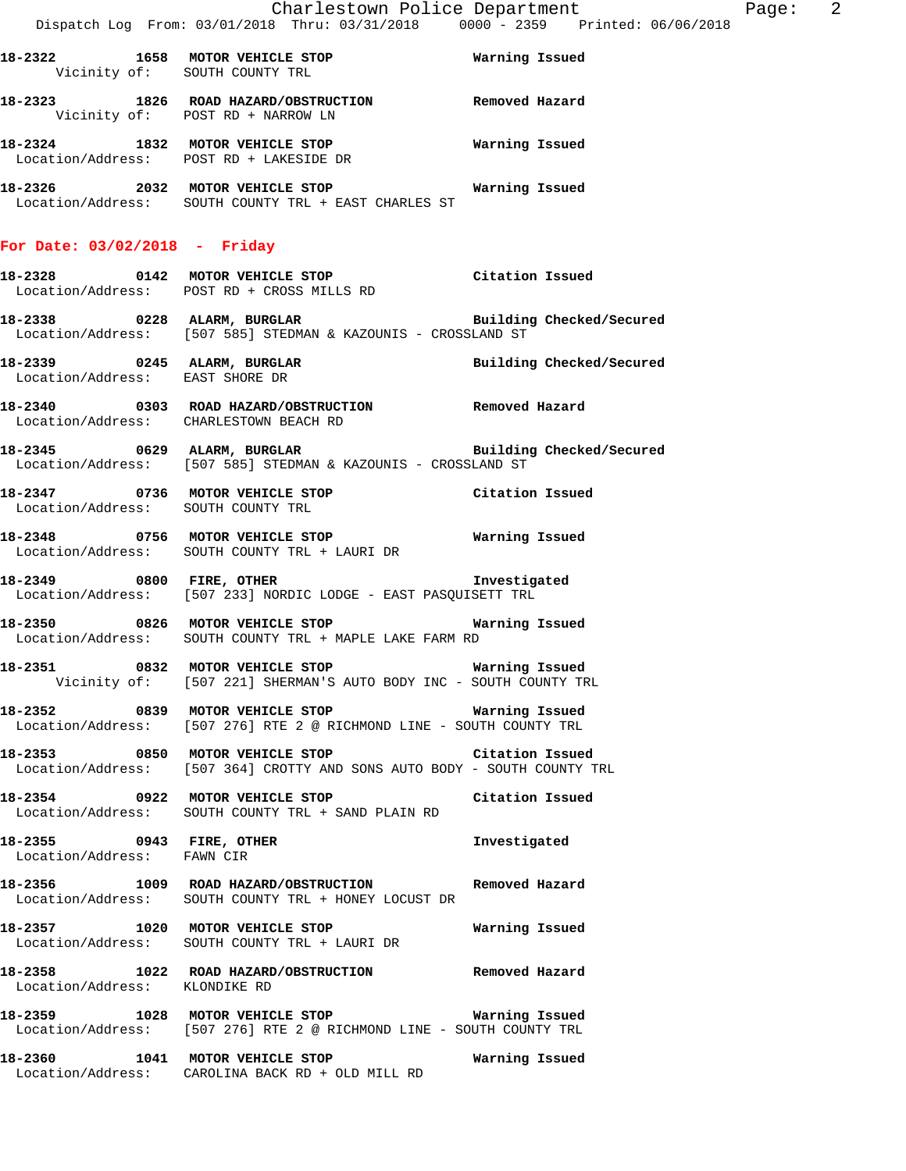|                                        | Dispatch Log From: 03/01/2018 Thru: 03/31/2018  0000 - 2359  Printed: 06/06/2018                                                 | Charlestown Police Department | Page: 2 |  |
|----------------------------------------|----------------------------------------------------------------------------------------------------------------------------------|-------------------------------|---------|--|
| Vicinity of: SOUTH COUNTY TRL          | 18-2322 1658 MOTOR VEHICLE STOP <b>STOP</b> Warning Issued                                                                       |                               |         |  |
|                                        | 18-2323 1826 ROAD HAZARD/OBSTRUCTION Removed Hazard<br>Vicinity of: POST RD + NARROW LN                                          |                               |         |  |
|                                        | 18-2324 1832 MOTOR VEHICLE STOP 6 Warning Issued<br>Location/Address: POST RD + LAKESIDE DR                                      |                               |         |  |
|                                        | Location/Address: SOUTH COUNTY TRL + EAST CHARLES ST                                                                             |                               |         |  |
| For Date: $03/02/2018$ - Friday        |                                                                                                                                  |                               |         |  |
|                                        | 18-2328      0142  MOTOR VEHICLE STOP           Citation Issued<br>Location/Address: POST RD + CROSS MILLS RD                    |                               |         |  |
|                                        | Location/Address: [507 585] STEDMAN & KAZOUNIS - CROSSLAND ST                                                                    |                               |         |  |
| Location/Address: EAST SHORE DR        | 18-2339 0245 ALARM, BURGLAR <b>BURGLAR</b> Building Checked/Secured                                                              |                               |         |  |
| Location/Address: CHARLESTOWN BEACH RD | 18-2340  0303  ROAD HAZARD/OBSTRUCTION  Removed Hazard                                                                           |                               |         |  |
|                                        | Location/Address: [507 585] STEDMAN & KAZOUNIS - CROSSLAND ST                                                                    |                               |         |  |
|                                        | 18-2347 0736 MOTOR VEHICLE STOP Citation Issued<br>Location/Address: SOUTH COUNTY TRL                                            |                               |         |  |
|                                        | 18-2348 0756 MOTOR VEHICLE STOP <b>Exam Properties Alterator Marning Issued</b><br>Location/Address: SOUTH COUNTY TRL + LAURI DR |                               |         |  |
| 18-2349 0800 FIRE, OTHER               | Location/Address: [507 233] NORDIC LODGE - EAST PASQUISETT TRL                                                                   | Investigated                  |         |  |
|                                        | 18-2350 0826 MOTOR VEHICLE STOP <b>18-2350</b> Warning Issued<br>Location/Address: SOUTH COUNTY TRL + MAPLE LAKE FARM RD         |                               |         |  |
|                                        | Vicinity of: [507 221] SHERMAN'S AUTO BODY INC - SOUTH COUNTY TRL                                                                |                               |         |  |
|                                        | 18-2352 6839 MOTOR VEHICLE STOP Narning Issued<br>Location/Address: [507 276] RTE 2 @ RICHMOND LINE - SOUTH COUNTY TRL           |                               |         |  |
|                                        | 18-2353 6850 MOTOR VEHICLE STOP Citation Issued<br>Location/Address: [507 364] CROTTY AND SONS AUTO BODY - SOUTH COUNTY TRL      |                               |         |  |
|                                        | 18-2354 0922 MOTOR VEHICLE STOP Citation Issued<br>Location/Address: SOUTH COUNTY TRL + SAND PLAIN RD                            |                               |         |  |
| Location/Address: FAWN CIR             | 18-2355 0943 FIRE, OTHER                                                                                                         | Investigated                  |         |  |
|                                        | 18-2356 1009 ROAD HAZARD/OBSTRUCTION Removed Hazard<br>Location/Address: SOUTH COUNTY TRL + HONEY LOCUST DR                      |                               |         |  |
|                                        | 18-2357 1020 MOTOR VEHICLE STOP<br>Location/Address: SOUTH COUNTY TRL + LAURI DR                                                 | Warning Issued                |         |  |
| Location/Address: KLONDIKE RD          | 18-2358 1022 ROAD HAZARD/OBSTRUCTION Removed Hazard                                                                              |                               |         |  |
|                                        | 18-2359 1028 MOTOR VEHICLE STOP <b>Warning Issued</b><br>Location/Address: [507 276] RTE 2 @ RICHMOND LINE - SOUTH COUNTY TRL    |                               |         |  |
|                                        | 18-2360 1041 MOTOR VEHICLE STOP <b>Warning Issued</b><br>Location/Address: CAROLINA BACK RD + OLD MILL RD                        |                               |         |  |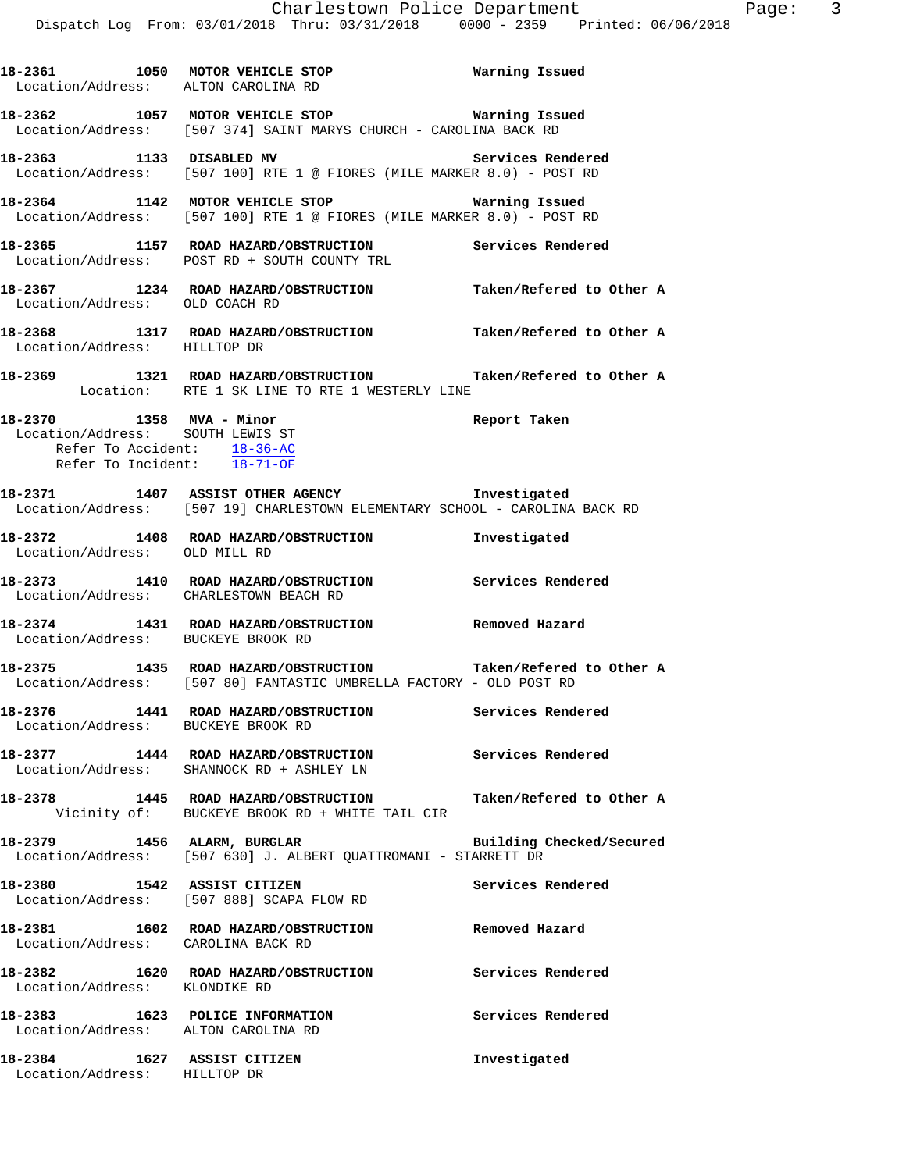| 18-2361 1050 MOTOR VEHICLE STOP                                        | Warning Issued                                                                                                                       |                          |
|------------------------------------------------------------------------|--------------------------------------------------------------------------------------------------------------------------------------|--------------------------|
|                                                                        | Location/Address: ALTON CAROLINA RD                                                                                                  |                          |
|                                                                        | 18-2362 1057 MOTOR VEHICLE STOP <b>Marning Issued</b><br>Location/Address: [507 374] SAINT MARYS CHURCH - CAROLINA BACK RD           |                          |
|                                                                        | 18-2363 1133 DISABLED MV 3ervices Rendered<br>Location/Address: [507 100] RTE 1 @ FIORES (MILE MARKER 8.0) - POST RD                 |                          |
|                                                                        | 18-2364 1142 MOTOR VEHICLE STOP<br>Location/Address: [507 100] RTE 1 @ FIORES (MILE MARKER 8.0) - POST RD                            | Warning Issued           |
|                                                                        | 18-2365 1157 ROAD HAZARD/OBSTRUCTION Services Rendered<br>Location/Address: POST RD + SOUTH COUNTY TRL                               |                          |
|                                                                        | 18-2367 1234 ROAD HAZARD/OBSTRUCTION Taken/Refered to Other A Location/Address: OLD COACH RD                                         |                          |
|                                                                        | 18-2368 1317 ROAD HAZARD/OBSTRUCTION Taken/Refered to Other A Location/Address: HILLTOP DR                                           |                          |
|                                                                        | 18-2369 1321 ROAD HAZARD/OBSTRUCTION Taken/Refered to Other A<br>Location: RTE 1 SK LINE TO RTE 1 WESTERLY LINE                      |                          |
| Refer To Accident: $18-36-AC$<br>Refer To Incident: 18-71-OF           | 1358 MVA - Minor<br>Location/Address: SOUTH LEWIS ST<br>Location/Address: SOUTH LEWIS ST                                             |                          |
|                                                                        | 18-2371 1407 ASSIST OTHER AGENCY 10 Investigated<br>Location/Address: [507 19] CHARLESTOWN ELEMENTARY SCHOOL - CAROLINA BACK RD      |                          |
|                                                                        | 18-2372 1408 ROAD HAZARD/OBSTRUCTION Investigated<br>Location/Address: OLD MILL RD                                                   |                          |
|                                                                        | 18-2373   1410   ROAD HAZARD/OBSTRUCTION   Services Rendered Location/Address:   CHARLESTOWN BEACH RD                                |                          |
| Location/Address: BUCKEYE BROOK RD                                     | 18-2374 1431 ROAD HAZARD/OBSTRUCTION Removed Hazard                                                                                  |                          |
|                                                                        | 18-2375 1435 ROAD HAZARD/OBSTRUCTION Taken/Refered to Other A<br>Location/Address: [507 80] FANTASTIC UMBRELLA FACTORY - OLD POST RD |                          |
| Location/Address: BUCKEYE BROOK RD                                     | 18-2376 1441 ROAD HAZARD/OBSTRUCTION Services Rendered                                                                               |                          |
|                                                                        | 18-2377 1444 ROAD HAZARD/OBSTRUCTION Services Rendered<br>Location/Address: SHANNOCK RD + ASHLEY LN                                  |                          |
|                                                                        | 18-2378 1445 ROAD HAZARD/OBSTRUCTION Taken/Refered to Other A<br>Vicinity of: BUCKEYE BROOK RD + WHITE TAIL CIR                      |                          |
|                                                                        | 18-2379 1456 ALARM, BURGLAR<br>Location/Address: [507 630] J. ALBERT QUATTROMANI - STARRETT DR                                       | Building Checked/Secured |
| 18-2380 1542 ASSIST CITIZEN                                            | Location/Address: [507 888] SCAPA FLOW RD                                                                                            | Services Rendered        |
| Location/Address: CAROLINA BACK RD                                     | 18-2381 1602 ROAD HAZARD/OBSTRUCTION                                                                                                 | Removed Hazard           |
| Location/Address: KLONDIKE RD                                          | 18-2382 1620 ROAD HAZARD/OBSTRUCTION Services Rendered                                                                               |                          |
| 18-2383 1623 POLICE INFORMATION<br>Location/Address: ALTON CAROLINA RD |                                                                                                                                      | Services Rendered        |
| 18-2384 1627 ASSIST CITIZEN<br>Location/Address: HILLTOP DR            |                                                                                                                                      | Investigated             |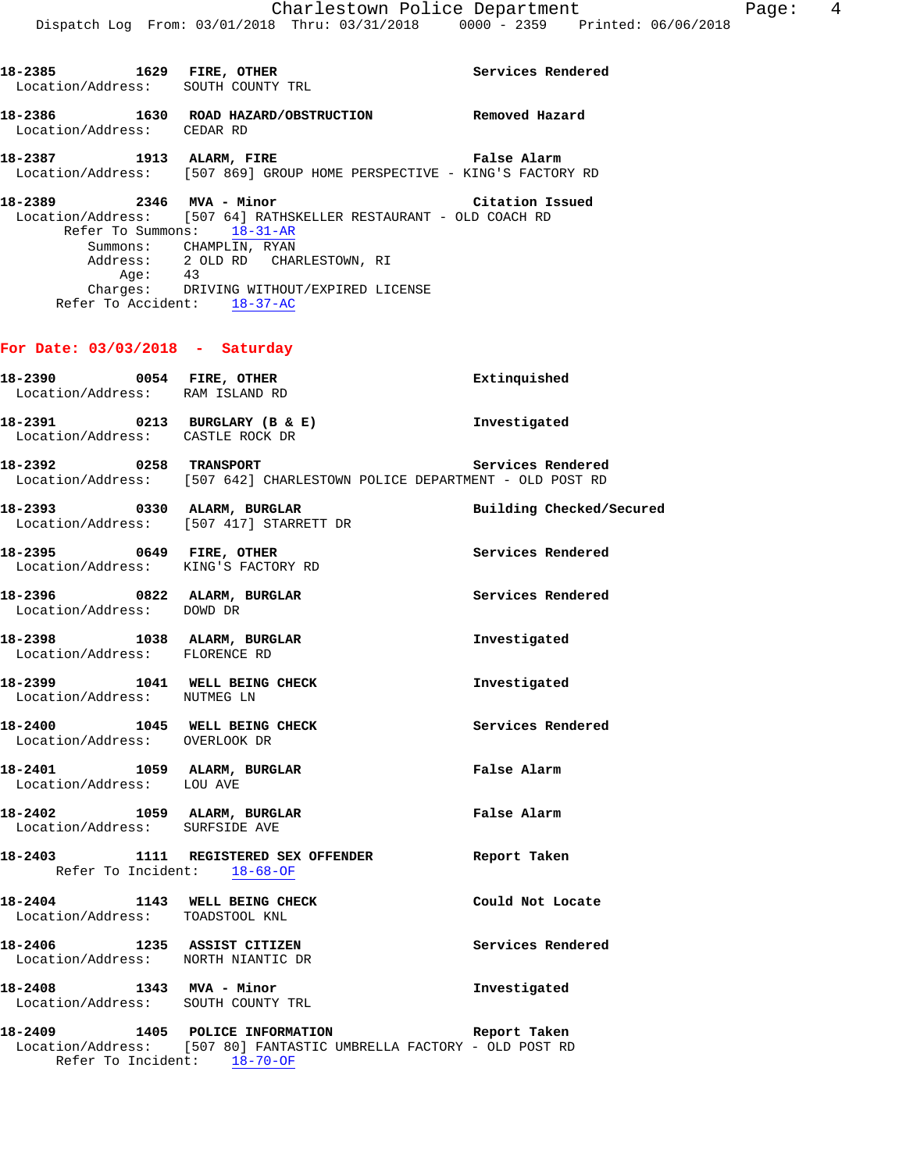| 18-2385 1629 FIRE, OTHER<br>Location/Address: SOUTH COUNTY TRL    |                                                                                                                                                                                                                  | Services Rendered        |
|-------------------------------------------------------------------|------------------------------------------------------------------------------------------------------------------------------------------------------------------------------------------------------------------|--------------------------|
| Location/Address: CEDAR RD                                        | 18-2386 1630 ROAD HAZARD/OBSTRUCTION Removed Hazard                                                                                                                                                              |                          |
|                                                                   | 18-2387<br>Location/Address: [507 869] GROUP HOME PERSPECTIVE - KING'S FACTORY RD                                                                                                                                |                          |
| 18-2389 2346 MVA - Minor<br>Age:<br>Refer To Accident: 18-37-AC   | Location/Address: [507 64] RATHSKELLER RESTAURANT - OLD COACH RD<br>Refer To Summons: 18-31-AR<br>Summons: CHAMPLIN, RYAN<br>Address: 2 OLD RD CHARLESTOWN, RI<br>43<br>Charges: DRIVING WITHOUT/EXPIRED LICENSE | Citation Issued          |
| For Date: $03/03/2018$ - Saturday                                 |                                                                                                                                                                                                                  |                          |
| 18-2390 0054 FIRE, OTHER<br>Location/Address: RAM ISLAND RD       |                                                                                                                                                                                                                  | Extinquished             |
| 18-2391 0213 BURGLARY (B & E)<br>Location/Address: CASTLE ROCK DR |                                                                                                                                                                                                                  | Investigated             |
| 18-2392 0258 TRANSPORT                                            | Location/Address: [507 642] CHARLESTOWN POLICE DEPARTMENT - OLD POST RD                                                                                                                                          | Services Rendered        |
|                                                                   | 18-2393 0330 ALARM, BURGLAR<br>Location/Address: [507 417] STARRETT DR                                                                                                                                           | Building Checked/Secured |
| 18-2395 0649 FIRE, OTHER<br>Location/Address: KING'S FACTORY RD   |                                                                                                                                                                                                                  | Services Rendered        |
| 18-2396 0822 ALARM, BURGLAR<br>Location/Address: DOWD DR          |                                                                                                                                                                                                                  | Services Rendered        |
| 18-2398 1038 ALARM, BURGLAR<br>Location/Address: FLORENCE RD      |                                                                                                                                                                                                                  | Investigated             |
| 18-2399 1041 WELL BEING CHECK<br>Location/Address: NUTMEG LN      |                                                                                                                                                                                                                  | Investigated             |
| 18-2400 1045 WELL BEING CHECK<br>Location/Address: OVERLOOK DR    |                                                                                                                                                                                                                  | Services Rendered        |
| 18-2401 1059 ALARM, BURGLAR<br>Location/Address: LOU AVE          |                                                                                                                                                                                                                  | False Alarm              |
|                                                                   |                                                                                                                                                                                                                  |                          |

- **18-2402 1059 ALARM, BURGLAR False Alarm**  Location/Address: SURFSIDE AVE
- **18-2403 1111 REGISTERED SEX OFFENDER Report Taken**  Refer To Incident: 18-68-OF
- **18-2404 1143 WELL BEING CHECK Could Not Locate**  Location/Address: TOADSTOOL KNL
- **18-2406 1235 ASSIST CITIZEN Services Rendered**  Location/Address: NORTH NIANTIC DR

**18-2408 1343 MVA - Minor Investigated**  Location/Address: SOUTH COUNTY TRL

**18-2409 1405 POLICE INFORMATION Report Taken**  Location/Address: [507 80] FANTASTIC UMBRELLA FACTORY - OLD POST RD Refer To Incident: 18-70-OF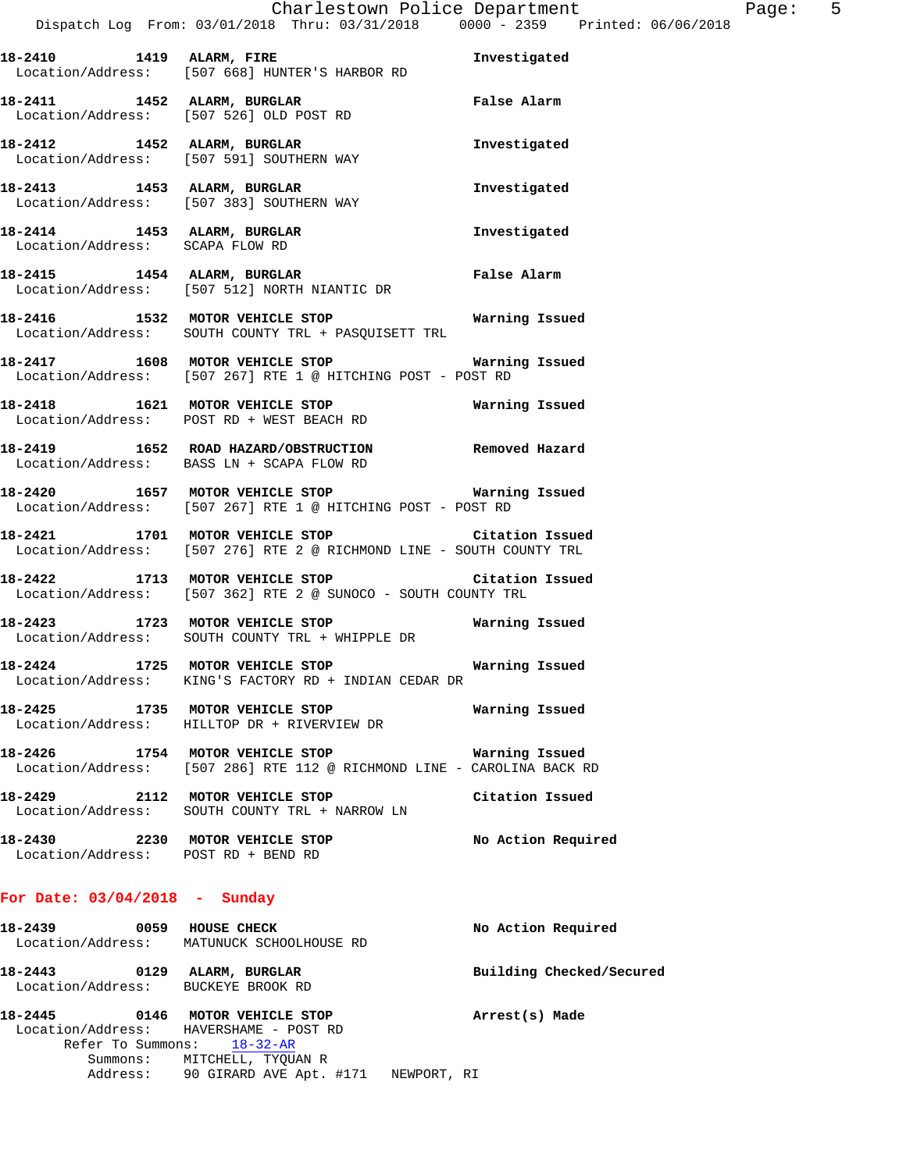| 18-2410 1419 ALARM, FIRE                                               | Location/Address: [507 668] HUNTER'S HARBOR RD                                                                           | Investigated       |
|------------------------------------------------------------------------|--------------------------------------------------------------------------------------------------------------------------|--------------------|
|                                                                        | 18-2411 1452 ALARM, BURGLAR<br>Location/Address: [507 526] OLD POST RD                                                   | False Alarm        |
|                                                                        | 18-2412 1452 ALARM, BURGLAR 18-2412 Investigated<br>Location/Address: [507 591] SOUTHERN WAY                             |                    |
|                                                                        | 18-2413 1453 ALARM, BURGLAR<br>Location/Address: [507 383] SOUTHERN WAY                                                  | Investigated       |
| Location/Address: SCAPA FLOW RD                                        | 18-2414 1453 ALARM, BURGLAR                                                                                              | Investigated       |
|                                                                        | 18-2415 1454 ALARM, BURGLAR<br>Location/Address: [507 512] NORTH NIANTIC DR                                              | False Alarm        |
|                                                                        | 18-2416 1532 MOTOR VEHICLE STOP <b>Warning Issued</b><br>Location/Address: SOUTH COUNTY TRL + PASQUISETT TRL             |                    |
|                                                                        | 18-2417 1608 MOTOR VEHICLE STOP <b>WATER WATER</b><br>Location/Address: [507 267] RTE 1 @ HITCHING POST - POST RD        |                    |
|                                                                        | 18-2418 1621 MOTOR VEHICLE STOP <b>Warning Issued</b><br>Location/Address: POST RD + WEST BEACH RD                       |                    |
|                                                                        | 18-2419 1652 ROAD HAZARD/OBSTRUCTION Removed Hazard<br>Location/Address: BASS LN + SCAPA FLOW RD                         |                    |
|                                                                        | 1657 MOTOR VEHICLE STOP MOTOR VEHICLE STOP Narning Issued<br>Location/Address: [507 267] RTE 1 @ HITCHING POST - POST RD |                    |
|                                                                        | 1701 MOTOR VEHICLE STOP Citation Issued<br>Location/Address: [507 276] RTE 2 @ RICHMOND LINE - SOUTH COUNTY TRL          |                    |
|                                                                        | 18-2422 1713 MOTOR VEHICLE STOP Citation Issued<br>Location/Address: [507 362] RTE 2 @ SUNOCO - SOUTH COUNTY TRL         |                    |
|                                                                        | Location/Address: SOUTH COUNTY TRL + WHIPPLE DR                                                                          |                    |
|                                                                        | 18-2424 1725 MOTOR VEHICLE STOP 6 Warning Issued<br>Location/Address: KING'S FACTORY RD + INDIAN CEDAR DR                |                    |
|                                                                        | 18-2425 1735 MOTOR VEHICLE STOP 5 Warning Issued<br>Location/Address: HILLTOP DR + RIVERVIEW DR                          |                    |
|                                                                        | 18-2426 1754 MOTOR VEHICLE STOP<br>Location/Address: [507 286] RTE 112 @ RICHMOND LINE - CAROLINA BACK RD                | Warning Issued     |
|                                                                        | 18-2429 2112 MOTOR VEHICLE STOP<br>Location/Address: SOUTH COUNTY TRL + NARROW LN                                        | Citation Issued    |
| 18-2430 2230 MOTOR VEHICLE STOP<br>Location/Address: POST RD + BEND RD |                                                                                                                          | No Action Required |

## **For Date: 03/04/2018 - Sunday**

| 18-2439           | 0059 | <b>HOUSE CHECK</b>                     | No Action Required       |
|-------------------|------|----------------------------------------|--------------------------|
| Location/Address: |      | MATUNUCK SCHOOLHOUSE RD                |                          |
| 18-2443           | 0129 | ALARM, BURGLAR                         | Building Checked/Secured |
|                   |      | Location/Address: BUCKEYE BROOK RD     |                          |
| 18-2445           | 0146 | MOTOR VEHICLE STOP                     | Arrest(s) Made           |
|                   |      | Location/Address: HAVERSHAME - POST RD |                          |
|                   |      | Refer To Summons: 18-32-AR             |                          |

 Summons: MITCHELL, TYQUAN R Address: 90 GIRARD AVE Apt. #171 NEWPORT, RI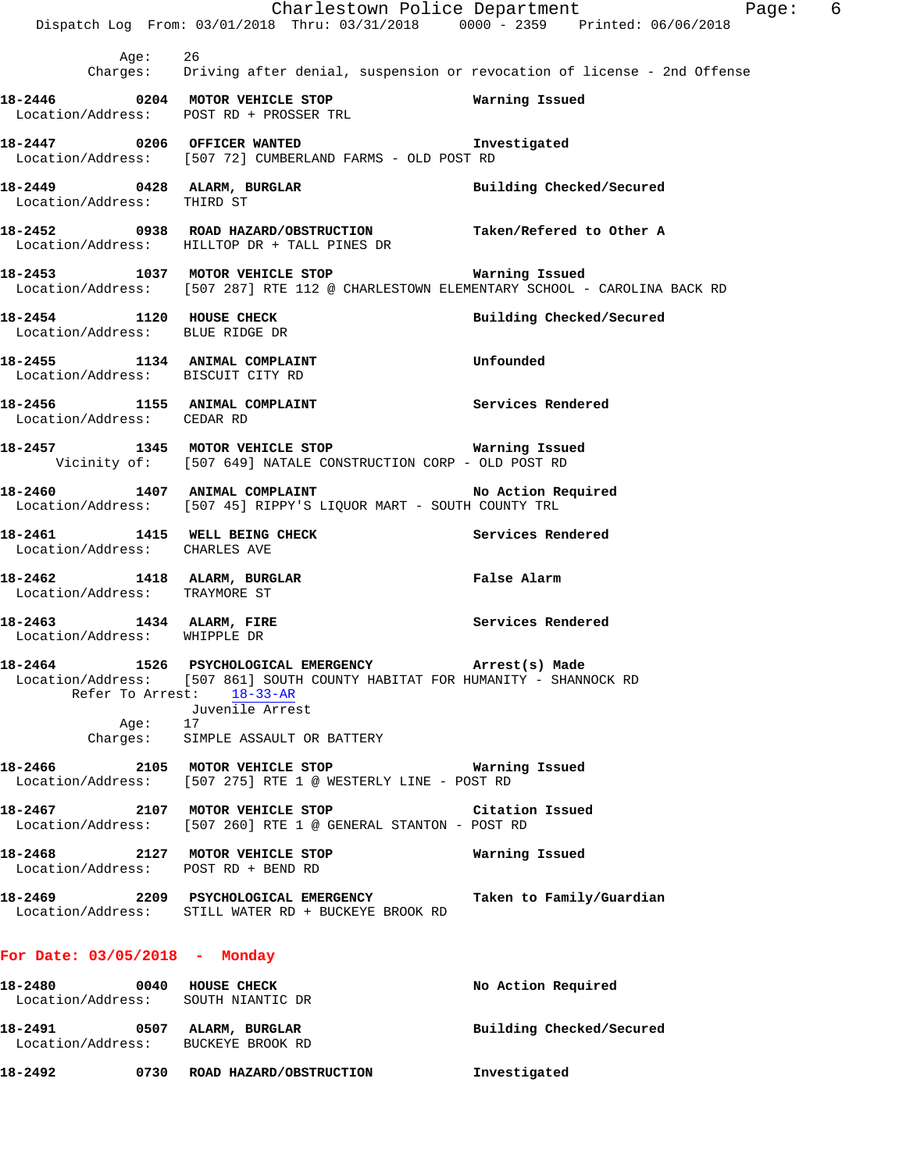|                                                                   | Dispatch Log From: 03/01/2018 Thru: 03/31/2018 0000 - 2359 Printed: 06/06/2018                                                                                                     | Charlestown Police Department<br>Page: 6 |
|-------------------------------------------------------------------|------------------------------------------------------------------------------------------------------------------------------------------------------------------------------------|------------------------------------------|
| Age: 26                                                           | Charges: Driving after denial, suspension or revocation of license - 2nd Offense                                                                                                   |                                          |
|                                                                   | 18-2446 0204 MOTOR VEHICLE STOP<br>Location/Address: POST RD + PROSSER TRL                                                                                                         | Warning Issued                           |
|                                                                   | 18-2447 0206 OFFICER WANTED Investigated<br>Location/Address: [507 72] CUMBERLAND FARMS - OLD POST RD                                                                              |                                          |
|                                                                   | 18-2449 0428 ALARM, BURGLAR<br>Location/Address: THIRD ST                                                                                                                          | Building Checked/Secured                 |
|                                                                   | 18-2452 0938 ROAD HAZARD/OBSTRUCTION Taken/Refered to Other A Location/Address: HILLTOP DR + TALL PINES DR                                                                         |                                          |
|                                                                   | 18-2453 1037 MOTOR VEHICLE STOP <b>WATNING ISSUED</b><br>Location/Address: [507 287] RTE 112 @ CHARLESTOWN ELEMENTARY SCHOOL - CAROLINA BACK RD                                    |                                          |
|                                                                   | 18-2454 1120 HOUSE CHECK<br>Location/Address: BLUE RIDGE DR                                                                                                                        | Building Checked/Secured                 |
| Location/Address: BISCUIT CITY RD                                 | 18-2455 1134 ANIMAL COMPLAINT COMERCITY Unfounded                                                                                                                                  |                                          |
| Location/Address: CEDAR RD                                        | 18-2456 1155 ANIMAL COMPLAINT Services Rendered                                                                                                                                    |                                          |
|                                                                   | 18-2457 1345 MOTOR VEHICLE STOP <b>WATER</b> Warning Issued<br>Vicinity of: [507 649] NATALE CONSTRUCTION CORP - OLD POST RD                                                       |                                          |
|                                                                   | 18-2460 1407 ANIMAL COMPLAINT<br>Location/Address: [507 45] RIPPY'S LIQUOR MART - SOUTH COUNTY TRL                                                                                 | No Action Required                       |
|                                                                   | 18-2461 1415 WELL BEING CHECK<br>Location/Address: CHARLES AVE                                                                                                                     | Services Rendered                        |
| Location/Address: TRAYMORE ST                                     | 18-2462 1418 ALARM, BURGLAR                                                                                                                                                        | False Alarm                              |
| Location/Address: WHIPPLE DR                                      | 18-2463 1434 ALARM, FIRE                                                                                                                                                           | Services Rendered                        |
|                                                                   | 18-2464 1526 PSYCHOLOGICAL EMERGENCY Arrest(s) Made<br>Location/Address: [507 861] SOUTH COUNTY HABITAT FOR HUMANITY - SHANNOCK RD<br>Refer To Arrest: 18-33-AR<br>Juvenile Arrest |                                          |
| Age: 17                                                           | Charges: SIMPLE ASSAULT OR BATTERY                                                                                                                                                 |                                          |
|                                                                   | Location/Address: [507 275] RTE 1 @ WESTERLY LINE - POST RD                                                                                                                        |                                          |
|                                                                   | 18-2467 			 2107 MOTOR VEHICLE STOP 			 Citation Issued<br>Location/Address: [507 260] RTE 1 @ GENERAL STANTON - POST RD                                                           |                                          |
| Location/Address: POST RD + BEND RD                               | 18-2468 2127 MOTOR VEHICLE STOP                                                                                                                                                    | Warning Issued                           |
|                                                                   |                                                                                                                                                                                    | Taken to Family/Guardian                 |
| For Date: 03/05/2018 - Monday                                     |                                                                                                                                                                                    |                                          |
| 18-2480 0040 HOUSE CHECK<br>Location/Address: SOUTH NIANTIC DR    |                                                                                                                                                                                    | No Action Required                       |
| 18-2491 0507 ALARM, BURGLAR<br>Location/Address: BUCKEYE BROOK RD |                                                                                                                                                                                    | Building Checked/Secured                 |
| 18-2492                                                           | 0730 ROAD HAZARD/OBSTRUCTION                                                                                                                                                       | Investigated                             |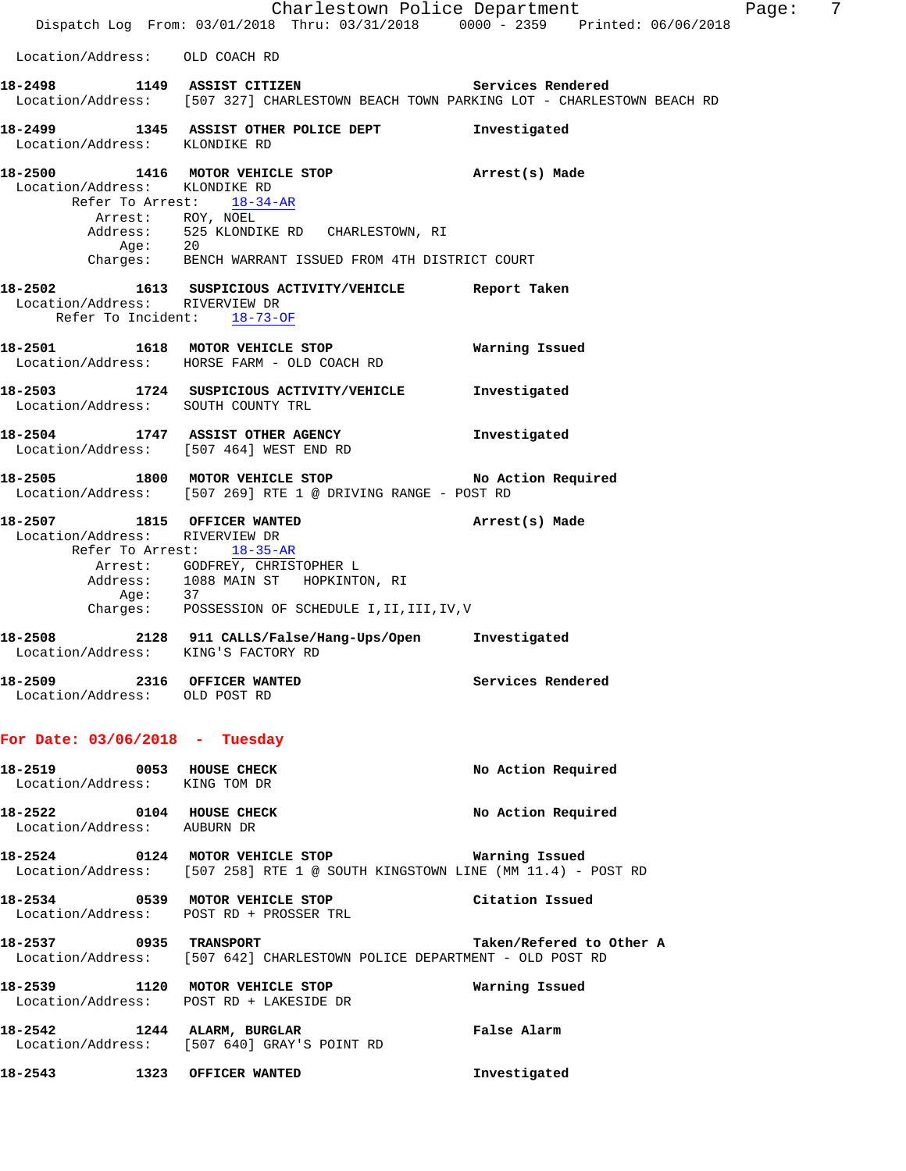|                                                              |                                                                                                                                                                                                                          | Charlestown Police Department | Page: | - 7 |
|--------------------------------------------------------------|--------------------------------------------------------------------------------------------------------------------------------------------------------------------------------------------------------------------------|-------------------------------|-------|-----|
|                                                              | Dispatch Log From: 03/01/2018 Thru: 03/31/2018 0000 - 2359 Printed: 06/06/2018                                                                                                                                           |                               |       |     |
| Location/Address: OLD COACH RD                               |                                                                                                                                                                                                                          |                               |       |     |
|                                                              | 18-2498 1149 ASSIST CITIZEN 5ervices Rendered<br>Location/Address: [507 327] CHARLESTOWN BEACH TOWN PARKING LOT - CHARLESTOWN BEACH RD                                                                                   |                               |       |     |
| Location/Address: KLONDIKE RD                                | 18-2499 1345 ASSIST OTHER POLICE DEPT                                                                                                                                                                                    | Investigated                  |       |     |
| Location/Address: KLONDIKE RD                                | 18-2500 1416 MOTOR VEHICLE STOP <b>Arrest</b> (s) Made<br>Refer To Arrest: 18-34-AR<br>Arrest: ROY, NOEL<br>Address: 525 KLONDIKE RD CHARLESTOWN, RI<br>Age: 20<br>Charges: BENCH WARRANT ISSUED FROM 4TH DISTRICT COURT |                               |       |     |
| Location/Address: RIVERVIEW DR                               | 18-2502 1613 SUSPICIOUS ACTIVITY/VEHICLE Report Taken<br>Refer To Incident: 18-73-OF                                                                                                                                     |                               |       |     |
|                                                              | 18-2501 1618 MOTOR VEHICLE STOP<br>Location/Address: HORSE FARM - OLD COACH RD                                                                                                                                           | Warning Issued                |       |     |
| Location/Address: SOUTH COUNTY TRL                           | 18-2503 1724 SUSPICIOUS ACTIVITY/VEHICLE Investigated                                                                                                                                                                    |                               |       |     |
|                                                              | 18-2504 1747 ASSIST OTHER AGENCY<br>Location/Address: [507 464] WEST END RD                                                                                                                                              | Investigated                  |       |     |
|                                                              | 18-2505 1800 MOTOR VEHICLE STOP NO Action Required<br>Location/Address: [507 269] RTE 1 @ DRIVING RANGE - POST RD                                                                                                        |                               |       |     |
| Location/Address: RIVERVIEW DR                               | 18-2507 1815 OFFICER WANTED<br>Refer To Arrest: 18-35-AR<br>Arrest: GODFREY, CHRISTOPHER L<br>Address: 1088 MAIN ST HOPKINTON, RI<br>Age: 37<br>Charges: POSSESSION OF SCHEDULE I,II,III,IV,V                            | Arrest(s) Made                |       |     |
| Location/Address: KING'S FACTORY RD                          | 18-2508 2128 911 CALLS/False/Hang-Ups/Open Investigated                                                                                                                                                                  |                               |       |     |
| 18-2509 2316 OFFICER WANTED<br>Location/Address: OLD POST RD |                                                                                                                                                                                                                          | Services Rendered             |       |     |
| For Date: $03/06/2018$ - Tuesday                             |                                                                                                                                                                                                                          |                               |       |     |
| 18-2519 0053 HOUSE CHECK<br>Location/Address: KING TOM DR    |                                                                                                                                                                                                                          | No Action Required            |       |     |
| 18-2522 0104 HOUSE CHECK<br>Location/Address: AUBURN DR      |                                                                                                                                                                                                                          | No Action Required            |       |     |
|                                                              | 18-2524 0124 MOTOR VEHICLE STOP <b>WATIME</b> Tasued<br>Location/Address: [507 258] RTE 1 @ SOUTH KINGSTOWN LINE (MM 11.4) - POST RD                                                                                     |                               |       |     |
|                                                              | 18-2534 0539 MOTOR VEHICLE STOP<br>Location/Address: POST RD + PROSSER TRL                                                                                                                                               | Citation Issued               |       |     |
| 18-2537 0935 TRANSPORT                                       | Location/Address: [507 642] CHARLESTOWN POLICE DEPARTMENT - OLD POST RD                                                                                                                                                  | Taken/Refered to Other A      |       |     |
|                                                              | 18-2539 1120 MOTOR VEHICLE STOP<br>Location/Address: POST RD + LAKESIDE DR                                                                                                                                               | Warning Issued                |       |     |
| 18-2542 1244 ALARM, BURGLAR                                  | Location/Address: [507 640] GRAY'S POINT RD                                                                                                                                                                              | False Alarm                   |       |     |
| 18-2543                                                      | 1323 OFFICER WANTED                                                                                                                                                                                                      | Investigated                  |       |     |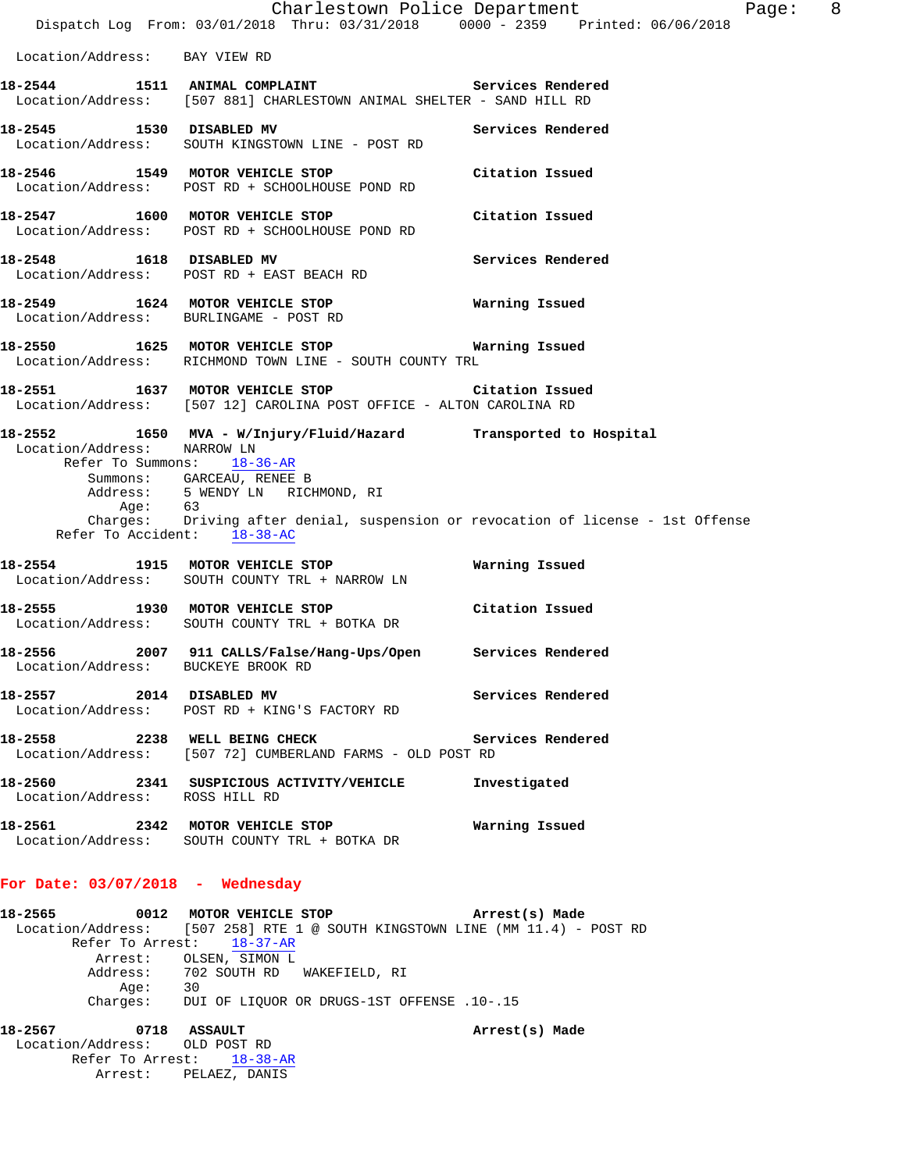|                                                                       | Charlestown Police Department<br>Dispatch Log From: 03/01/2018 Thru: 03/31/2018 0000 - 2359 Printed: 06/06/2018                                                                                                                                     | Page: 8           |
|-----------------------------------------------------------------------|-----------------------------------------------------------------------------------------------------------------------------------------------------------------------------------------------------------------------------------------------------|-------------------|
| Location/Address: BAY VIEW RD                                         |                                                                                                                                                                                                                                                     |                   |
|                                                                       | 18-2544 1511 ANIMAL COMPLAINT Number of Services Rendered<br>Location/Address: [507 881] CHARLESTOWN ANIMAL SHELTER - SAND HILL RD                                                                                                                  |                   |
| 18-2545 1530 DISABLED MV                                              | Location/Address: SOUTH KINGSTOWN LINE - POST RD                                                                                                                                                                                                    | Services Rendered |
|                                                                       | 18-2546 1549 MOTOR VEHICLE STOP<br>Location/Address: POST RD + SCHOOLHOUSE POND RD                                                                                                                                                                  | Citation Issued   |
|                                                                       | 18-2547 1600 MOTOR VEHICLE STOP<br>Location/Address: POST RD + SCHOOLHOUSE POND RD                                                                                                                                                                  | Citation Issued   |
|                                                                       | 18-2548 1618 DISABLED MV<br>Location/Address: POST RD + EAST BEACH RD                                                                                                                                                                               | Services Rendered |
| Location/Address: BURLINGAME - POST RD                                | 18-2549 1624 MOTOR VEHICLE STOP                                                                                                                                                                                                                     | Warning Issued    |
|                                                                       | 18-2550 1625 MOTOR VEHICLE STOP<br>Location/Address: RICHMOND TOWN LINE - SOUTH COUNTY TRL                                                                                                                                                          | Warning Issued    |
|                                                                       | 18-2551 1637 MOTOR VEHICLE STOP Citation Issued<br>Location/Address: [507 12] CAROLINA POST OFFICE - ALTON CAROLINA RD                                                                                                                              |                   |
| Location/Address: NARROW LN<br>Age: 63<br>Refer To Accident: 18-38-AC | 18-2552 1650 MVA - W/Injury/Fluid/Hazard Transported to Hospital<br>Refer To Summons: 18-36-AR<br>Summons: GARCEAU, RENEE B<br>Address: 5 WENDY LN RICHMOND, RI<br>Charges: Driving after denial, suspension or revocation of license - 1st Offense |                   |
|                                                                       | 18-2554 1915 MOTOR VEHICLE STOP<br>Location/Address: SOUTH COUNTY TRL + NARROW LN                                                                                                                                                                   | Warning Issued    |
|                                                                       | 18-2555 1930 MOTOR VEHICLE STOP<br>Location/Address: SOUTH COUNTY TRL + BOTKA DR                                                                                                                                                                    | Citation Issued   |
| Location/Address:                                                     | 18-2556 2007 911 CALLS/False/Hang-Ups/Open Services Rendered<br>BUCKEYE BROOK RD                                                                                                                                                                    |                   |
| 18-2557 2014 DISABLED MV                                              | Location/Address: POST RD + KING'S FACTORY RD                                                                                                                                                                                                       | Services Rendered |
| 18-2558 2238 WELL BEING CHECK                                         | Location/Address: [507 72] CUMBERLAND FARMS - OLD POST RD                                                                                                                                                                                           | Services Rendered |
| Location/Address: ROSS HILL RD                                        | 18-2560 2341 SUSPICIOUS ACTIVITY/VEHICLE                                                                                                                                                                                                            | Investigated      |
|                                                                       | 18-2561 2342 MOTOR VEHICLE STOP<br>Location/Address: SOUTH COUNTY TRL + BOTKA DR                                                                                                                                                                    | Warning Issued    |
|                                                                       |                                                                                                                                                                                                                                                     |                   |

## **For Date: 03/07/2018 - Wednesday**

| 18–2565 |          | 0012 MOTOR VEHICLE STOP                    | Arrest(s) Made                                                               |
|---------|----------|--------------------------------------------|------------------------------------------------------------------------------|
|         |          |                                            | Location/Address: [507 258] RTE 1 @ SOUTH KINGSTOWN LINE (MM 11.4) - POST RD |
|         |          | Refer To Arrest: 18-37-AR                  |                                                                              |
|         |          | Arrest: OLSEN, SIMON L                     |                                                                              |
|         |          | Address: 702 SOUTH RD WAKEFIELD, RI        |                                                                              |
|         | Aae:     | 30                                         |                                                                              |
|         | Charges: | DUI OF LIQUOR OR DRUGS-1ST OFFENSE .10-.15 |                                                                              |
|         |          |                                            |                                                                              |

**18-2567 0718 ASSAULT Arrest(s) Made**  Location/Address: OLD POST RD Refer To Arrest: 18-38-AR Arrest: PELAEZ, DANIS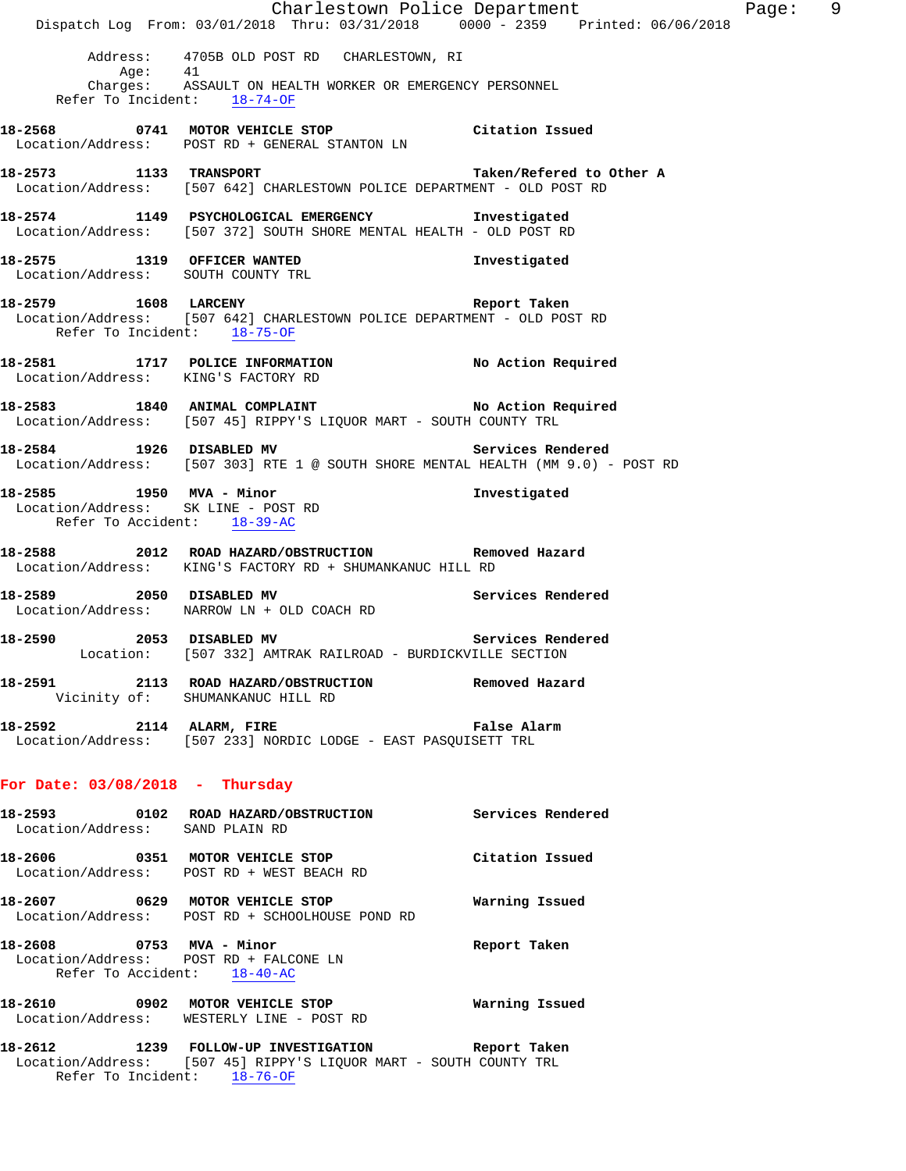Charlestown Police Department Fage: 9 Dispatch Log From: 03/01/2018 Thru: 03/31/2018 0000 - 2359 Printed: 06/06/2018 Address: 4705B OLD POST RD CHARLESTOWN, RI Age: 41 Charges: ASSAULT ON HEALTH WORKER OR EMERGENCY PERSONNEL Refer To Incident: 18-74-OF **18-2568 0741 MOTOR VEHICLE STOP Citation Issued**  Location/Address: POST RD + GENERAL STANTON LN **18-2573 1133 TRANSPORT Taken/Refered to Other A**  Location/Address: [507 642] CHARLESTOWN POLICE DEPARTMENT - OLD POST RD **18-2574 1149 PSYCHOLOGICAL EMERGENCY Investigated**  Location/Address: [507 372] SOUTH SHORE MENTAL HEALTH - OLD POST RD **18-2575 1319 OFFICER WANTED Investigated**  Location/Address: SOUTH COUNTY TRL **18-2579 1608 LARCENY Report Taken**  Location/Address: [507 642] CHARLESTOWN POLICE DEPARTMENT - OLD POST RD Refer To Incident: 18-75-OF **18-2581 1717 POLICE INFORMATION No Action Required**  Location/Address: KING'S FACTORY RD **18-2583 1840 ANIMAL COMPLAINT No Action Required**  Location/Address: [507 45] RIPPY'S LIQUOR MART - SOUTH COUNTY TRL **18-2584 1926 DISABLED MV Services Rendered**  Location/Address: [507 303] RTE 1 @ SOUTH SHORE MENTAL HEALTH (MM 9.0) - POST RD **18-2585 1950 MVA - Minor Investigated**  Location/Address: SK LINE - POST RD Refer To Accident: 18-39-AC **18-2588 2012 ROAD HAZARD/OBSTRUCTION Removed Hazard**  Location/Address: KING'S FACTORY RD + SHUMANKANUC HILL RD **18-2589 2050 DISABLED MV Services Rendered**  Location/Address: NARROW LN + OLD COACH RD **18-2590 2053 DISABLED MV Services Rendered**  Location: [507 332] AMTRAK RAILROAD - BURDICKVILLE SECTION **18-2591 2113 ROAD HAZARD/OBSTRUCTION Removed Hazard**  Vicinity of: SHUMANKANUC HILL RD **18-2592 2114 ALARM, FIRE False Alarm**  Location/Address: [507 233] NORDIC LODGE - EAST PASQUISETT TRL **For Date: 03/08/2018 - Thursday 18-2593 0102 ROAD HAZARD/OBSTRUCTION Services Rendered**  Location/Address: SAND PLAIN RD **18-2606 0351 MOTOR VEHICLE STOP Citation Issued**  Location/Address: POST RD + WEST BEACH RD **18-2607 0629 MOTOR VEHICLE STOP Warning Issued**  Location/Address: POST RD + SCHOOLHOUSE POND RD **18-2608 0753 MVA - Minor Report Taken**  Location/Address: POST RD + FALCONE LN Refer To Accident: 18-40-AC **18-2610 0902 MOTOR VEHICLE STOP Warning Issued**  Location/Address: WESTERLY LINE - POST RD **18-2612 1239 FOLLOW-UP INVESTIGATION Report Taken**  Location/Address: [507 45] RIPPY'S LIQUOR MART - SOUTH COUNTY TRL

Refer To Incident: 18-76-OF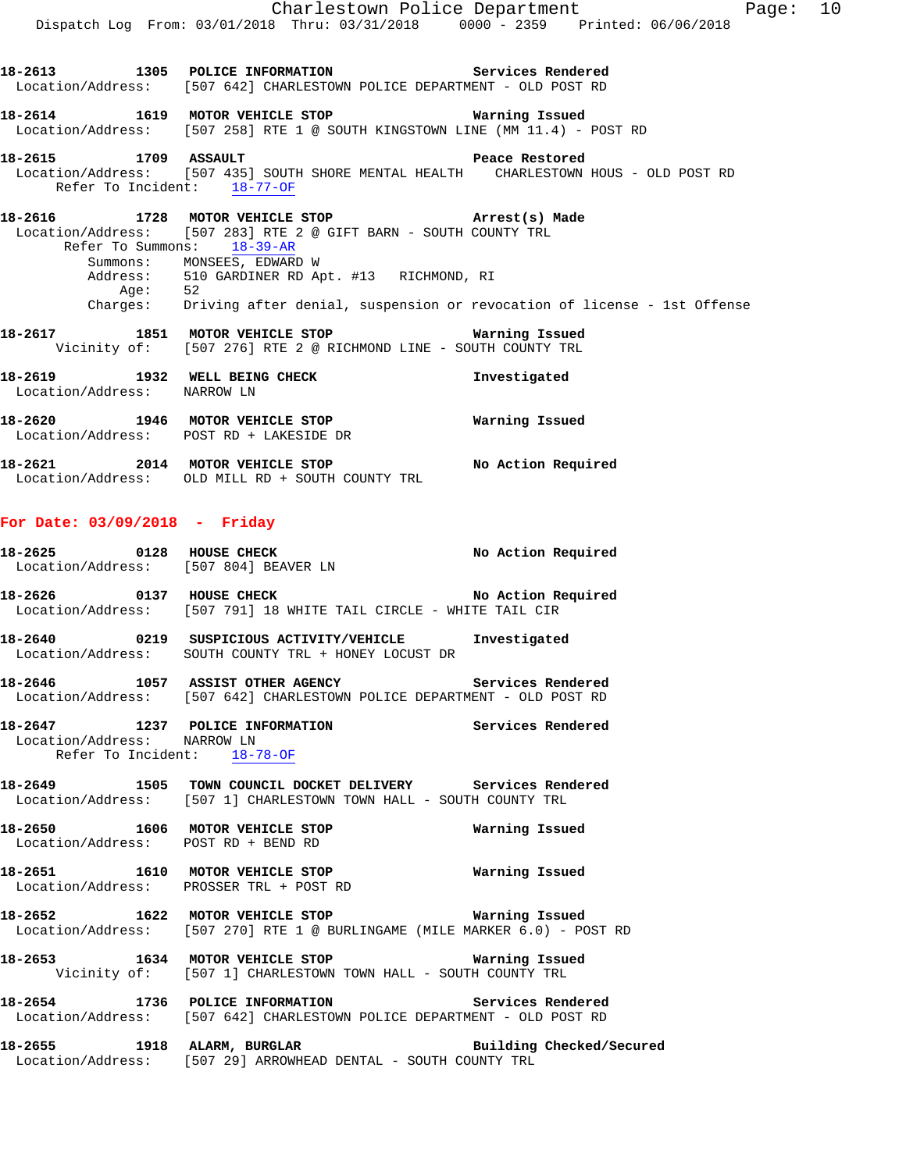|                                                                                      |                                                                                  | Charlestown Police Department |  |  |  |
|--------------------------------------------------------------------------------------|----------------------------------------------------------------------------------|-------------------------------|--|--|--|
|                                                                                      | Dispatch Log From: 03/01/2018 Thru: 03/31/2018 0000 - 2359 Printed: 06/06/2018   |                               |  |  |  |
|                                                                                      |                                                                                  |                               |  |  |  |
| 18-2613 1305 POLICE INFORMATION Services Rendered                                    |                                                                                  |                               |  |  |  |
| Location/Address: [507 642] CHARLESTOWN POLICE DEPARTMENT - OLD POST RD              |                                                                                  |                               |  |  |  |
| 18-2614 1619 MOTOR VEHICLE STOP <b>WATER</b> Warning Issued                          |                                                                                  |                               |  |  |  |
| Location/Address: [507 258] RTE 1 @ SOUTH KINGSTOWN LINE (MM 11.4) - POST RD         |                                                                                  |                               |  |  |  |
|                                                                                      |                                                                                  |                               |  |  |  |
| 18-2615 1709 ASSAULT 2008 Peace Restored                                             |                                                                                  |                               |  |  |  |
| Location/Address: [507 435] SOUTH SHORE MENTAL HEALTH CHARLESTOWN HOUS - OLD POST RD |                                                                                  |                               |  |  |  |
|                                                                                      | Refer To Incident: 18-77-OF                                                      |                               |  |  |  |
| 18-2616 1728 MOTOR VEHICLE STOP (Arrest(s) Made                                      |                                                                                  |                               |  |  |  |
| Location/Address: [507 283] RTE 2 @ GIFT BARN - SOUTH COUNTY TRL                     |                                                                                  |                               |  |  |  |
|                                                                                      | Refer To Summons: 18-39-AR                                                       |                               |  |  |  |
|                                                                                      | Summons: MONSEES, EDWARD W                                                       |                               |  |  |  |
|                                                                                      | Address: 510 GARDINER RD Apt. #13 RICHMOND, RI                                   |                               |  |  |  |
|                                                                                      | Age: 52                                                                          |                               |  |  |  |
|                                                                                      | Charges: Driving after denial, suspension or revocation of license - 1st Offense |                               |  |  |  |
| 18-2617 1851 MOTOR VEHICLE STOP <b>Warning Issued</b>                                |                                                                                  |                               |  |  |  |
|                                                                                      |                                                                                  |                               |  |  |  |
|                                                                                      | Vicinity of: [507 276] RTE 2 @ RICHMOND LINE - SOUTH COUNTY TRL                  |                               |  |  |  |

| 18-2621                              | 2014 | MOTOR VEHICLE STOP                          | No Action Required |
|--------------------------------------|------|---------------------------------------------|--------------------|
| 18-2620<br>1946<br>Location/Address: |      | MOTOR VEHICLE STOP<br>POST RD + LAKESIDE DR | Warning Issued     |
| Location/Address:                    |      | NARROW LN                                   |                    |

18-2619 1932 WELL BEING CHECK **Investigated** 

**For Date: 03/09/2018 - Friday**

Location/Address: OLD MILL RD + SOUTH COUNTY TRL

| 18–2625           | 0128 | HOUSE CHECK<br>Location/Address: [507 804] BEAVER LN | No Action Required |
|-------------------|------|------------------------------------------------------|--------------------|
| 18-2626           | 0137 | HOUSE CHECK                                          | No Action Required |
| Location/Address: |      | [507 791] 18 WHITE TAIL CIRCLE - WHITE TAIL CIR      |                    |

- **18-2640 0219 SUSPICIOUS ACTIVITY/VEHICLE Investigated**  Location/Address: SOUTH COUNTY TRL + HONEY LOCUST DR
- **18-2646 1057 ASSIST OTHER AGENCY Services Rendered**  Location/Address: [507 642] CHARLESTOWN POLICE DEPARTMENT - OLD POST RD
- **18-2647 1237 POLICE INFORMATION Services Rendered**  Location/Address: NARROW LN Refer To Incident: 18-78-OF
- **18-2649 1505 TOWN COUNCIL DOCKET DELIVERY Services Rendered**  Location/Address: [507 1] CHARLESTOWN TOWN HALL - SOUTH COUNTY TRL
- **18-2650 1606 MOTOR VEHICLE STOP Warning Issued**  Location/Address: POST RD + BEND RD
- **18-2651 1610 MOTOR VEHICLE STOP Warning Issued**  Location/Address: PROSSER TRL + POST RD
- **18-2652 1622 MOTOR VEHICLE STOP Warning Issued**  Location/Address: [507 270] RTE 1 @ BURLINGAME (MILE MARKER 6.0) - POST RD
- **18-2653 1634 MOTOR VEHICLE STOP Warning Issued**  Vicinity of: [507 1] CHARLESTOWN TOWN HALL - SOUTH COUNTY TRL
- **18-2654 1736 POLICE INFORMATION Services Rendered**  Location/Address: [507 642] CHARLESTOWN POLICE DEPARTMENT - OLD POST RD
- **18-2655 1918 ALARM, BURGLAR Building Checked/Secured**  Location/Address: [507 29] ARROWHEAD DENTAL - SOUTH COUNTY TRL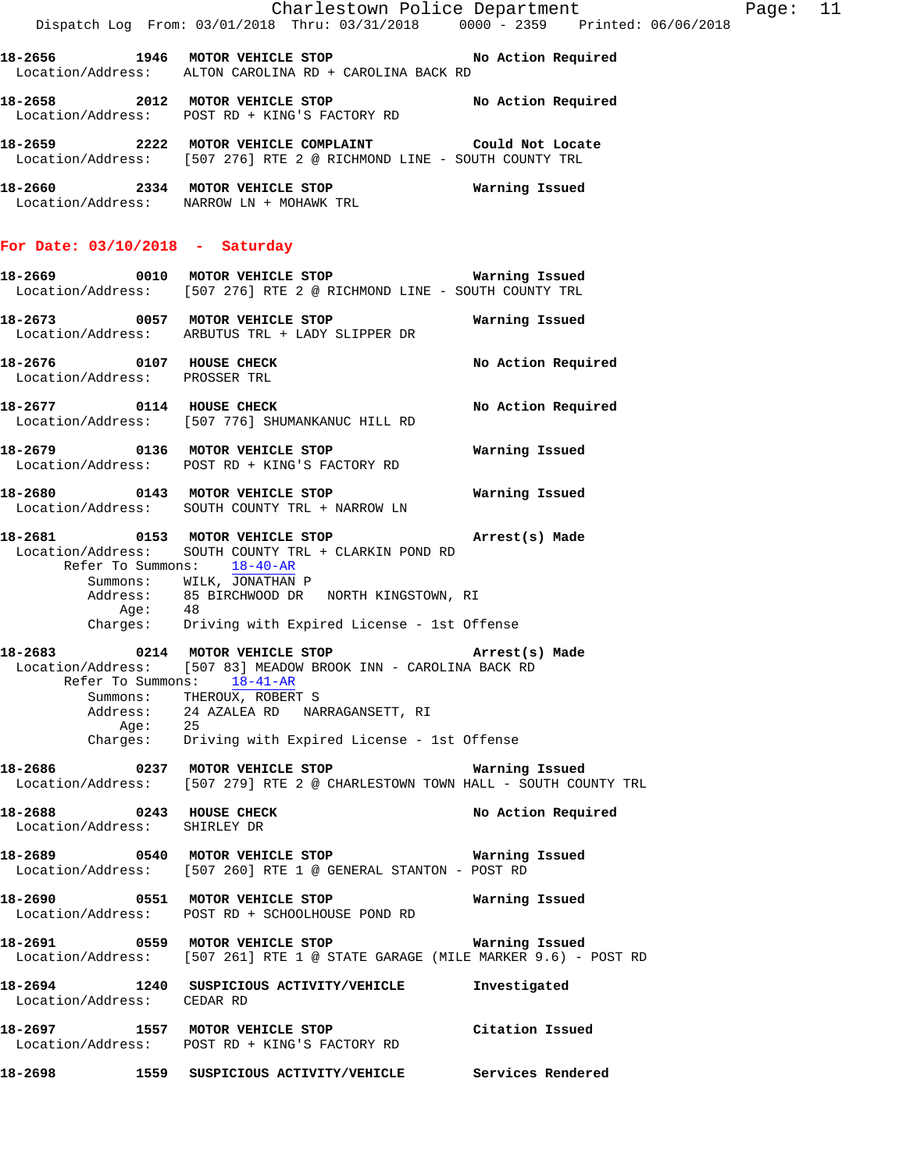**18-2656 1946 MOTOR VEHICLE STOP No Action Required**  Location/Address: ALTON CAROLINA RD + CAROLINA BACK RD

**18-2658 2012 MOTOR VEHICLE STOP No Action Required**  Location/Address: POST RD + KING'S FACTORY RD

**18-2659 2222 MOTOR VEHICLE COMPLAINT Could Not Locate**  Location/Address: [507 276] RTE 2 @ RICHMOND LINE - SOUTH COUNTY TRL

**18-2660 2334 MOTOR VEHICLE STOP Warning Issued**  Location/Address: NARROW LN + MOHAWK TRL

## **For Date: 03/10/2018 - Saturday**

**18-2669 0010 MOTOR VEHICLE STOP Warning Issued**  Location/Address: [507 276] RTE 2 @ RICHMOND LINE - SOUTH COUNTY TRL **18-2673 0057 MOTOR VEHICLE STOP Warning Issued**  Location/Address: ARBUTUS TRL + LADY SLIPPER DR

**18-2676 0107 HOUSE CHECK No Action Required**  Location/Address: PROSSER TRL

**18-2677 0114 HOUSE CHECK No Action Required**  Location/Address: [507 776] SHUMANKANUC HILL RD

**18-2679 0136 MOTOR VEHICLE STOP Warning Issued**  Location/Address: POST RD + KING'S FACTORY RD

**18-2680 0143 MOTOR VEHICLE STOP Warning Issued**  Location/Address: SOUTH COUNTY TRL + NARROW LN

**18-2681 0153 MOTOR VEHICLE STOP Arrest(s) Made**  Location/Address: SOUTH COUNTY TRL + CLARKIN POND RD Refer To Summons: 18-40-AR Summons: WILK, JONATHAN P Address: 85 BIRCHWOOD DR NORTH KINGSTOWN, RI Age: 48<br>Charges: Dri Driving with Expired License - 1st Offense

**18-2683 0214 MOTOR VEHICLE STOP Arrest(s) Made**  Location/Address: [507 83] MEADOW BROOK INN - CAROLINA BACK RD Refer To Summons: 18-41-AR Summons: THEROUX, ROBERT S

 Address: 24 AZALEA RD NARRAGANSETT, RI Age: 25 Charges: Driving with Expired License - 1st Offense

**18-2686 0237 MOTOR VEHICLE STOP Warning Issued**  Location/Address: [507 279] RTE 2 @ CHARLESTOWN TOWN HALL - SOUTH COUNTY TRL

**18-2688 0243 HOUSE CHECK No Action Required**  Location/Address: SHIRLEY DR

**18-2689 0540 MOTOR VEHICLE STOP Warning Issued**  Location/Address: [507 260] RTE 1 @ GENERAL STANTON - POST RD

**18-2690 0551 MOTOR VEHICLE STOP Warning Issued**  Location/Address: POST RD + SCHOOLHOUSE POND RD

**18-2691 0559 MOTOR VEHICLE STOP Warning Issued**  Location/Address: [507 261] RTE 1 @ STATE GARAGE (MILE MARKER 9.6) - POST RD

**18-2694 1240 SUSPICIOUS ACTIVITY/VEHICLE Investigated**  Location/Address: CEDAR RD **18-2697 1557 MOTOR VEHICLE STOP Citation Issued**  Location/Address: POST RD + KING'S FACTORY RD

**18-2698 1559 SUSPICIOUS ACTIVITY/VEHICLE Services Rendered**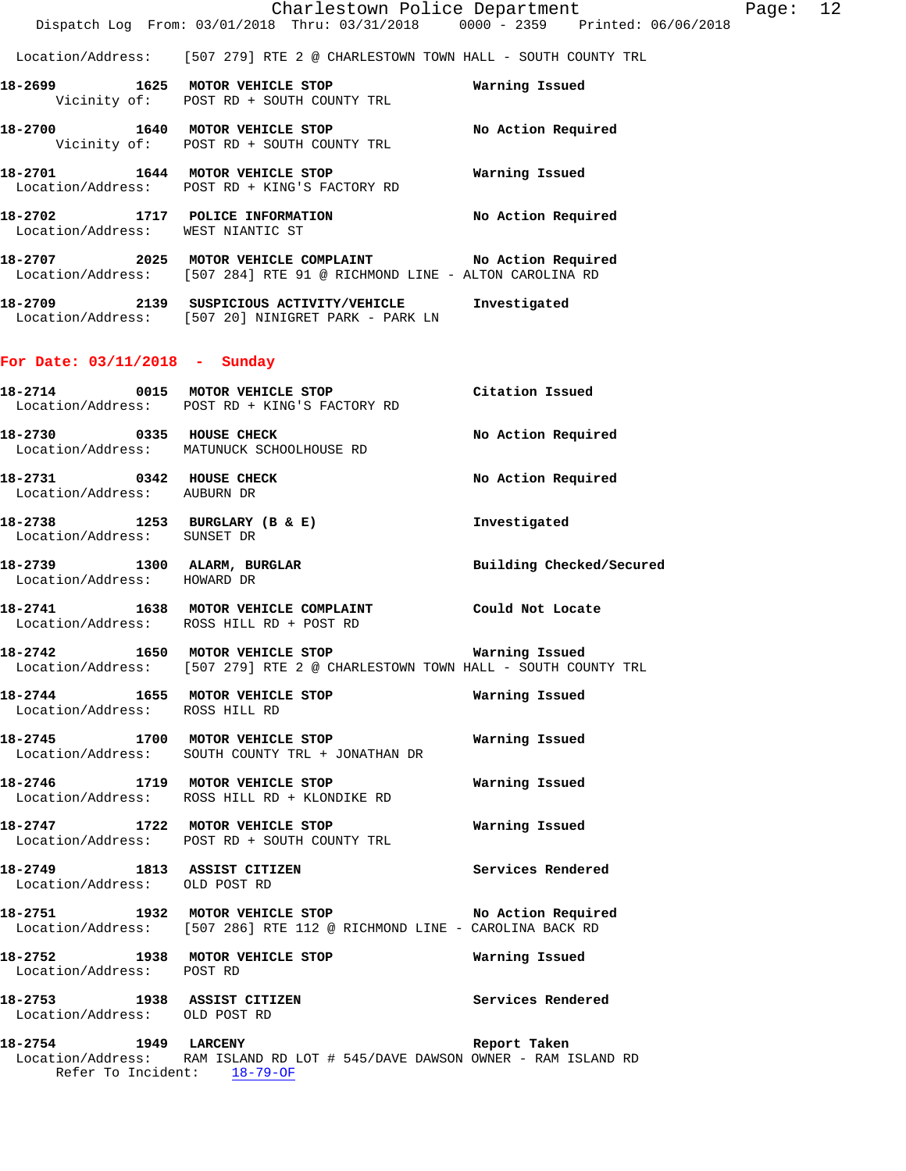Location/Address: [507 279] RTE 2 @ CHARLESTOWN TOWN HALL - SOUTH COUNTY TRL

- **18-2699 1625 MOTOR VEHICLE STOP Warning Issued**  Vicinity of: POST RD + SOUTH COUNTY TRL
- **18-2700 1640 MOTOR VEHICLE STOP No Action Required**  Vicinity of: POST RD + SOUTH COUNTY TRL
- **18-2701 1644 MOTOR VEHICLE STOP Warning Issued**  Location/Address: POST RD + KING'S FACTORY RD
- **18-2702 1717 POLICE INFORMATION No Action Required**  Location/Address: WEST NIANTIC ST
- **18-2707 2025 MOTOR VEHICLE COMPLAINT No Action Required**  Location/Address: [507 284] RTE 91 @ RICHMOND LINE - ALTON CAROLINA RD
- **18-2709 2139 SUSPICIOUS ACTIVITY/VEHICLE Investigated**  Location/Address: [507 20] NINIGRET PARK - PARK LN

#### **For Date: 03/11/2018 - Sunday**

- **18-2714 0015 MOTOR VEHICLE STOP Citation Issued**  Location/Address: POST RD + KING'S FACTORY RD **18-2730 0335 HOUSE CHECK No Action Required**  Location/Address: MATUNUCK SCHOOLHOUSE RD **18-2731 0342 HOUSE CHECK No Action Required**  Location/Address: AUBURN DR
- **18-2738 1253 BURGLARY (B & E) Investigated**  Location/Address: SUNSET DR
- 18-2739 1300 ALARM, BURGLAR **18-2739 1300 Building Checked/Secured** Location/Address: HOWARD DR
- **18-2741 1638 MOTOR VEHICLE COMPLAINT Could Not Locate**  Location/Address: ROSS HILL RD + POST RD
- **18-2742 1650 MOTOR VEHICLE STOP Warning Issued**  Location/Address: [507 279] RTE 2 @ CHARLESTOWN TOWN HALL - SOUTH COUNTY TRL
- **18-2744 1655 MOTOR VEHICLE STOP Warning Issued**  Location/Address: ROSS HILL RD
- **18-2745 1700 MOTOR VEHICLE STOP Warning Issued**  Location/Address: SOUTH COUNTY TRL + JONATHAN DR
- **18-2746 1719 MOTOR VEHICLE STOP Warning Issued**  Location/Address: ROSS HILL RD + KLONDIKE RD
- **18-2747 1722 MOTOR VEHICLE STOP Warning Issued**  Location/Address: POST RD + SOUTH COUNTY TRL
- **18-2749 1813 ASSIST CITIZEN Services Rendered**  Location/Address: OLD POST RD
- **18-2751 1932 MOTOR VEHICLE STOP No Action Required**  Location/Address: [507 286] RTE 112 @ RICHMOND LINE - CAROLINA BACK RD
- **18-2752 1938 MOTOR VEHICLE STOP Warning Issued**  Location/Address: POST RD
- **18-2753 1938 ASSIST CITIZEN Services Rendered**  Location/Address: OLD POST RD
- **18-2754 1949 LARCENY Report Taken**  Location/Address: RAM ISLAND RD LOT # 545/DAVE DAWSON OWNER - RAM ISLAND RD Refer To Incident: 18-79-OF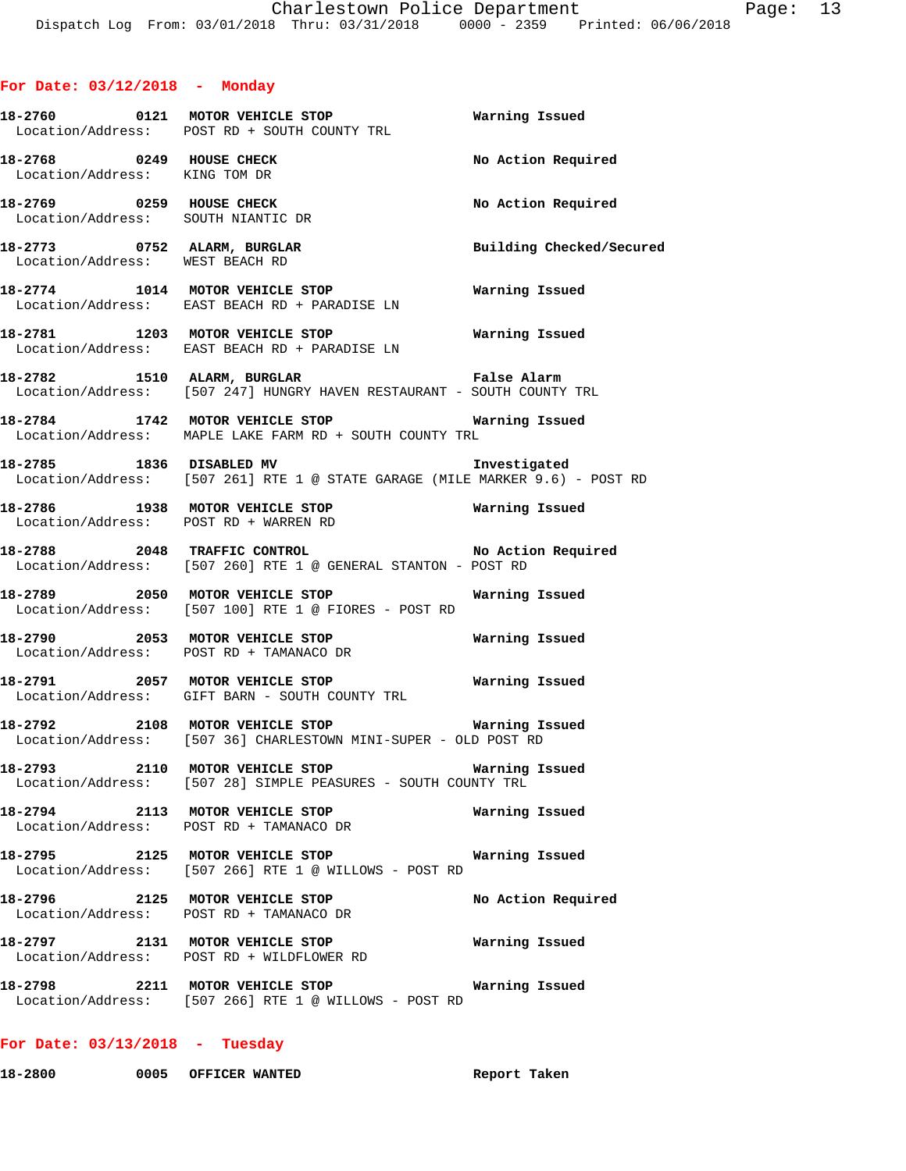|                                                                | 18-2760 0121 MOTOR VEHICLE STOP<br>Location/Address: POST RD + SOUTH COUNTY TRL                                                 | Warning Issued           |
|----------------------------------------------------------------|---------------------------------------------------------------------------------------------------------------------------------|--------------------------|
| 18-2768 0249 HOUSE CHECK<br>Location/Address: KING TOM DR      |                                                                                                                                 | No Action Required       |
| 18-2769 0259 HOUSE CHECK<br>Location/Address: SOUTH NIANTIC DR |                                                                                                                                 | No Action Required       |
| 18-2773 0752 ALARM, BURGLAR<br>Location/Address: WEST BEACH RD |                                                                                                                                 | Building Checked/Secured |
|                                                                | 18-2774 1014 MOTOR VEHICLE STOP<br>Location/Address: EAST BEACH RD + PARADISE LN                                                | Warning Issued           |
|                                                                | 18-2781 1203 MOTOR VEHICLE STOP<br>Location/Address: EAST BEACH RD + PARADISE LN                                                | Warning Issued           |
|                                                                | 18-2782 1510 ALARM, BURGLAR 1999 1999 Palse Alarm<br>Location/Address: [507 247] HUNGRY HAVEN RESTAURANT - SOUTH COUNTY TRL     |                          |
|                                                                | 18-2784 1742 MOTOR VEHICLE STOP <b>WATER WATER</b><br>Location/Address: MAPLE LAKE FARM RD + SOUTH COUNTY TRL                   |                          |
|                                                                | 18-2785 1836 DISABLED MV <b>18-2785</b> 18-2785<br>Location/Address: [507 261] RTE 1 @ STATE GARAGE (MILE MARKER 9.6) - POST RD |                          |
|                                                                | 18-2786 1938 MOTOR VEHICLE STOP <b>Warning Issued</b><br>Location/Address: POST RD + WARREN RD                                  |                          |
|                                                                | 18-2788 2048 TRAFFIC CONTROL No Action Required<br>Location/Address: [507 260] RTE 1 @ GENERAL STANTON - POST RD                |                          |
|                                                                | Location/Address: [507 100] RTE 1 @ FIORES - POST RD                                                                            |                          |
|                                                                | 18-2790 2053 MOTOR VEHICLE STOP Warning Issued<br>Location/Address: POST RD + TAMANACO DR                                       |                          |
|                                                                | 18-2791 2057 MOTOR VEHICLE STOP<br>Location/Address: GIFT BARN - SOUTH COUNTY TRL                                               | Warning Issued           |
|                                                                | 18-2792 2108 MOTOR VEHICLE STOP <b>Marning Issued</b><br>Location/Address: [507 36] CHARLESTOWN MINI-SUPER - OLD POST RD        |                          |
|                                                                | 18-2793 2110 MOTOR VEHICLE STOP 6 Warning Issued<br>Location/Address: [507 28] SIMPLE PEASURES - SOUTH COUNTY TRL               |                          |
|                                                                | 18-2794 2113 MOTOR VEHICLE STOP<br>Location/Address: POST RD + TAMANACO DR                                                      | Warning Issued           |
|                                                                | 18-2795 2125 MOTOR VEHICLE STOP<br>Location/Address: [507 266] RTE 1 @ WILLOWS - POST RD                                        | Warning Issued           |
|                                                                | 18-2796 2125 MOTOR VEHICLE STOP<br>Location/Address: POST RD + TAMANACO DR                                                      | No Action Required       |
|                                                                | 18-2797 2131 MOTOR VEHICLE STOP<br>Location/Address: POST RD + WILDFLOWER RD                                                    | Warning Issued           |
|                                                                | 18-2798 2211 MOTOR VEHICLE STOP<br>Location/Address: [507 266] RTE 1 @ WILLOWS - POST RD                                        | Warning Issued           |

## **For Date: 03/13/2018 - Tuesday**

**18-2800 0005 OFFICER WANTED Report Taken**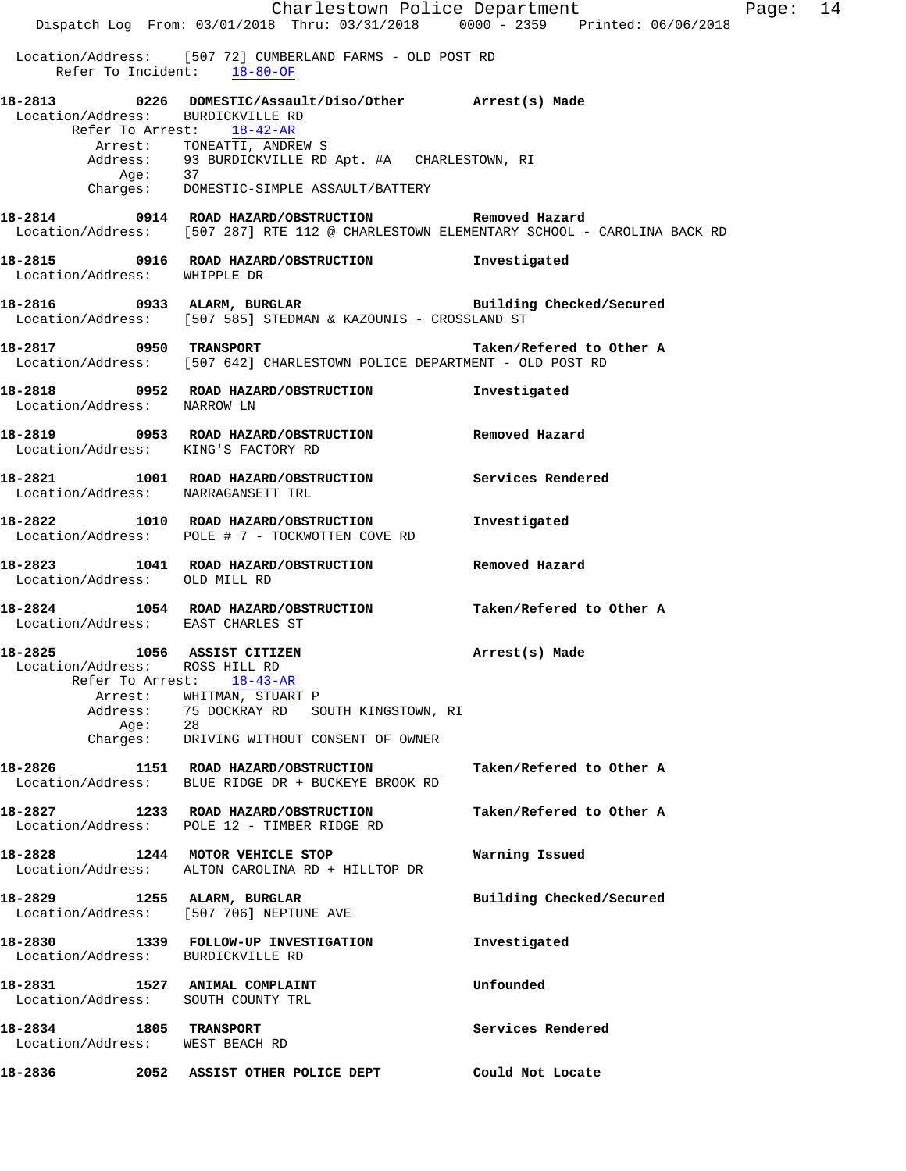|                                                                        | Dispatch Log From: 03/01/2018 Thru: 03/31/2018 0000 - 2359 Printed: 06/06/2018                                                                      | Charlestown Police Department | Page: 14 |  |
|------------------------------------------------------------------------|-----------------------------------------------------------------------------------------------------------------------------------------------------|-------------------------------|----------|--|
| Refer To Incident: 18-80-OF                                            | Location/Address: [507 72] CUMBERLAND FARMS - OLD POST RD                                                                                           |                               |          |  |
|                                                                        | 18-2813  0226  DOMESTIC/Assault/Diso/Other  Arrest(s) Made  Location/Address:  BURDICKVILLE RD<br>Refer To Arrest: 18-42-AR                         |                               |          |  |
| Age: 37                                                                | Arrest: TONEATTI, ANDREW S<br>Address: 93 BURDICKVILLE RD Apt. #A CHARLESTOWN, RI                                                                   |                               |          |  |
|                                                                        | Charges: DOMESTIC-SIMPLE ASSAULT/BATTERY                                                                                                            |                               |          |  |
|                                                                        | 18-2814   0914   ROAD HAZARD/OBSTRUCTION   Removed Hazard<br>Location/Address: [507 287] RTE 112 @ CHARLESTOWN ELEMENTARY SCHOOL - CAROLINA BACK RD |                               |          |  |
| Location/Address: WHIPPLE DR                                           | 18-2815  0916  ROAD HAZARD/OBSTRUCTION   Investigated                                                                                               |                               |          |  |
|                                                                        | 18-2816 0933 ALARM, BURGLAR <b>BURGLAR</b> Building Checked/Secured<br>Location/Address: [507 585] STEDMAN & KAZOUNIS - CROSSLAND ST                |                               |          |  |
|                                                                        | 18-2817 0950 TRANSPORT<br>Location/Address: [507 642] CHARLESTOWN POLICE DEPARTMENT - OLD POST RD                                                   | Taken/Refered to Other A      |          |  |
| Location/Address: NARROW LN                                            | 18-2818 0952 ROAD HAZARD/OBSTRUCTION Investigated                                                                                                   |                               |          |  |
| Location/Address: KING'S FACTORY RD                                    | 18-2819       0953   ROAD HAZARD/OBSTRUCTION       Removed Hazard                                                                                   |                               |          |  |
| Location/Address: NARRAGANSETT TRL                                     | 18-2821 1001 ROAD HAZARD/OBSTRUCTION Services Rendered                                                                                              |                               |          |  |
|                                                                        | 18-2822 1010 ROAD HAZARD/OBSTRUCTION<br>Location/Address: POLE # 7 - TOCKWOTTEN COVE RD                                                             | Investigated                  |          |  |
| Location/Address: OLD MILL RD                                          | 18-2823 1041 ROAD HAZARD/OBSTRUCTION                                                                                                                | Removed Hazard                |          |  |
| 18-2824<br>Location/Address: EAST CHARLES ST                           | 1054 ROAD HAZARD/OBSTRUCTION                                                                                                                        | Taken/Refered to Other A      |          |  |
| 18-2825 1056 ASSIST CITIZEN<br>Location/Address: ROSS HILL RD          | Refer To Arrest: 18-43-AR                                                                                                                           | Arrest(s) Made                |          |  |
| Age: 28                                                                | Arrest: WHITMAN, STUART P<br>Address: 75 DOCKRAY RD SOUTH KINGSTOWN, RI<br>Charges: DRIVING WITHOUT CONSENT OF OWNER                                |                               |          |  |
|                                                                        | 18-2826 1151 ROAD HAZARD/OBSTRUCTION<br>Location/Address: BLUE RIDGE DR + BUCKEYE BROOK RD                                                          | Taken/Refered to Other A      |          |  |
|                                                                        | 18-2827 1233 ROAD HAZARD/OBSTRUCTION<br>Location/Address: POLE 12 - TIMBER RIDGE RD                                                                 | Taken/Refered to Other A      |          |  |
| 18-2828                                                                | 1244 MOTOR VEHICLE STOP<br>Location/Address: ALTON CAROLINA RD + HILLTOP DR                                                                         | Warning Issued                |          |  |
| 18-2829 1255 ALARM, BURGLAR<br>Location/Address: [507 706] NEPTUNE AVE |                                                                                                                                                     | Building Checked/Secured      |          |  |
| Location/Address: BURDICKVILLE RD                                      |                                                                                                                                                     | Investigated                  |          |  |
| 18-2831 1527 ANIMAL COMPLAINT<br>Location/Address: SOUTH COUNTY TRL    |                                                                                                                                                     | Unfounded                     |          |  |
| 18-2834 1805 TRANSPORT<br>Location/Address: WEST BEACH RD              |                                                                                                                                                     | Services Rendered             |          |  |
| 18-2836<br>2052                                                        | ASSIST OTHER POLICE DEPT                                                                                                                            | Could Not Locate              |          |  |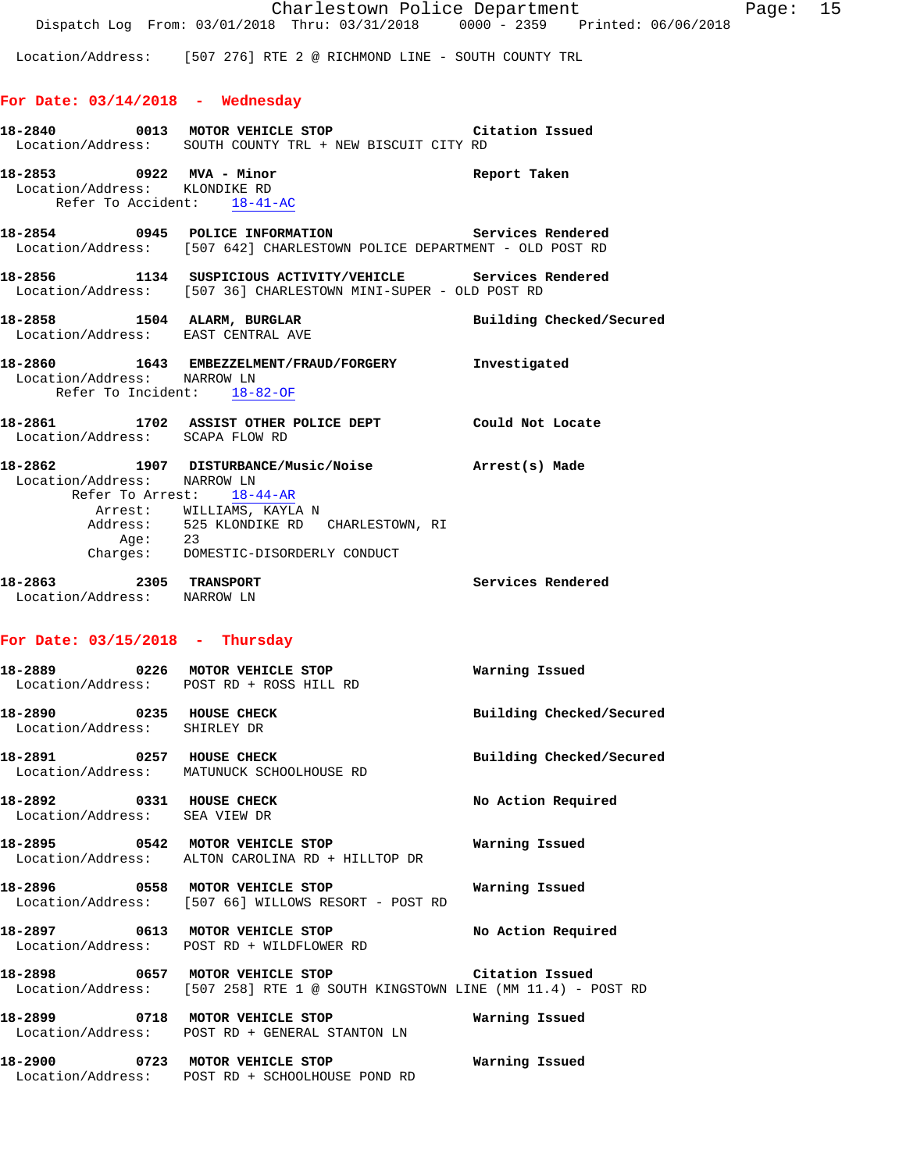Location/Address: [507 276] RTE 2 @ RICHMOND LINE - SOUTH COUNTY TRL

#### **For Date: 03/14/2018 - Wednesday**

|                                                                                          | 18-2840 0013 MOTOR VEHICLE STOP CIMENTER CONSERVED TRANSPORMENT COUNTY TRL + NEW BISCUIT CITY RD                                                                                 | Citation Issued          |
|------------------------------------------------------------------------------------------|----------------------------------------------------------------------------------------------------------------------------------------------------------------------------------|--------------------------|
| 18-2853 0922 MVA - Minor<br>Location/Address: KLONDIKE RD<br>Refer To Accident: 18-41-AC |                                                                                                                                                                                  | Report Taken             |
|                                                                                          | 18-2854 0945 POLICE INFORMATION Services Rendered<br>Location/Address: [507 642] CHARLESTOWN POLICE DEPARTMENT - OLD POST RD                                                     |                          |
|                                                                                          | 18-2856 1134 SUSPICIOUS ACTIVITY/VEHICLE Services Rendered<br>Location/Address: [507 36] CHARLESTOWN MINI-SUPER - OLD POST RD                                                    |                          |
| 18-2858 1504 ALARM, BURGLAR                                                              | Location/Address: EAST CENTRAL AVE                                                                                                                                               | Building Checked/Secured |
| Location/Address: NARROW LN<br>Refer To Incident: 18-82-OF                               | 18-2860 1643 EMBEZZELMENT/FRAUD/FORGERY Investigated                                                                                                                             |                          |
| Location/Address: SCAPA FLOW RD                                                          | 18-2861 1702 ASSIST OTHER POLICE DEPT Could Not Locate                                                                                                                           |                          |
| Location/Address: NARROW LN<br>Refer To Arrest: 18-44-AR                                 | 18-2862 1907 DISTURBANCE/Music/Noise Marrest(s) Made<br>Arrest: WILLIAMS, KAYLA N<br>Address: 525 KLONDIKE RD CHARLESTOWN, RI<br>Age: 23<br>Charges: DOMESTIC-DISORDERLY CONDUCT |                          |
| 18-2863 2305 TRANSPORT<br>Location/Address: NARROW LN                                    |                                                                                                                                                                                  | <b>Services Rendered</b> |
| For Date: $03/15/2018$ - Thursday                                                        |                                                                                                                                                                                  |                          |
|                                                                                          | 18-2889 0226 MOTOR VEHICLE STOP<br>Location/Address: POST RD + ROSS HILL RD                                                                                                      | Warning Issued           |
| 18-2890 0235 HOUSE CHECK<br>Location/Address: SHIRLEY DR                                 |                                                                                                                                                                                  | Building Checked/Secured |
| 18-2891 0257 HOUSE CHECK                                                                 | Location/Address: MATUNUCK SCHOOLHOUSE RD                                                                                                                                        | Building Checked/Secured |
| 18-2892 0331 HOUSE CHECK                                                                 |                                                                                                                                                                                  | No Action Required       |

Location/Address: SEA VIEW DR

**18-2895 0542 MOTOR VEHICLE STOP Warning Issued**  Location/Address: ALTON CAROLINA RD + HILLTOP DR

**18-2896 0558 MOTOR VEHICLE STOP Warning Issued**  Location/Address: [507 66] WILLOWS RESORT - POST RD

**18-2897 0613 MOTOR VEHICLE STOP No Action Required**  Location/Address: POST RD + WILDFLOWER RD

**18-2898 0657 MOTOR VEHICLE STOP Citation Issued**  Location/Address: [507 258] RTE 1 @ SOUTH KINGSTOWN LINE (MM 11.4) - POST RD

**18-2899 0718 MOTOR VEHICLE STOP Warning Issued**  Location/Address: POST RD + GENERAL STANTON LN

**18-2900 0723 MOTOR VEHICLE STOP Warning Issued**  Location/Address: POST RD + SCHOOLHOUSE POND RD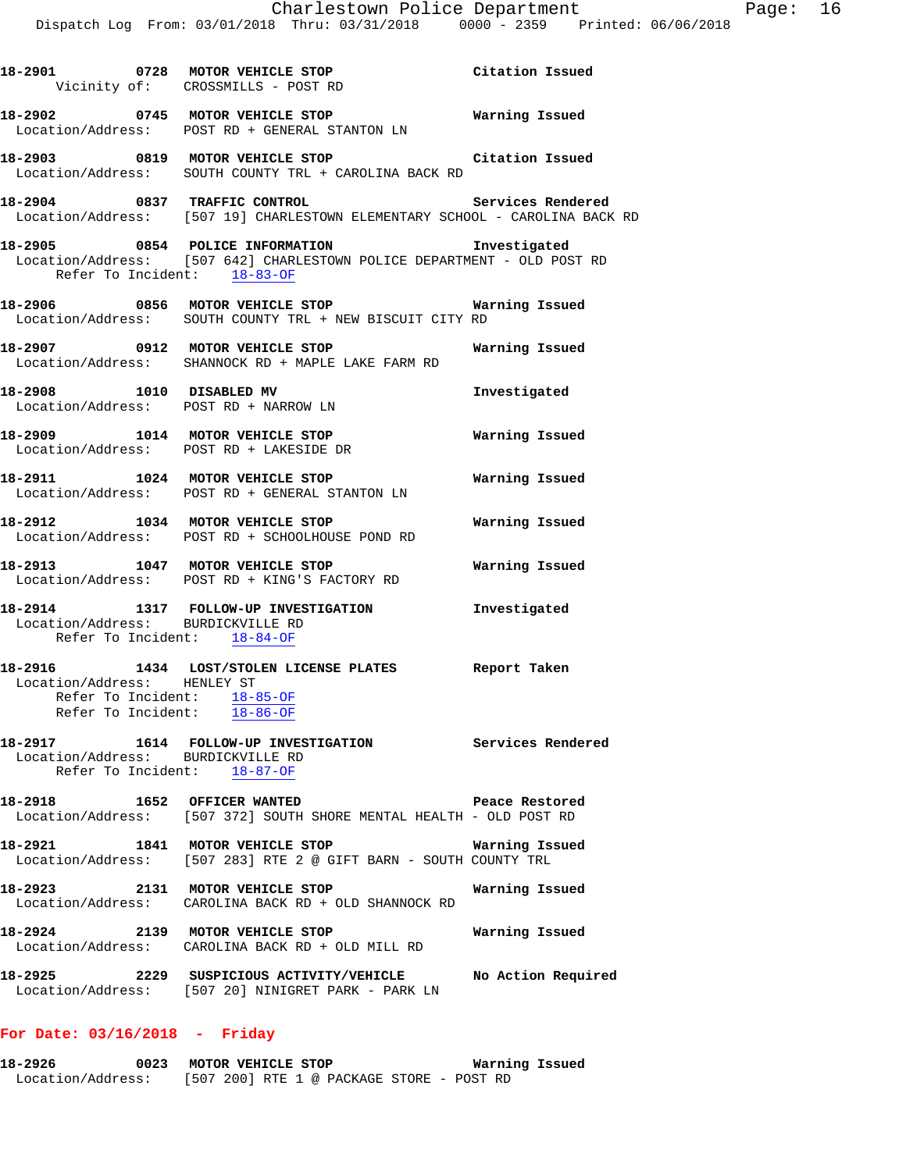|                                                                  | 18-2901 0728 MOTOR VEHICLE STOP Citation Issued<br>Vicinity of: CROSSMILLS - POST RD                                                  |                 |
|------------------------------------------------------------------|---------------------------------------------------------------------------------------------------------------------------------------|-----------------|
|                                                                  | 18-2902 0745 MOTOR VEHICLE STOP <b>Warning Issued</b><br>Location/Address: POST RD + GENERAL STANTON LN                               |                 |
|                                                                  | 18-2903 0819 MOTOR VEHICLE STOP<br>Location/Address: SOUTH COUNTY TRL + CAROLINA BACK RD                                              | Citation Issued |
|                                                                  | 18-2904 0837 TRAFFIC CONTROL CONTROL Services Rendered<br>Location/Address: [507 19] CHARLESTOWN ELEMENTARY SCHOOL - CAROLINA BACK RD |                 |
| Refer To Incident: 18-83-OF                                      | 18-2905 0854 POLICE INFORMATION<br>Location/Address: [507 642] CHARLESTOWN POLICE DEPARTMENT - OLD POST RD                            | Investigated    |
|                                                                  | 18-2906 0856 MOTOR VEHICLE STOP Warning Issued<br>Location/Address: SOUTH COUNTY TRL + NEW BISCUIT CITY RD                            |                 |
|                                                                  | 18-2907 0912 MOTOR VEHICLE STOP Warning Issued<br>Location/Address: SHANNOCK RD + MAPLE LAKE FARM RD                                  |                 |
|                                                                  | 18-2908 1010 DISABLED MV<br>Location/Address: POST RD + NARROW LN                                                                     | Investigated    |
|                                                                  | 18-2909 1014 MOTOR VEHICLE STOP <b>18-2909</b> Warning Issued<br>Location/Address: POST RD + LAKESIDE DR                              |                 |
|                                                                  | 18-2911 1024 MOTOR VEHICLE STOP<br>Location/Address: POST RD + GENERAL STANTON LN                                                     | Warning Issued  |
|                                                                  | 18-2912 1034 MOTOR VEHICLE STOP<br>Location/Address: POST RD + SCHOOLHOUSE POND RD                                                    | Warning Issued  |
|                                                                  | 18-2913 1047 MOTOR VEHICLE STOP<br>Location/Address: POST RD + KING'S FACTORY RD                                                      | Warning Issued  |
| Location/Address: BURDICKVILLE RD<br>Refer To Incident: 18-84-OF | 18-2914 1317 FOLLOW-UP INVESTIGATION Investigated                                                                                     |                 |
| Location/Address: HENLEY ST                                      | 18-2916 1434 LOST/STOLEN LICENSE PLATES Report Taken<br>Refer To Incident: 18-85-OF<br>Refer To Incident: 18-86-OF                    |                 |
| Location/Address: BURDICKVILLE RD                                | 18-2917 1614 FOLLOW-UP INVESTIGATION Services Rendered<br>Refer To Incident: 18-87-OF                                                 |                 |
|                                                                  | 18-2918 1652 OFFICER WANTED Peace Restore<br>Location/Address: [507 372] SOUTH SHORE MENTAL HEALTH - OLD POST RD                      | Peace Restored  |
|                                                                  | 18-2921 1841 MOTOR VEHICLE STOP Warning Is:<br>Location/Address: [507 283] RTE 2 @ GIFT BARN - SOUTH COUNTY TRL                       | Warning Issued  |
|                                                                  | 18-2923 2131 MOTOR VEHICLE STOP<br>Location/Address: CAROLINA BACK RD + OLD SHANNOCK RD                                               | Warning Issued  |
|                                                                  | 18-2924 2139 MOTOR VEHICLE STOP<br>Location/Address: CAROLINA BACK RD + OLD MILL RD                                                   | Warning Issued  |
|                                                                  | 18-2925 2229 SUSPICIOUS ACTIVITY/VEHICLE No Action Required<br>Location/Address: [507 20] NINIGRET PARK - PARK LN                     |                 |
|                                                                  |                                                                                                                                       |                 |

## **For Date: 03/16/2018 - Friday**

| 18-2926           | 0023 | MOTOR VEHICLE STOP |  |                                           |  |  | Warning Issued |  |
|-------------------|------|--------------------|--|-------------------------------------------|--|--|----------------|--|
| Location/Address: |      |                    |  | [507 200] RTE 1 @ PACKAGE STORE - POST RD |  |  |                |  |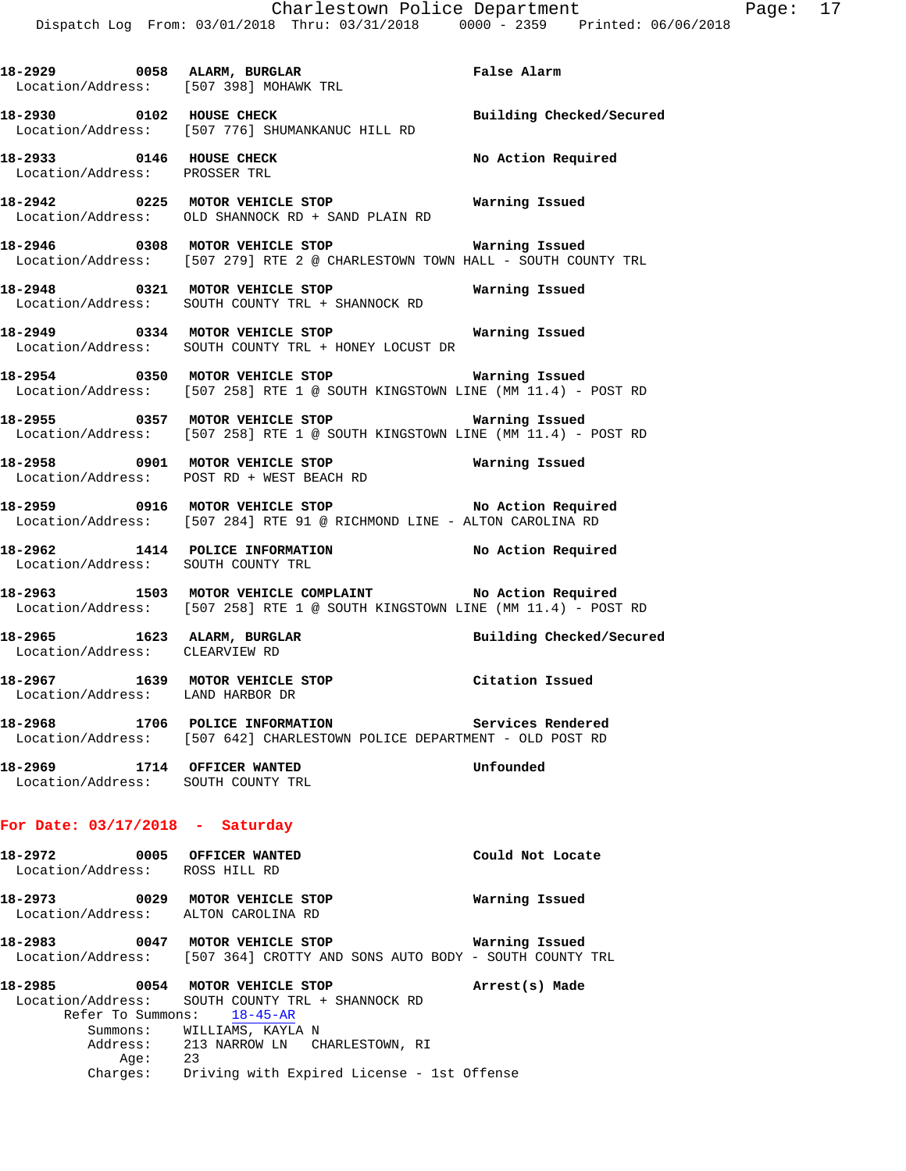**18-2929 0058 ALARM, BURGLAR False Alarm**  Location/Address: [507 398] MOHAWK TRL **18-2930 0102 HOUSE CHECK Building Checked/Secured**  Location/Address: [507 776] SHUMANKANUC HILL RD **18-2933 0146 HOUSE CHECK No Action Required**  Location/Address: PROSSER TRL **18-2942 0225 MOTOR VEHICLE STOP Warning Issued**  Location/Address: OLD SHANNOCK RD + SAND PLAIN RD **18-2946 0308 MOTOR VEHICLE STOP Warning Issued**  Location/Address: [507 279] RTE 2 @ CHARLESTOWN TOWN HALL - SOUTH COUNTY TRL **18-2948 0321 MOTOR VEHICLE STOP Warning Issued**  Location/Address: SOUTH COUNTY TRL + SHANNOCK RD **18-2949 0334 MOTOR VEHICLE STOP Warning Issued**  Location/Address: SOUTH COUNTY TRL + HONEY LOCUST DR **18-2954 0350 MOTOR VEHICLE STOP Warning Issued**  Location/Address: [507 258] RTE 1 @ SOUTH KINGSTOWN LINE (MM 11.4) - POST RD **18-2955 0357 MOTOR VEHICLE STOP Warning Issued**  Location/Address: [507 258] RTE 1 @ SOUTH KINGSTOWN LINE (MM 11.4) - POST RD **18-2958 0901 MOTOR VEHICLE STOP Warning Issued**  Location/Address: POST RD + WEST BEACH RD **18-2959 0916 MOTOR VEHICLE STOP No Action Required**  Location/Address: [507 284] RTE 91 @ RICHMOND LINE - ALTON CAROLINA RD **18-2962 1414 POLICE INFORMATION No Action Required**  Location/Address: SOUTH COUNTY TRL **18-2963 1503 MOTOR VEHICLE COMPLAINT No Action Required**  Location/Address: [507 258] RTE 1 @ SOUTH KINGSTOWN LINE (MM 11.4) - POST RD **18-2965 1623 ALARM, BURGLAR Building Checked/Secured**  Location/Address: CLEARVIEW RD **18-2967 1639 MOTOR VEHICLE STOP Citation Issued**  Location/Address: LAND HARBOR DR **18-2968 1706 POLICE INFORMATION Services Rendered**  Location/Address: [507 642] CHARLESTOWN POLICE DEPARTMENT - OLD POST RD **18-2969 1714 OFFICER WANTED Unfounded**  Location/Address: SOUTH COUNTY TRL **For Date: 03/17/2018 - Saturday 18-2972 0005 OFFICER WANTED Could Not Locate**  Location/Address: ROSS HILL RD **18-2973 0029 MOTOR VEHICLE STOP Warning Issued**  Location/Address: ALTON CAROLINA RD **18-2983 0047 MOTOR VEHICLE STOP Warning Issued**  Location/Address: [507 364] CROTTY AND SONS AUTO BODY - SOUTH COUNTY TRL **18-2985 0054 MOTOR VEHICLE STOP Arrest(s) Made** 

 Location/Address: SOUTH COUNTY TRL + SHANNOCK RD Refer To Summons: 18-45-AR Summons: WILLIAMS, KAYLA N Address: 213 NARROW LN CHARLESTOWN, RI Age: 23 Charges: Driving with Expired License - 1st Offense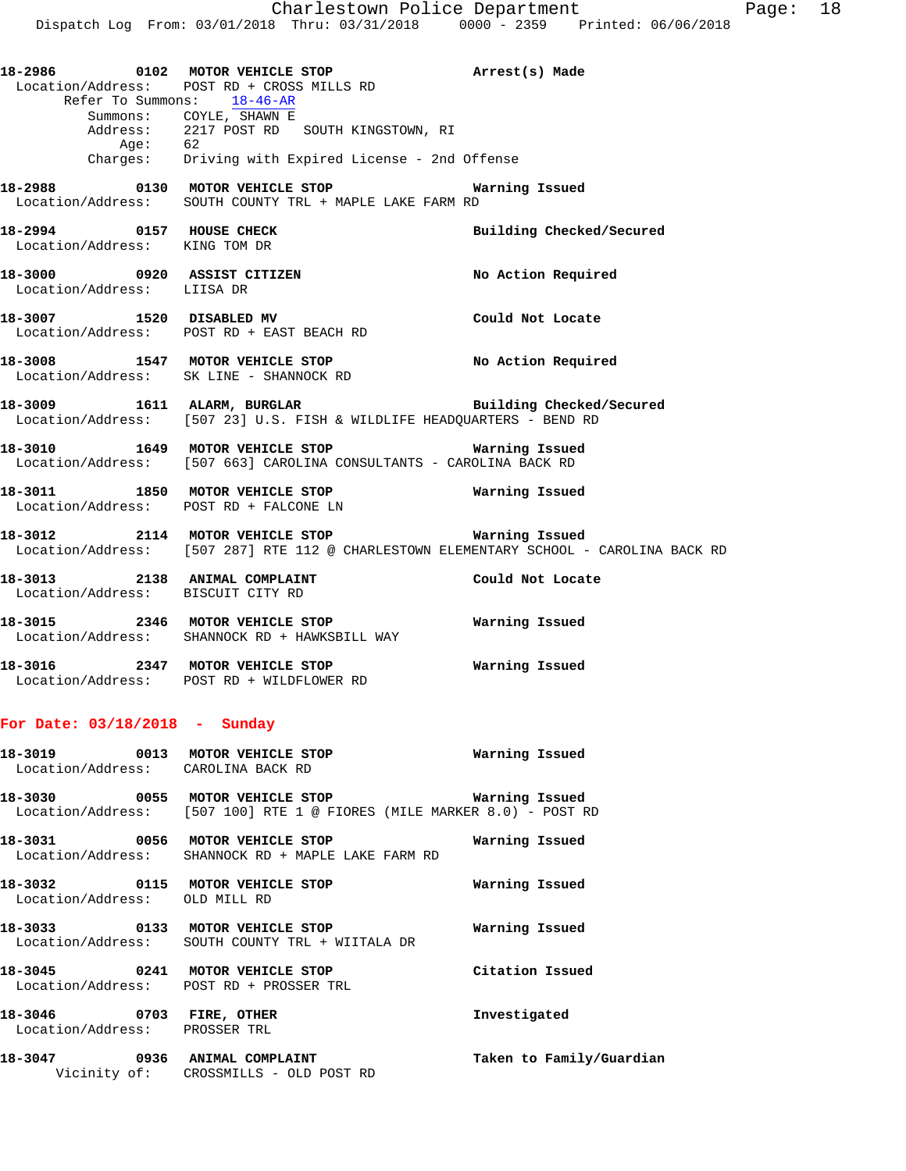**18-2986 0102 MOTOR VEHICLE STOP Arrest(s) Made**  Location/Address: POST RD + CROSS MILLS RD Refer To Summons: 18-46-AR Summons: COYLE, SHAWN E Address: 2217 POST RD SOUTH KINGSTOWN, RI Age: 62 Charges: Driving with Expired License - 2nd Offense **18-2988 0130 MOTOR VEHICLE STOP Warning Issued** 

Location/Address: SOUTH COUNTY TRL + MAPLE LAKE FARM RD

**18-2994 0157 HOUSE CHECK Building Checked/Secured**  Location/Address: KING TOM DR

**18-3000 0920 ASSIST CITIZEN No Action Required**  Location/Address: LIISA DR

**18-3007 1520 DISABLED MV Could Not Locate**  Location/Address: POST RD + EAST BEACH RD

**18-3008 1547 MOTOR VEHICLE STOP No Action Required**  Location/Address: SK LINE - SHANNOCK RD

**18-3009 1611 ALARM, BURGLAR Building Checked/Secured**  Location/Address: [507 23] U.S. FISH & WILDLIFE HEADQUARTERS - BEND RD

**18-3010 1649 MOTOR VEHICLE STOP Warning Issued**  Location/Address: [507 663] CAROLINA CONSULTANTS - CAROLINA BACK RD

**18-3011 1850 MOTOR VEHICLE STOP Warning Issued**  Location/Address: POST RD + FALCONE LN

**18-3012 2114 MOTOR VEHICLE STOP Warning Issued**  Location/Address: [507 287] RTE 112 @ CHARLESTOWN ELEMENTARY SCHOOL - CAROLINA BACK RD

**18-3013 2138 ANIMAL COMPLAINT Could Not Locate**  Location/Address: BISCUIT CITY RD

**18-3015 2346 MOTOR VEHICLE STOP Warning Issued**  Location/Address: SHANNOCK RD + HAWKSBILL WAY

**18-3016 2347 MOTOR VEHICLE STOP Warning Issued**  Location/Address: POST RD + WILDFLOWER RD

## **For Date: 03/18/2018 - Sunday**

**18-3019 0013 MOTOR VEHICLE STOP Warning Issued**  Location/Address: CAROLINA BACK RD **18-3030 0055 MOTOR VEHICLE STOP Warning Issued**  Location/Address: [507 100] RTE 1 @ FIORES (MILE MARKER 8.0) - POST RD

**18-3031 0056 MOTOR VEHICLE STOP Warning Issued**  Location/Address: SHANNOCK RD + MAPLE LAKE FARM RD

**18-3032 0115 MOTOR VEHICLE STOP Warning Issued**  Location/Address: OLD MILL RD

**18-3033 0133 MOTOR VEHICLE STOP Warning Issued**  Location/Address: SOUTH COUNTY TRL + WIITALA DR

**18-3045 0241 MOTOR VEHICLE STOP Citation Issued**  Location/Address: POST RD + PROSSER TRL

**18-3046 0703 FIRE, OTHER Investigated**  Location/Address: PROSSER TRL

**18-3047 0936 ANIMAL COMPLAINT Taken to Family/Guardian**  Vicinity of: CROSSMILLS - OLD POST RD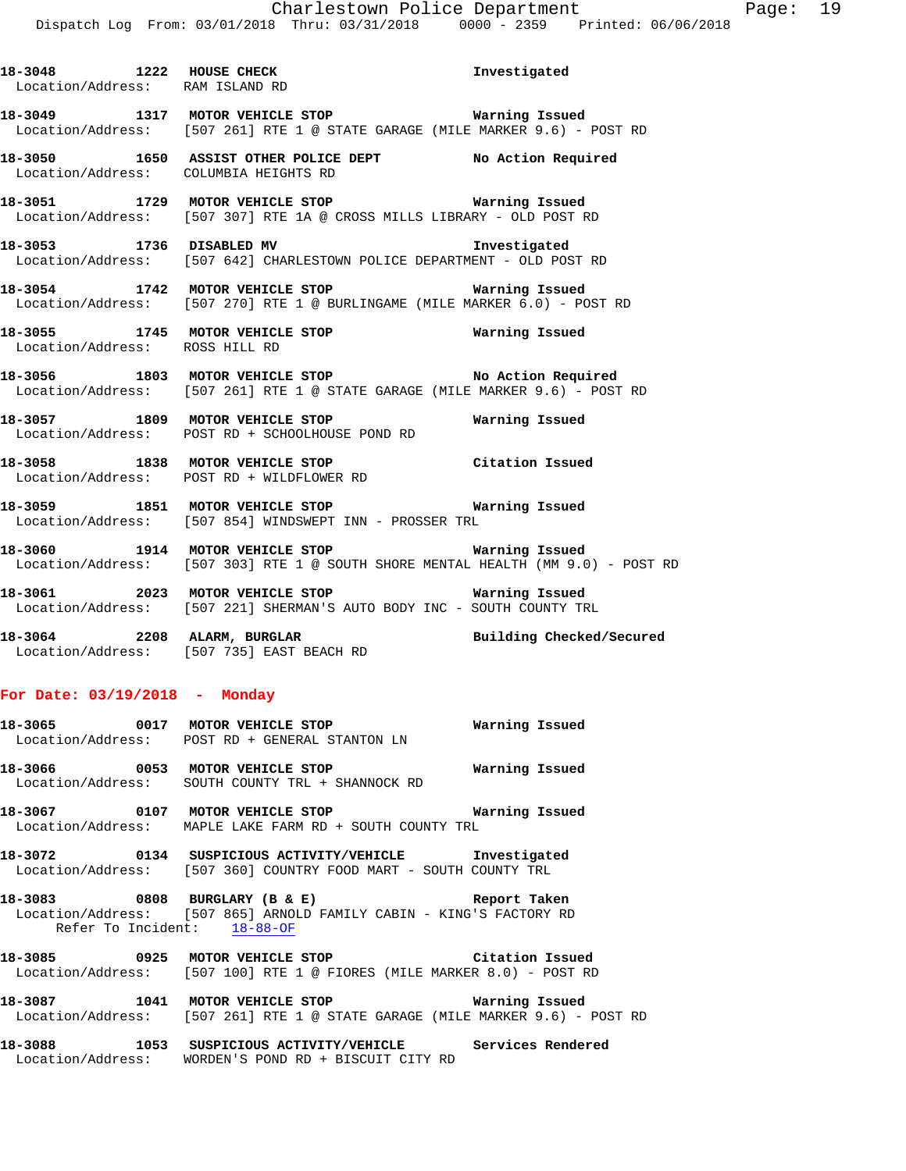**18-3048 1222 HOUSE CHECK Investigated**  Location/Address: RAM ISLAND RD **18-3049 1317 MOTOR VEHICLE STOP Warning Issued**  Location/Address: [507 261] RTE 1 @ STATE GARAGE (MILE MARKER 9.6) - POST RD **18-3050 1650 ASSIST OTHER POLICE DEPT No Action Required**  Location/Address: COLUMBIA HEIGHTS RD **18-3051 1729 MOTOR VEHICLE STOP Warning Issued**  Location/Address: [507 307] RTE 1A @ CROSS MILLS LIBRARY - OLD POST RD **18-3053 1736 DISABLED MV Investigated**  Location/Address: [507 642] CHARLESTOWN POLICE DEPARTMENT - OLD POST RD **18-3054 1742 MOTOR VEHICLE STOP Warning Issued**  Location/Address: [507 270] RTE 1 @ BURLINGAME (MILE MARKER 6.0) - POST RD **18-3055 1745 MOTOR VEHICLE STOP Warning Issued**  Location/Address: ROSS HILL RD **18-3056 1803 MOTOR VEHICLE STOP No Action Required**  Location/Address: [507 261] RTE 1 @ STATE GARAGE (MILE MARKER 9.6) - POST RD **18-3057 1809 MOTOR VEHICLE STOP Warning Issued**  Location/Address: POST RD + SCHOOLHOUSE POND RD **18-3058 1838 MOTOR VEHICLE STOP Citation Issued**  Location/Address: POST RD + WILDFLOWER RD **18-3059 1851 MOTOR VEHICLE STOP Warning Issued**  Location/Address: [507 854] WINDSWEPT INN - PROSSER TRL **18-3060 1914 MOTOR VEHICLE STOP Warning Issued**  Location/Address: [507 303] RTE 1 @ SOUTH SHORE MENTAL HEALTH (MM 9.0) - POST RD **18-3061 2023 MOTOR VEHICLE STOP Warning Issued**  Location/Address: [507 221] SHERMAN'S AUTO BODY INC - SOUTH COUNTY TRL **18-3064 2208 ALARM, BURGLAR Building Checked/Secured**  Location/Address: [507 735] EAST BEACH RD **For Date: 03/19/2018 - Monday 18-3065 0017 MOTOR VEHICLE STOP Warning Issued**  Location/Address: POST RD + GENERAL STANTON LN **18-3066 0053 MOTOR VEHICLE STOP Warning Issued**  Location/Address: SOUTH COUNTY TRL + SHANNOCK RD **18-3067 0107 MOTOR VEHICLE STOP Warning Issued**  Location/Address: MAPLE LAKE FARM RD + SOUTH COUNTY TRL **18-3072 0134 SUSPICIOUS ACTIVITY/VEHICLE Investigated**  Location/Address: [507 360] COUNTRY FOOD MART - SOUTH COUNTY TRL

**18-3083 0808 BURGLARY (B & E) Report Taken**  Location/Address: [507 865] ARNOLD FAMILY CABIN - KING'S FACTORY RD Refer To Incident: 18-88-OF

**18-3085 0925 MOTOR VEHICLE STOP Citation Issued**  Location/Address: [507 100] RTE 1 @ FIORES (MILE MARKER 8.0) - POST RD

**18-3087 1041 MOTOR VEHICLE STOP Warning Issued**  Location/Address: [507 261] RTE 1 @ STATE GARAGE (MILE MARKER 9.6) - POST RD

**18-3088 1053 SUSPICIOUS ACTIVITY/VEHICLE Services Rendered**  Location/Address: WORDEN'S POND RD + BISCUIT CITY RD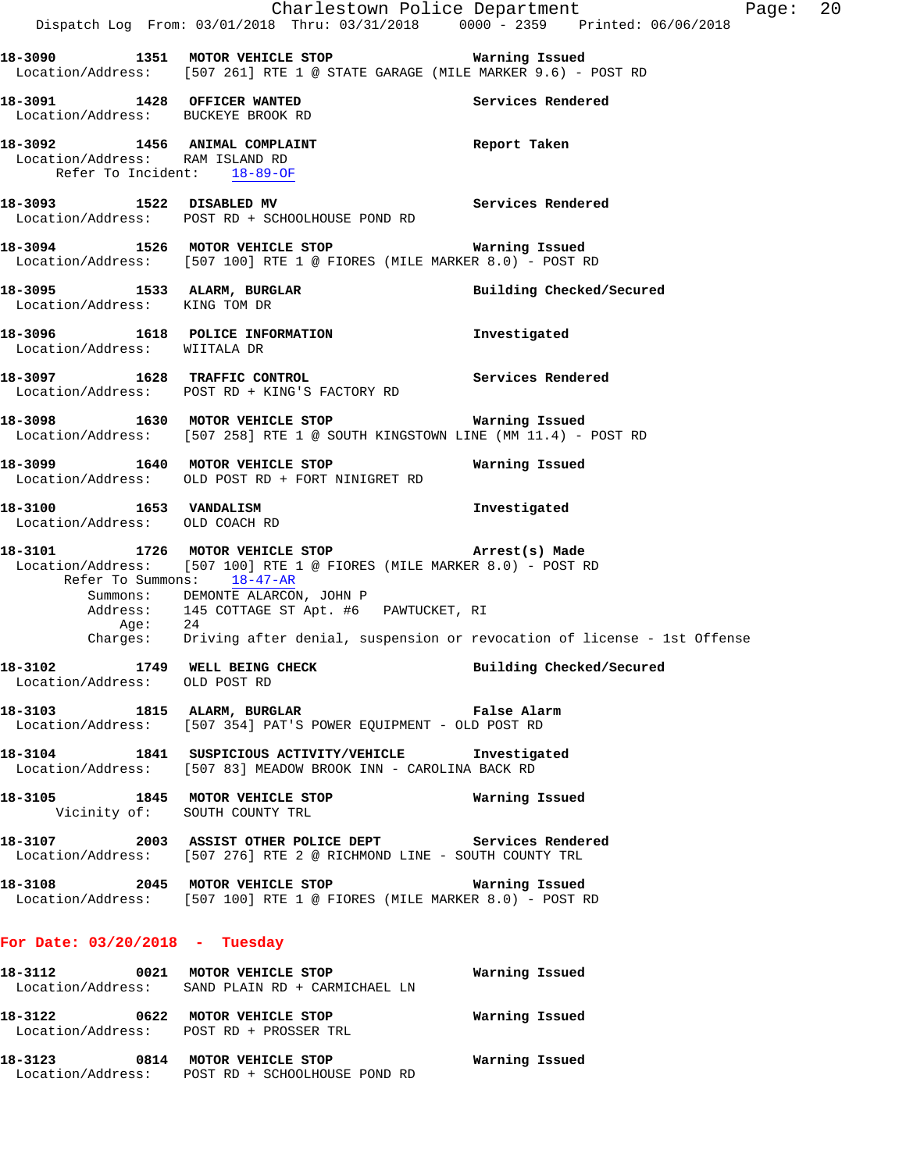|                                                                   | Dispatch Log From: 03/01/2018 Thru: 03/31/2018 0000 - 2359 Printed: 06/06/2018                                                                                        | Charlestown Police Department<br>Page: 20 |
|-------------------------------------------------------------------|-----------------------------------------------------------------------------------------------------------------------------------------------------------------------|-------------------------------------------|
|                                                                   | 18-3090 1351 MOTOR VEHICLE STOP 6 Warning Issued<br>Location/Address: [507 261] RTE 1 @ STATE GARAGE (MILE MARKER 9.6) - POST RD                                      |                                           |
| 18-3091 1428 OFFICER WANTED<br>Location/Address: BUCKEYE BROOK RD |                                                                                                                                                                       | Services Rendered                         |
| Location/Address: RAM ISLAND RD<br>Refer To Incident: 18-89-OF    | 18-3092 1456 ANIMAL COMPLAINT                                                                                                                                         | Report Taken                              |
|                                                                   | 18-3093 1522 DISABLED MV<br>Location/Address: POST RD + SCHOOLHOUSE POND RD                                                                                           | Services Rendered                         |
|                                                                   | 18-3094 1526 MOTOR VEHICLE STOP <b>Warning Issued</b><br>Location/Address: [507 100] RTE 1 @ FIORES (MILE MARKER 8.0) - POST RD                                       |                                           |
| Location/Address: KING TOM DR                                     | 18-3095 1533 ALARM, BURGLAR                                                                                                                                           | Building Checked/Secured                  |
| Location/Address: WIITALA DR                                      | 18-3096 1618 POLICE INFORMATION                                                                                                                                       | Investigated                              |
|                                                                   | 18-3097 1628 TRAFFIC CONTROL<br>Location/Address: POST RD + KING'S FACTORY RD                                                                                         | Services Rendered                         |
|                                                                   | 18-3098 1630 MOTOR VEHICLE STOP 6 Warning Issued<br>Location/Address: [507 258] RTE 1 @ SOUTH KINGSTOWN LINE (MM 11.4) - POST RD                                      |                                           |
|                                                                   | 18-3099 1640 MOTOR VEHICLE STOP<br>Location/Address: OLD POST RD + FORT NINIGRET RD                                                                                   | Warning Issued                            |
| 18-3100 1653 VANDALISM<br>Location/Address: OLD COACH RD          |                                                                                                                                                                       | Investigated                              |
|                                                                   | 18-3101 1726 MOTOR VEHICLE STOP <b>Arrest(s)</b> Made<br>Location/Address: [507 100] RTE 1 @ FIORES (MILE MARKER 8.0) - POST RD<br>Refer To Summons: 18-47-AR         |                                           |
| Age: 24                                                           | Summons: DEMONTE ALARCON, JOHN P<br>Address: 145 COTTAGE ST Apt. #6 PAWTUCKET, RI<br>Charges: Driving after denial, suspension or revocation of license - 1st Offense |                                           |
| Location/Address: OLD POST RD                                     | 18-3102 1749 WELL BEING CHECK Building Checked/Secured                                                                                                                |                                           |
|                                                                   | 18-3103 1815 ALARM, BURGLAR 18 False Alarm<br>Location/Address: [507 354] PAT'S POWER EQUIPMENT - OLD POST RD                                                         |                                           |
|                                                                   | 18-3104 1841 SUSPICIOUS ACTIVITY/VEHICLE Investigated<br>Location/Address: [507 83] MEADOW BROOK INN - CAROLINA BACK RD                                               |                                           |
| Vicinity of: SOUTH COUNTY TRL                                     | 18-3105 1845 MOTOR VEHICLE STOP Warning Issued                                                                                                                        |                                           |
|                                                                   | 18-3107 2003 ASSIST OTHER POLICE DEPT Services Rendered<br>Location/Address: [507 276] RTE 2 @ RICHMOND LINE - SOUTH COUNTY TRL                                       |                                           |
|                                                                   | 18-3108 2045 MOTOR VEHICLE STOP Warning Issued<br>Location/Address: [507 100] RTE 1 @ FIORES (MILE MARKER 8.0) - POST RD                                              |                                           |
| For Date: $03/20/2018$ - Tuesday                                  |                                                                                                                                                                       |                                           |
|                                                                   | 18-3112 0021 MOTOR VEHICLE STOP 600 Warning Issued<br>Location/Address: SAND PLAIN RD + CARMICHAEL LN                                                                 |                                           |
|                                                                   | 18-3122 0622 MOTOR VEHICLE STOP <b>Warning Issued</b><br>Location/Address: POST RD + PROSSER TRL                                                                      |                                           |
|                                                                   | 18-3123 0814 MOTOR VEHICLE STOP 6 Warning Issued<br>Location/Address: POST RD + SCHOOLHOUSE POND RD                                                                   |                                           |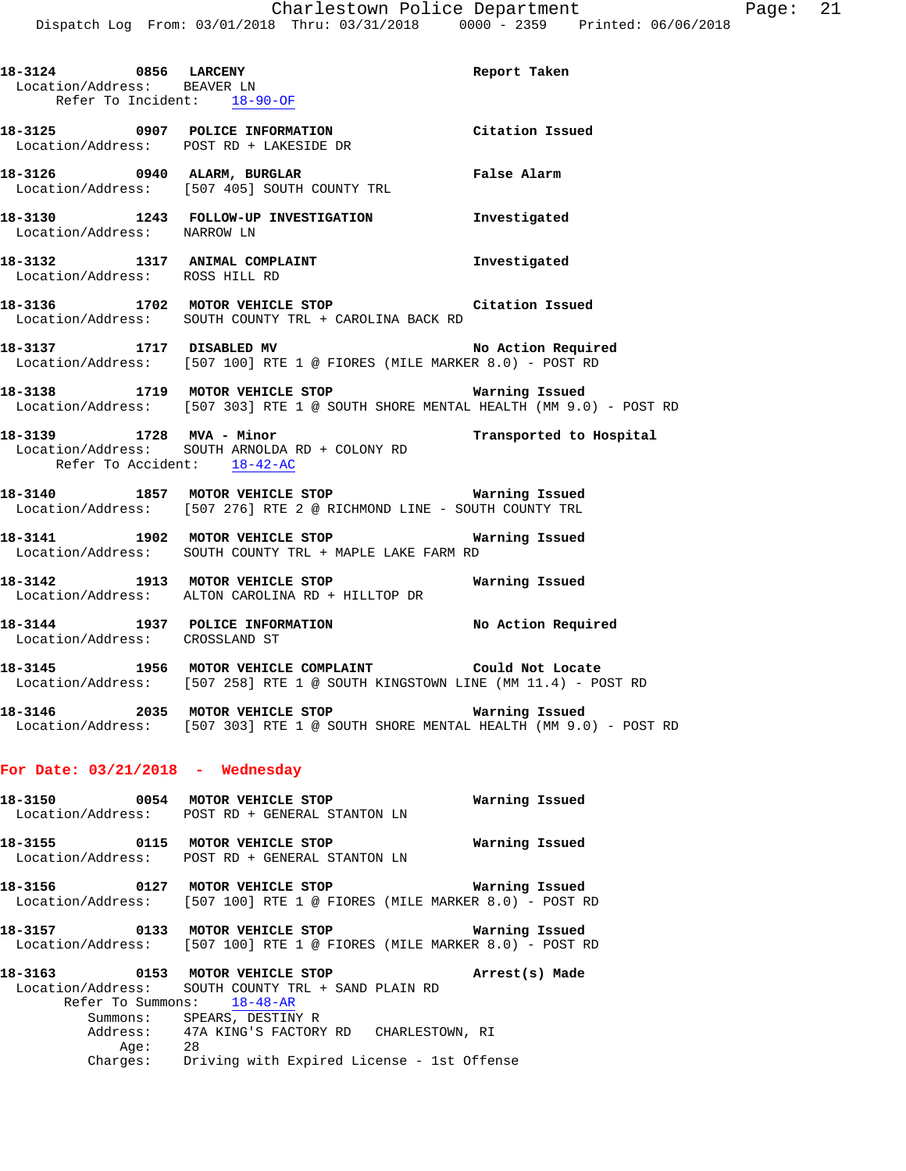| 18-3124 0856 LARCENY<br>Location/Address: BEAVER LN |                                                                                                                                                   | Report Taken   |
|-----------------------------------------------------|---------------------------------------------------------------------------------------------------------------------------------------------------|----------------|
| Refer To Incident: 18-90-OF                         |                                                                                                                                                   |                |
|                                                     | 18-3125 0907 POLICE INFORMATION Citation Issued<br>Location/Address: POST RD + LAKESIDE DR                                                        |                |
|                                                     | 18-3126      0940 ALARM, BURGLAR             False Alarm<br>Location/Address:   [507 405] SOUTH COUNTY TRL                                        |                |
| Location/Address: NARROW LN                         | 18-3130 1243 FOLLOW-UP INVESTIGATION Investigated                                                                                                 |                |
| Location/Address: ROSS HILL RD                      |                                                                                                                                                   |                |
|                                                     | 18-3136 1702 MOTOR VEHICLE STOP Citation Issued<br>Location/Address: SOUTH COUNTY TRL + CAROLINA BACK RD                                          |                |
|                                                     | 18-3137 1717 DISABLED MV No Action Required<br>Location/Address: [507 100] RTE 1 @ FIORES (MILE MARKER 8.0) - POST RD                             |                |
|                                                     |                                                                                                                                                   |                |
| Refer To Accident: 18-42-AC                         | 18-3139   1728   MVA - Minor<br>Location/Address:   SOUTH ARNOLDA RD + COLONY RD                                                                  |                |
|                                                     | 18-3140 1857 MOTOR VEHICLE STOP <b>National Manual</b><br>Location/Address: [507 276] RTE 2 @ RICHMOND LINE - SOUTH COUNTY TRL                    |                |
|                                                     | 18-3141 1902 MOTOR VEHICLE STOP Narning Issued<br>Location/Address: SOUTH COUNTY TRL + MAPLE LAKE FARM RD                                         |                |
|                                                     | 18-3142 1913 MOTOR VEHICLE STOP <b>18-3142</b> Warning Issued<br>Location/Address: ALTON CAROLINA RD + HILLTOP DR                                 |                |
| Location/Address: CROSSLAND ST                      | 18-3144 1937 POLICE INFORMATION No Action Required                                                                                                |                |
|                                                     | 18-3145 1956 MOTOR VEHICLE COMPLAINT Could Not Locate<br>Location/Address: [507 258] RTE 1 @ SOUTH KINGSTOWN LINE (MM 11.4) - POST RD             |                |
|                                                     | Location/Address: [507 303] RTE 1 @ SOUTH SHORE MENTAL HEALTH (MM 9.0) - POST RD                                                                  |                |
| For Date: $03/21/2018$ - Wednesday                  |                                                                                                                                                   |                |
|                                                     | 18-3150 0054 MOTOR VEHICLE STOP<br>Location/Address: POST RD + GENERAL STANTON LN                                                                 | Warning Issued |
|                                                     | 18-3155 0115 MOTOR VEHICLE STOP<br>Location/Address: POST RD + GENERAL STANTON LN                                                                 | Warning Issued |
|                                                     | 18-3156 0127 MOTOR VEHICLE STOP<br>Location/Address: [507 100] RTE 1 @ FIORES (MILE MARKER 8.0) - POST RD                                         | Warning Issued |
|                                                     | 18-3157 0133 MOTOR VEHICLE STOP<br>Location/Address: [507 100] RTE 1 @ FIORES (MILE MARKER 8.0) - POST RD                                         | Warning Issued |
|                                                     | 18-3163 0153 MOTOR VEHICLE STOP<br>Location/Address: SOUTH COUNTY TRL + SAND PLAIN RD<br>Refer To Summons: 18-48-AR<br>Summons: SPEARS, DESTINY R | Arrest(s) Made |
|                                                     | Address: 47A KING'S FACTORY RD CHARLESTOWN, RI                                                                                                    |                |
|                                                     | Age: 28<br>Charges: Driving with Expired License - 1st Offense                                                                                    |                |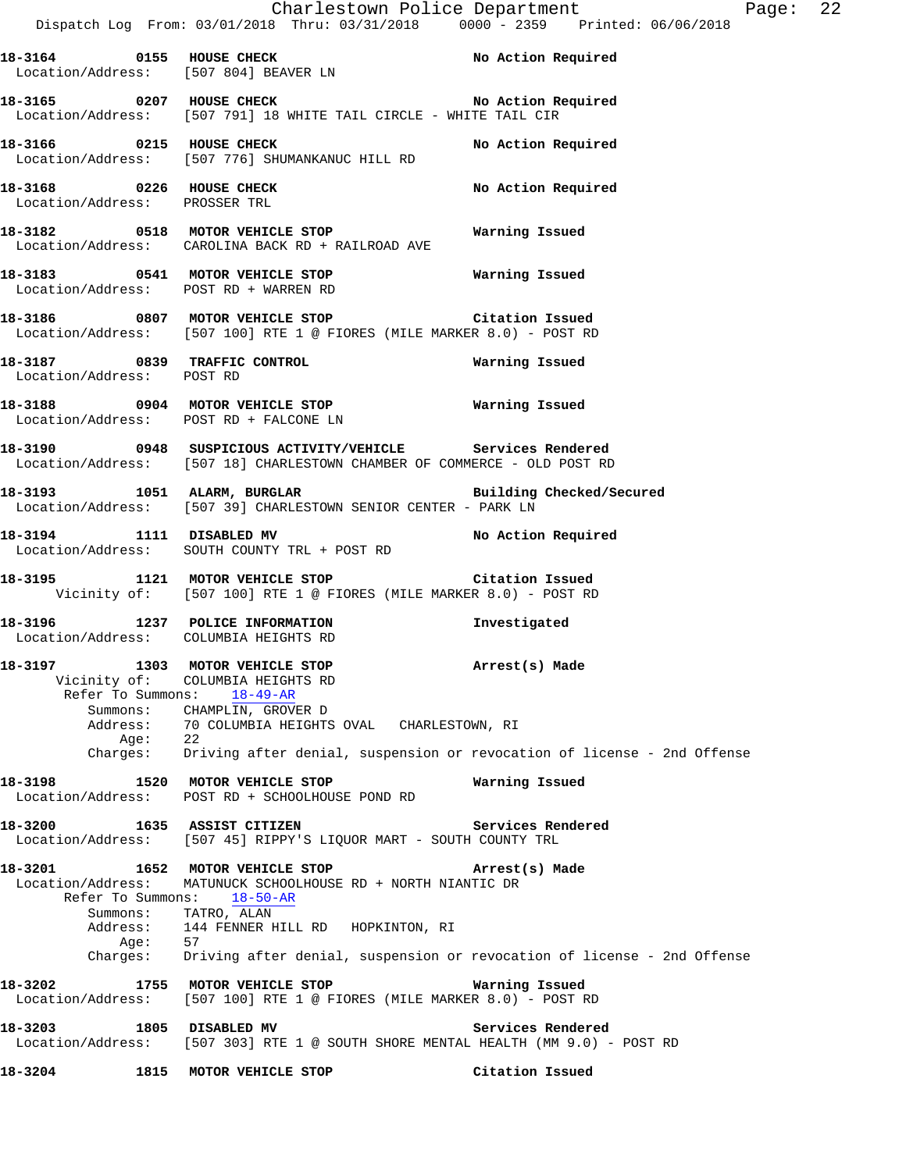|                                                                      | Dispatch Log From: 03/01/2018 Thru: 03/31/2018 0000 - 2359 Printed: 06/06/2018                                                                                       | Charlestown Police Department<br>Page: 22                                                          |  |
|----------------------------------------------------------------------|----------------------------------------------------------------------------------------------------------------------------------------------------------------------|----------------------------------------------------------------------------------------------------|--|
|                                                                      | 18-3164 0155 HOUSE CHECK 1N No Action Required Location/Address: [507 804] BEAVER LN                                                                                 |                                                                                                    |  |
|                                                                      | 18-3165 0207 HOUSE CHECK NO No Action Required<br>Location/Address: [507 791] 18 WHITE TAIL CIRCLE - WHITE TAIL CIR                                                  |                                                                                                    |  |
|                                                                      | 18-3166      0215   HOUSE CHECK<br>Location/Address:   [507 776] SHUMANKANUC HILL RD                                                                                 | No Action Required                                                                                 |  |
| 18-3168 0226 HOUSE CHECK<br>Location/Address: PROSSER TRL            |                                                                                                                                                                      | No Action Required                                                                                 |  |
|                                                                      | 18-3182 0518 MOTOR VEHICLE STOP<br>Location/Address: CAROLINA BACK RD + RAILROAD AVE                                                                                 | Warning Issued                                                                                     |  |
| Location/Address: POST RD + WARREN RD                                | 18-3183 6541 MOTOR VEHICLE STOP 6 6 Warning Issued                                                                                                                   |                                                                                                    |  |
|                                                                      | 18-3186 6807 MOTOR VEHICLE STOP 1999 Citation Issued<br>Location/Address: [507 100] RTE 1 @ FIORES (MILE MARKER 8.0) - POST RD                                       |                                                                                                    |  |
| Location/Address: POST RD                                            | 18-3187 0839 TRAFFIC CONTROL                                                                                                                                         | Warning Issued                                                                                     |  |
|                                                                      | Location/Address: POST RD + FALCONE LN                                                                                                                               |                                                                                                    |  |
|                                                                      | 18-3190 0948 SUSPICIOUS ACTIVITY/VEHICLE Services Rendered<br>Location/Address: [507 18] CHARLESTOWN CHAMBER OF COMMERCE - OLD POST RD                               |                                                                                                    |  |
|                                                                      | 18-3193 1051 ALARM, BURGLAR 1997 Building Checked/Secured<br>Location/Address: [507 39] CHARLESTOWN SENIOR CENTER - PARK LN                                          |                                                                                                    |  |
|                                                                      | 18-3194 1111 DISABLED MV 18-3194<br>Location/Address: SOUTH COUNTY TRL + POST RD                                                                                     |                                                                                                    |  |
|                                                                      | 18-3195 1121 MOTOR VEHICLE STOP Citation Issued<br>Vicinity of: [507 100] RTE 1 @ FIORES (MILE MARKER 8.0) - POST RD                                                 |                                                                                                    |  |
| Location/Address: COLUMBIA HEIGHTS RD                                | 18-3196 1237 POLICE INFORMATION                                                                                                                                      | Investigated                                                                                       |  |
| 18-3197 1303 MOTOR VEHICLE STOP<br>Vicinity of:<br>Refer To Summons: | COLUMBIA HEIGHTS RD<br>$18 - 49 - AR$                                                                                                                                | Arrest(s) Made                                                                                     |  |
|                                                                      | Summons: CHAMPLIN, GROVER D<br>Address: 70 COLUMBIA HEIGHTS OVAL CHARLESTOWN, RI                                                                                     |                                                                                                    |  |
|                                                                      |                                                                                                                                                                      | Age: 22<br>Charges: Driving after denial, suspension or revocation of license - 2nd Offense        |  |
| 18-3198                                                              | 1520 MOTOR VEHICLE STOP<br>Location/Address: POST RD + SCHOOLHOUSE POND RD                                                                                           | Warning Issued                                                                                     |  |
| 18-3200                                                              | 1635 ASSIST CITIZEN<br>Location/Address: [507 45] RIPPY'S LIQUOR MART - SOUTH COUNTY TRL                                                                             | Services Rendered                                                                                  |  |
| Location/Address:<br>Refer To Summons:<br>Aqe:                       | 18-3201 1652 MOTOR VEHICLE STOP<br>MATUNUCK SCHOOLHOUSE RD + NORTH NIANTIC DR<br>18-50-AR<br>Summons: TATRO, ALAN<br>Address: 144 FENNER HILL RD HOPKINTON, RI<br>57 | Arrest(s) Made<br>Charges: Driving after denial, suspension or revocation of license - 2nd Offense |  |
| 18-3202 2001<br>Location/Address:                                    | 1755 MOTOR VEHICLE STOP<br>$[507 100]$ RTE 1 @ FIORES (MILE MARKER 8.0) - POST RD                                                                                    | Warning Issued                                                                                     |  |
| 18-3203 1805 DISABLED MV                                             | Location/Address: [507 303] RTE 1 @ SOUTH SHORE MENTAL HEALTH (MM 9.0) - POST RD                                                                                     | Services Rendered                                                                                  |  |
| 18-3204                                                              | 1815 MOTOR VEHICLE STOP                                                                                                                                              | Citation Issued                                                                                    |  |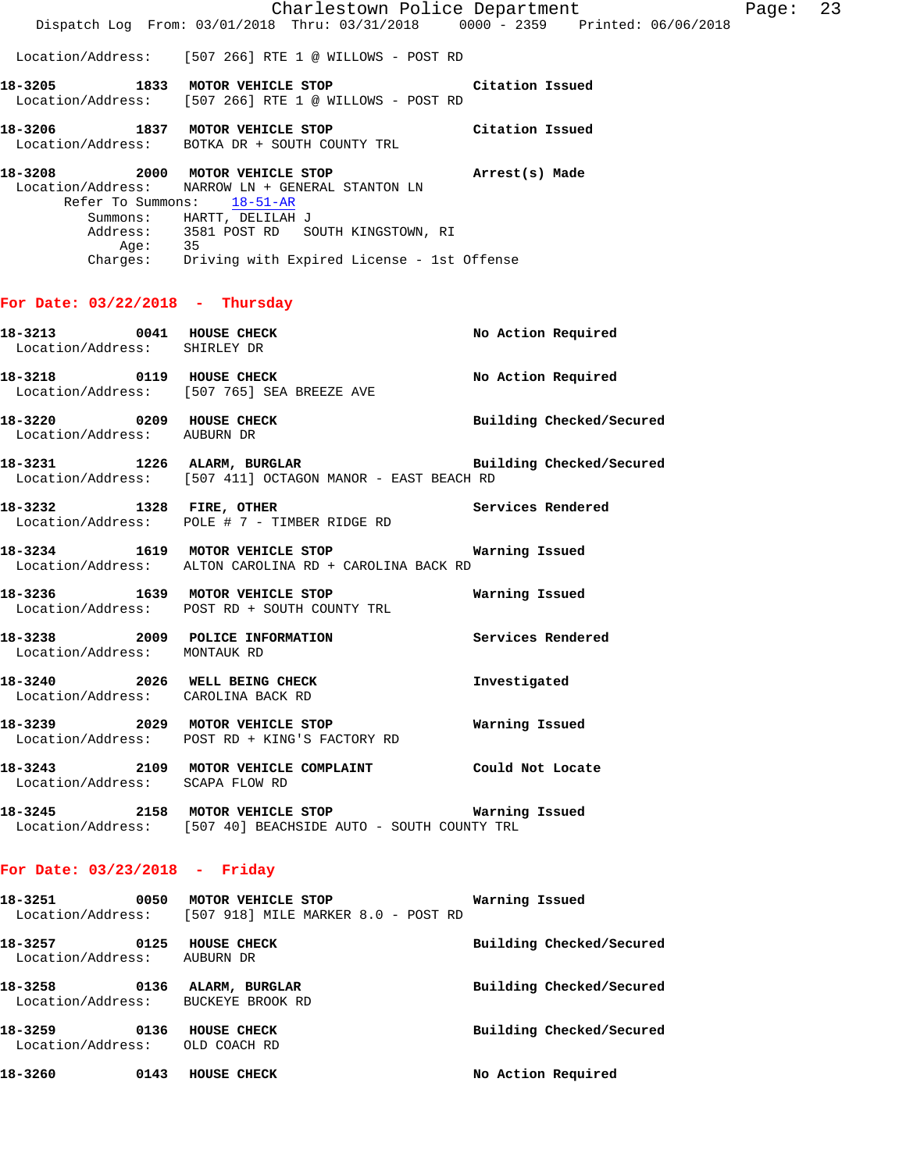Charlestown Police Department Page: 23 Dispatch Log From: 03/01/2018 Thru: 03/31/2018 0000 - 2359 Printed: 06/06/2018 Location/Address: [507 266] RTE 1 @ WILLOWS - POST RD **18-3205 1833 MOTOR VEHICLE STOP Citation Issued**  Location/Address: [507 266] RTE 1 @ WILLOWS - POST RD **18-3206 1837 MOTOR VEHICLE STOP Citation Issued**  Location/Address: BOTKA DR + SOUTH COUNTY TRL **18-3208 2000 MOTOR VEHICLE STOP Arrest(s) Made**  Location/Address: NARROW LN + GENERAL STANTON LN Refer To Summons: 18-51-AR Summons: HARTT, DELILAH J<br>Address: 3581 POST RD SO 3581 POST RD SOUTH KINGSTOWN, RI Age: 35

#### **For Date: 03/22/2018 - Thursday**

| <b>18-3213 0041 HOUSE CHECK</b><br>Location/Address: SHIRLEY DR |      |                                                                                           | No Action Required       |
|-----------------------------------------------------------------|------|-------------------------------------------------------------------------------------------|--------------------------|
|                                                                 |      | Location/Address: [507 765] SEA BREEZE AVE                                                | No Action Required       |
| 0209<br>18-3220<br>Location/Address: AUBURN DR                  |      | <b>HOUSE CHECK</b>                                                                        | Building Checked/Secured |
| 18-3231 1226 ALARM, BURGLAR                                     |      | Location/Address: [507 411] OCTAGON MANOR - EAST BEACH RD                                 | Building Checked/Secured |
| 18-3232 1328 FIRE, OTHER                                        |      | $Location/Address: POLE # 7 - TIMEER RIDGE RD$                                            | Services Rendered        |
|                                                                 |      | 18-3234 1619 MOTOR VEHICLE STOP<br>Location/Address: ALTON CAROLINA RD + CAROLINA BACK RD | Warning Issued           |
| 18-3236                                                         | 1639 | MOTOR VEHICLE STOP                                                                        | Warning Issued           |

Charges: Driving with Expired License - 1st Offense

 Location/Address: POST RD + SOUTH COUNTY TRL **18-3238 2009 POLICE INFORMATION Services Rendered** 

**18-3240 2026 WELL BEING CHECK Investigated**  Location/Address: CAROLINA BACK RD

**18-3239 2029 MOTOR VEHICLE STOP Warning Issued**  Location/Address: POST RD + KING'S FACTORY RD

**18-3243 2109 MOTOR VEHICLE COMPLAINT Could Not Locate**  Location/Address: SCAPA FLOW RD

**18-3245 2158 MOTOR VEHICLE STOP Warning Issued**  Location/Address: [507 40] BEACHSIDE AUTO - SOUTH COUNTY TRL

## **For Date: 03/23/2018 - Friday**

Location/Address: MONTAUK RD

| 18–3251                      | 0050 | MOTOR VEHICLE STOP<br>Location/Address: [507 918] MILE MARKER 8.0 - POST RD | Warning Issued           |
|------------------------------|------|-----------------------------------------------------------------------------|--------------------------|
| 18-3257<br>Location/Address: | 0125 | HOUSE CHECK<br>AUBURN DR                                                    | Building Checked/Secured |
| 18-3258<br>Location/Address: | 0136 | ALARM, BURGLAR<br>BUCKEYE BROOK RD                                          | Building Checked/Secured |
| 18-3259<br>Location/Address: | 0136 | HOUSE CHECK<br>OLD COACH RD                                                 | Building Checked/Secured |
| 18-3260                      | 0143 | <b>HOUSE CHECK</b>                                                          | No Action Required       |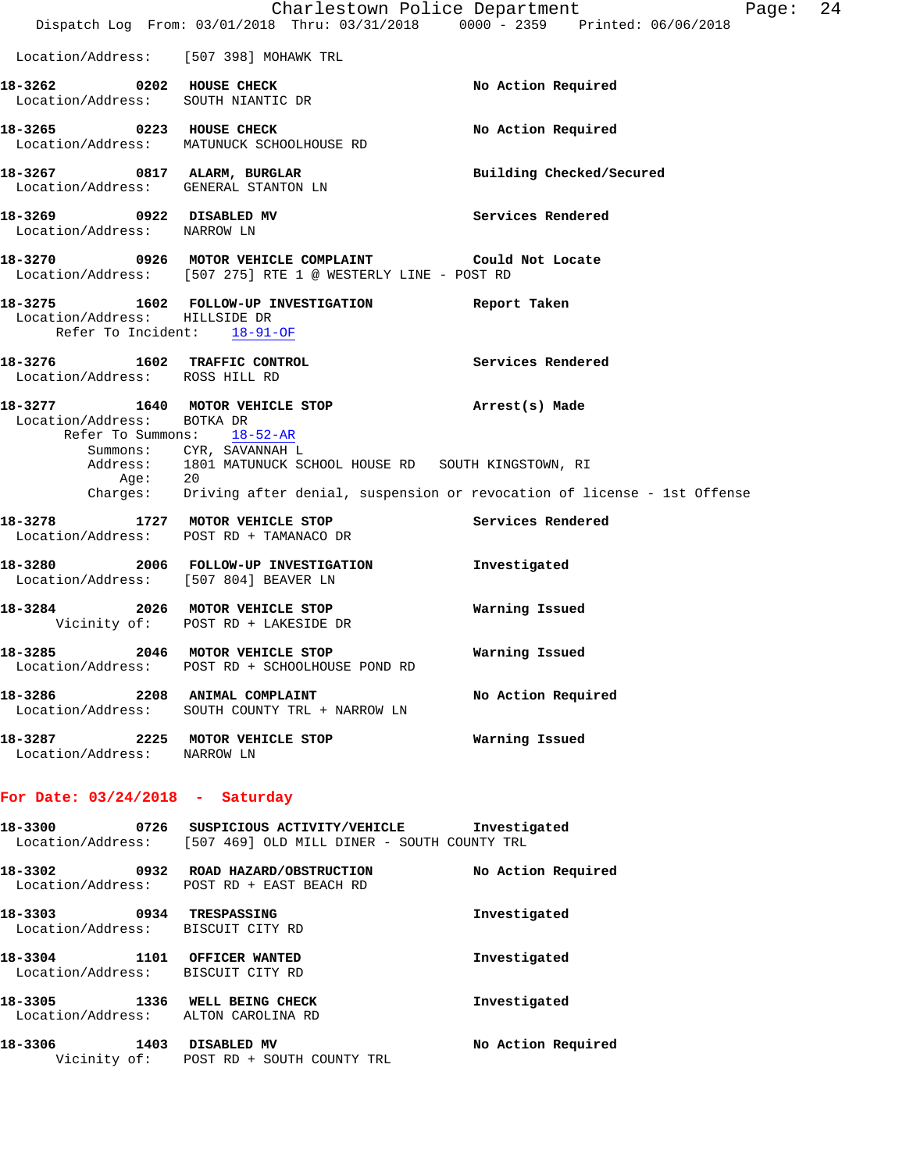|                                                                      | Dispatch Log From: 03/01/2018 Thru: 03/31/2018 0000 - 2359 Printed: 06/06/2018                                         | Charlestown Police Department<br>24<br>Page: |
|----------------------------------------------------------------------|------------------------------------------------------------------------------------------------------------------------|----------------------------------------------|
|                                                                      | Location/Address: [507 398] MOHAWK TRL                                                                                 |                                              |
|                                                                      |                                                                                                                        |                                              |
| 18-3262 0202 HOUSE CHECK                                             | Location/Address: SOUTH NIANTIC DR                                                                                     | No Action Required                           |
| 18-3265 0223 HOUSE CHECK                                             | Location/Address: MATUNUCK SCHOOLHOUSE RD                                                                              | No Action Required                           |
| 18-3267 0817 ALARM, BURGLAR                                          | Location/Address: GENERAL STANTON LN                                                                                   | Building Checked/Secured                     |
| 18-3269 0922 DISABLED MV<br>Location/Address: NARROW LN              |                                                                                                                        | Services Rendered                            |
|                                                                      | 18-3270 0926 MOTOR VEHICLE COMPLAINT Could Not Locate<br>Location/Address: [507 275] RTE 1 @ WESTERLY LINE - POST RD   |                                              |
| Location/Address: HILLSIDE DR<br>Refer To Incident: 18-91-OF         | 18-3275 1602 FOLLOW-UP INVESTIGATION Report Taken                                                                      |                                              |
| 18-3276 1602 TRAFFIC CONTROL<br>Location/Address: ROSS HILL RD       |                                                                                                                        | Services Rendered                            |
| Location/Address: BOTKA DR                                           | 18-3277 1640 MOTOR VEHICLE STOP<br>Refer To Summons: 18-52-AR                                                          | Arrest(s) Made                               |
|                                                                      | Summons: CYR, SAVANNAH L<br>Address: 1801 MATUNUCK SCHOOL HOUSE RD SOUTH KINGSTOWN, RI                                 |                                              |
|                                                                      | Age: 20<br>Charges: Driving after denial, suspension or revocation of license - 1st Offense                            |                                              |
| 18-3278 1727 MOTOR VEHICLE STOP                                      | Location/Address: POST RD + TAMANACO DR                                                                                | Services Rendered                            |
| Location/Address: [507 804] BEAVER LN                                | 18-3280 2006 FOLLOW-UP INVESTIGATION                                                                                   | Investigated                                 |
|                                                                      | 18-3284 2026 MOTOR VEHICLE STOP<br>Vicinity of: POST RD + LAKESIDE DR                                                  | Warning Issued                               |
|                                                                      | 18-3285 2046 MOTOR VEHICLE STOP<br>Location/Address: POST RD + SCHOOLHOUSE POND RD                                     | Warning Issued                               |
|                                                                      | 18-3286 2208 ANIMAL COMPLAINT No Action Required<br>Location/Address: SOUTH COUNTY TRL + NARROW LN                     |                                              |
| Location/Address: NARROW LN                                          |                                                                                                                        |                                              |
| For Date: $03/24/2018$ - Saturday                                    |                                                                                                                        |                                              |
|                                                                      | 18-3300 0726 SUSPICIOUS ACTIVITY/VEHICLE Investigated<br>Location/Address: [507 469] OLD MILL DINER - SOUTH COUNTY TRL |                                              |
|                                                                      | 18-3302 0932 ROAD HAZARD/OBSTRUCTION<br>Location/Address: POST RD + EAST BEACH RD                                      | No Action Required                           |
| 18-3303 0934 TRESPASSING<br>Location/Address: BISCUIT CITY RD        |                                                                                                                        | Investigated                                 |
| 18-3304 1101 OFFICER WANTED<br>Location/Address: BISCUIT CITY RD     |                                                                                                                        | Investigated                                 |
| 18-3305 1336 WELL BEING CHECK<br>Location/Address: ALTON CAROLINA RD |                                                                                                                        | Investigated                                 |
|                                                                      | 18-3306 1403 DISABLED MV<br>Vicinity of: POST RD + SOUTH COUNTY TRL                                                    | No Action Required                           |
|                                                                      |                                                                                                                        |                                              |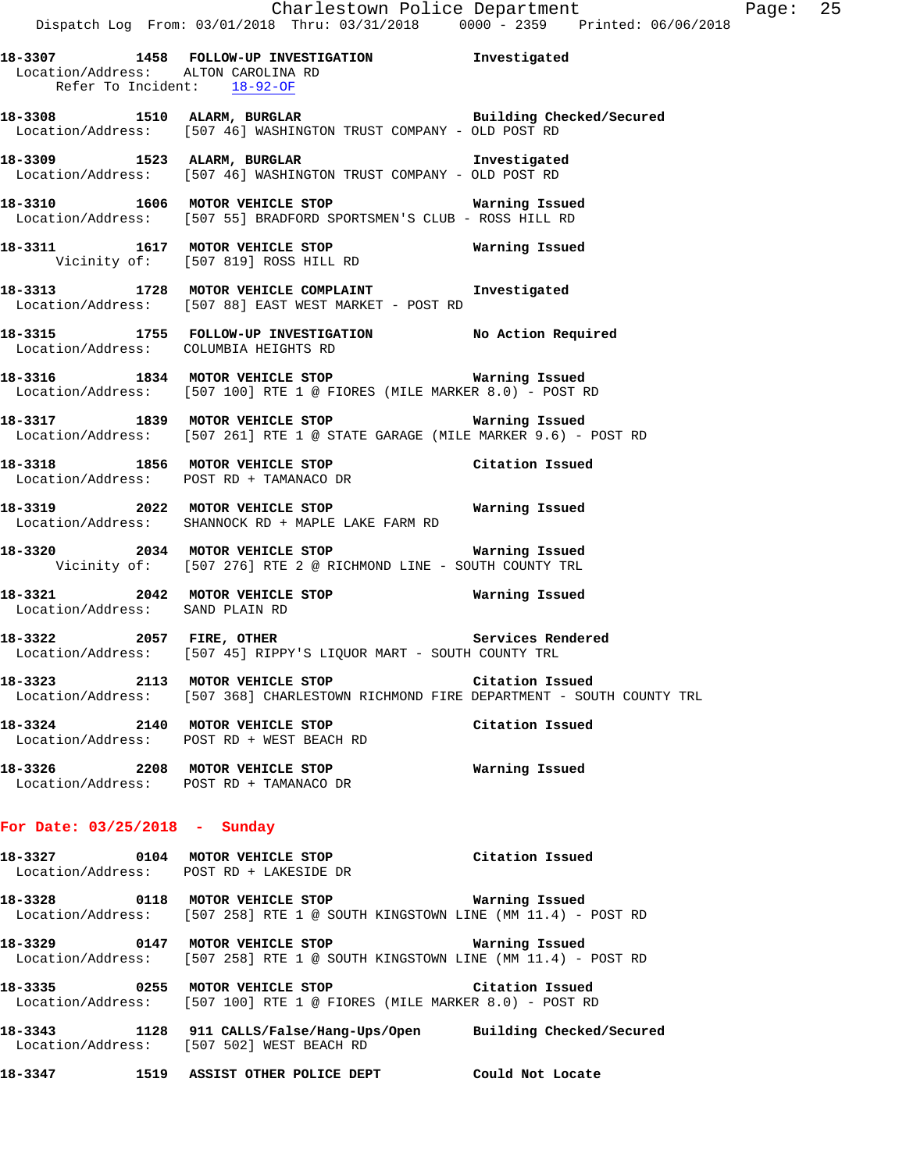**18-3307 1458 FOLLOW-UP INVESTIGATION Investigated**  Location/Address: ALTON CAROLINA RD Refer To Incident: 18-92-OF

**18-3308 1510 ALARM, BURGLAR Building Checked/Secured**  Location/Address: [507 46] WASHINGTON TRUST COMPANY - OLD POST RD

**18-3309 1523 ALARM, BURGLAR Investigated**  Location/Address: [507 46] WASHINGTON TRUST COMPANY - OLD POST RD

**18-3310 1606 MOTOR VEHICLE STOP Warning Issued**  Location/Address: [507 55] BRADFORD SPORTSMEN'S CLUB - ROSS HILL RD

**18-3311 1617 MOTOR VEHICLE STOP Warning Issued**  Vicinity of: [507 819] ROSS HILL RD

**18-3313 1728 MOTOR VEHICLE COMPLAINT Investigated**  Location/Address: [507 88] EAST WEST MARKET - POST RD

**18-3315 1755 FOLLOW-UP INVESTIGATION No Action Required**  Location/Address: COLUMBIA HEIGHTS RD

**18-3316 1834 MOTOR VEHICLE STOP Warning Issued**  Location/Address: [507 100] RTE 1 @ FIORES (MILE MARKER 8.0) - POST RD

**18-3317 1839 MOTOR VEHICLE STOP Warning Issued**  Location/Address: [507 261] RTE 1 @ STATE GARAGE (MILE MARKER 9.6) - POST RD

**18-3318 1856 MOTOR VEHICLE STOP Citation Issued**  Location/Address: POST RD + TAMANACO DR

**18-3319 2022 MOTOR VEHICLE STOP Warning Issued**  Location/Address: SHANNOCK RD + MAPLE LAKE FARM RD

**18-3320 2034 MOTOR VEHICLE STOP Warning Issued**  Vicinity of: [507 276] RTE 2 @ RICHMOND LINE - SOUTH COUNTY TRL

**18-3321 2042 MOTOR VEHICLE STOP Warning Issued**  Location/Address: SAND PLAIN RD

**18-3322 2057 FIRE, OTHER Services Rendered**  Location/Address: [507 45] RIPPY'S LIQUOR MART - SOUTH COUNTY TRL

**18-3323 2113 MOTOR VEHICLE STOP Citation Issued**  Location/Address: [507 368] CHARLESTOWN RICHMOND FIRE DEPARTMENT - SOUTH COUNTY TRL

**18-3324 2140 MOTOR VEHICLE STOP Citation Issued**  Location/Address: POST RD + WEST BEACH RD

**18-3326 2208 MOTOR VEHICLE STOP Warning Issued**  Location/Address: POST RD + TAMANACO DR

## **For Date: 03/25/2018 - Sunday**

**18-3327 0104 MOTOR VEHICLE STOP Citation Issued**  Location/Address: POST RD + LAKESIDE DR

**18-3328 0118 MOTOR VEHICLE STOP Warning Issued**  Location/Address: [507 258] RTE 1 @ SOUTH KINGSTOWN LINE (MM 11.4) - POST RD

**18-3329 0147 MOTOR VEHICLE STOP Warning Issued**  Location/Address: [507 258] RTE 1 @ SOUTH KINGSTOWN LINE (MM 11.4) - POST RD

**18-3335 0255 MOTOR VEHICLE STOP Citation Issued**  Location/Address: [507 100] RTE 1 @ FIORES (MILE MARKER 8.0) - POST RD

**18-3343 1128 911 CALLS/False/Hang-Ups/Open Building Checked/Secured**  Location/Address: [507 502] WEST BEACH RD

**18-3347 1519 ASSIST OTHER POLICE DEPT Could Not Locate**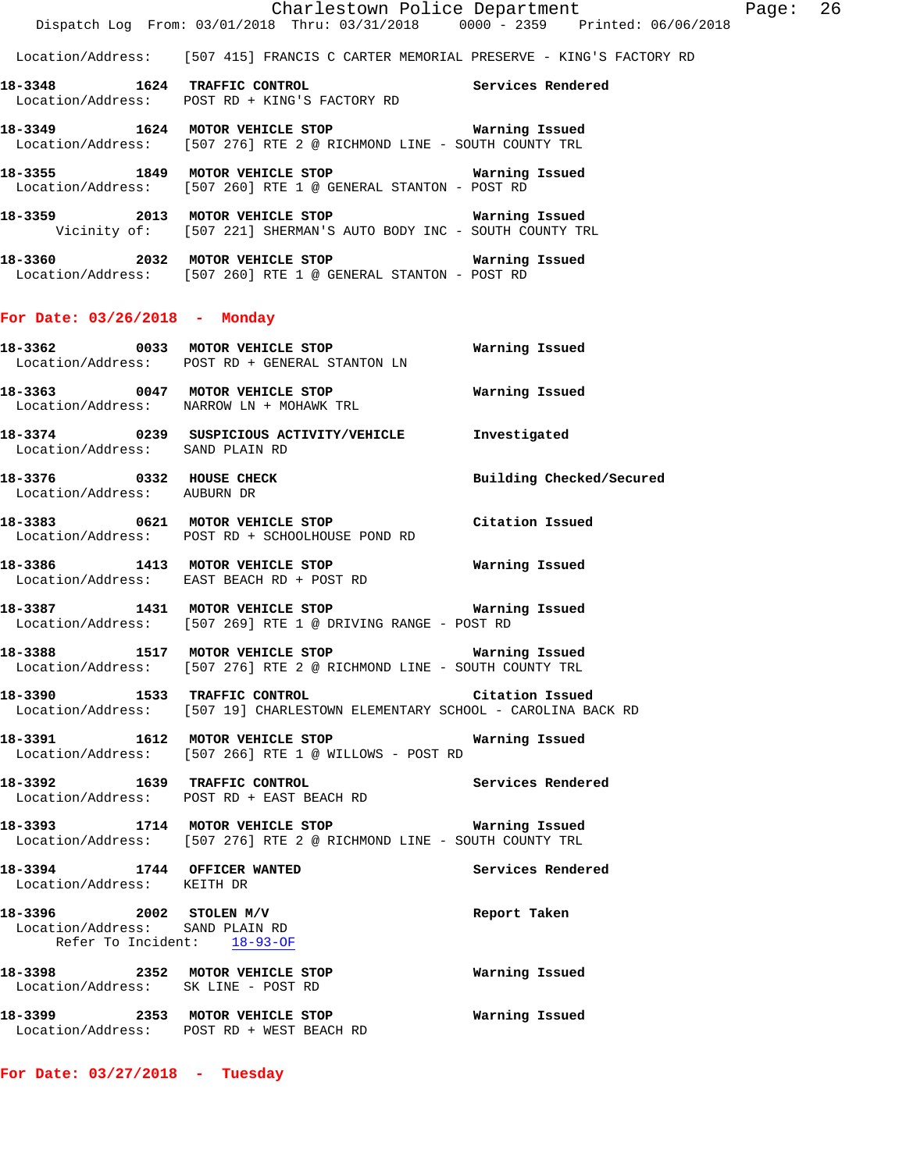Location/Address: [507 415] FRANCIS C CARTER MEMORIAL PRESERVE - KING'S FACTORY RD

- **18-3348 1624 TRAFFIC CONTROL Services Rendered**  Location/Address: POST RD + KING'S FACTORY RD
- **18-3349 1624 MOTOR VEHICLE STOP Warning Issued**  Location/Address: [507 276] RTE 2 @ RICHMOND LINE - SOUTH COUNTY TRL
- **18-3355 1849 MOTOR VEHICLE STOP Warning Issued**  Location/Address: [507 260] RTE 1 @ GENERAL STANTON - POST RD
- **18-3359 2013 MOTOR VEHICLE STOP Warning Issued**  Vicinity of: [507 221] SHERMAN'S AUTO BODY INC - SOUTH COUNTY TRL
- **18-3360 2032 MOTOR VEHICLE STOP Warning Issued**  Location/Address: [507 260] RTE 1 @ GENERAL STANTON - POST RD

## **For Date: 03/26/2018 - Monday**

- **18-3362 0033 MOTOR VEHICLE STOP Warning Issued**  Location/Address: POST RD + GENERAL STANTON LN **18-3363 0047 MOTOR VEHICLE STOP Warning Issued**  Location/Address: NARROW LN + MOHAWK TRL **18-3374 0239 SUSPICIOUS ACTIVITY/VEHICLE Investigated**  Location/Address: SAND PLAIN RD
- **18-3376 0332 HOUSE CHECK Building Checked/Secured**
- Location/Address: AUBURN DR **18-3383 0621 MOTOR VEHICLE STOP Citation Issued**
- Location/Address: POST RD + SCHOOLHOUSE POND RD
- **18-3386 1413 MOTOR VEHICLE STOP Warning Issued**  Location/Address: EAST BEACH RD + POST RD
- **18-3387 1431 MOTOR VEHICLE STOP Warning Issued**  Location/Address: [507 269] RTE 1 @ DRIVING RANGE - POST RD
- **18-3388 1517 MOTOR VEHICLE STOP Warning Issued**  Location/Address: [507 276] RTE 2 @ RICHMOND LINE - SOUTH COUNTY TRL
- **18-3390 1533 TRAFFIC CONTROL Citation Issued**  Location/Address: [507 19] CHARLESTOWN ELEMENTARY SCHOOL - CAROLINA BACK RD
- **18-3391 1612 MOTOR VEHICLE STOP Warning Issued**  Location/Address: [507 266] RTE 1 @ WILLOWS - POST RD
- **18-3392 1639 TRAFFIC CONTROL Services Rendered**  Location/Address: POST RD + EAST BEACH RD
- **18-3393 1714 MOTOR VEHICLE STOP Warning Issued**  Location/Address: [507 276] RTE 2 @ RICHMOND LINE - SOUTH COUNTY TRL
- **18-3394 1744 OFFICER WANTED Services Rendered**  Location/Address: KEITH DR
- **18-3396 2002 STOLEN M/V Report Taken**  Location/Address: SAND PLAIN RD Refer To Incident: 18-93-OF **18-3398 2352 MOTOR VEHICLE STOP Warning Issued**  Location/Address: SK LINE - POST RD
- **18-3399 2353 MOTOR VEHICLE STOP Warning Issued**  Location/Address: POST RD + WEST BEACH RD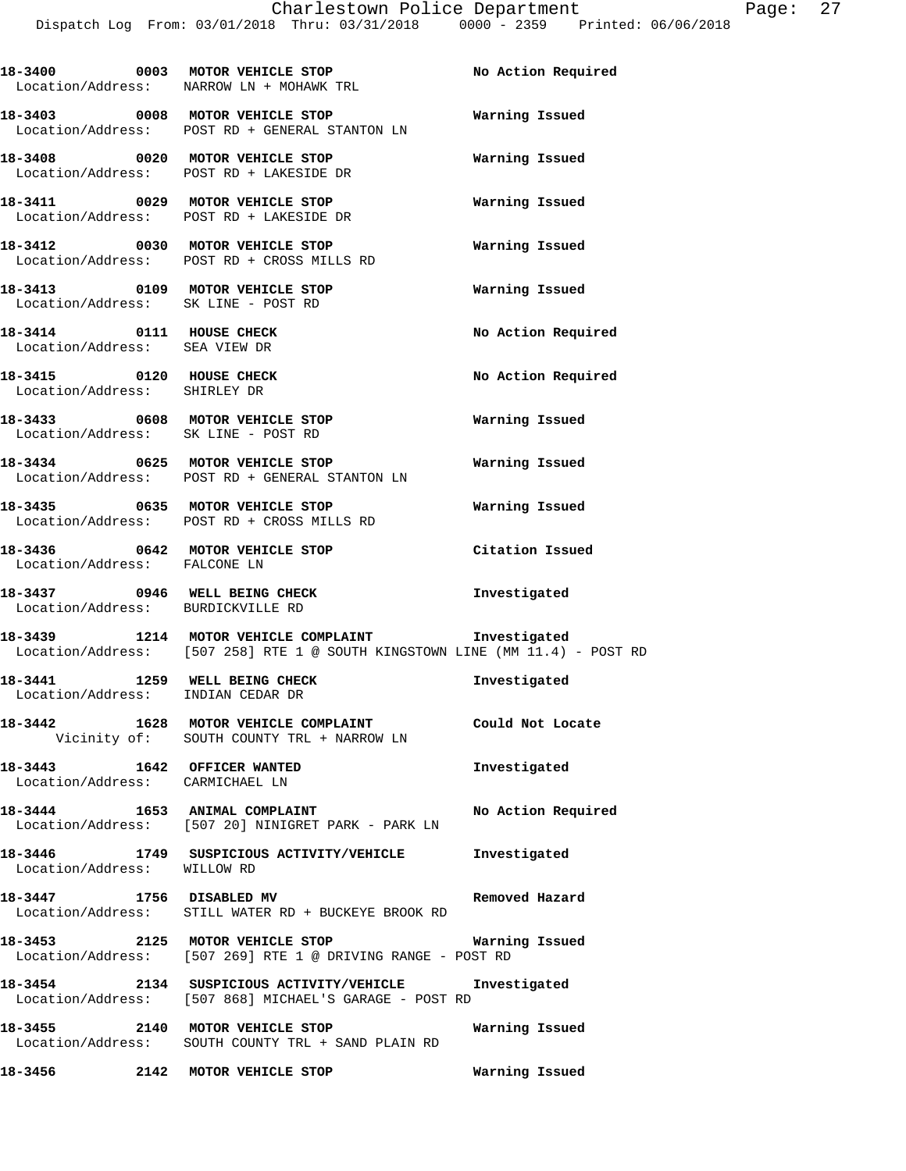|                                                                        | 18-3400 0003 MOTOR VEHICLE STOP<br>Location/Address: NARROW LN + MOHAWK TRL                                          | No Action Required |
|------------------------------------------------------------------------|----------------------------------------------------------------------------------------------------------------------|--------------------|
|                                                                        | 18-3403 0008 MOTOR VEHICLE STOP<br>Location/Address: POST RD + GENERAL STANTON LN                                    | Warning Issued     |
|                                                                        | 18-3408 0020 MOTOR VEHICLE STOP<br>Location/Address: POST RD + LAKESIDE DR                                           | Warning Issued     |
|                                                                        | 18-3411 0029 MOTOR VEHICLE STOP<br>Location/Address: POST RD + LAKESIDE DR                                           | Warning Issued     |
|                                                                        | 18-3412 0030 MOTOR VEHICLE STOP<br>Location/Address: POST RD + CROSS MILLS RD                                        | Warning Issued     |
| 18-3413 0109 MOTOR VEHICLE STOP<br>Location/Address: SK LINE - POST RD |                                                                                                                      | Warning Issued     |
| 18-3414 0111 HOUSE CHECK<br>Location/Address: SEA VIEW DR              |                                                                                                                      | No Action Required |
| 18-3415 0120 HOUSE CHECK<br>Location/Address: SHIRLEY DR               |                                                                                                                      | No Action Required |
| Location/Address: SK LINE - POST RD                                    | 18-3433 0608 MOTOR VEHICLE STOP                                                                                      | Warning Issued     |
|                                                                        | 18-3434 0625 MOTOR VEHICLE STOP<br>Location/Address: POST RD + GENERAL STANTON LN                                    | Warning Issued     |
|                                                                        | 18-3435 0635 MOTOR VEHICLE STOP<br>Location/Address: POST RD + CROSS MILLS RD                                        | Warning Issued     |
| 18-3436 0642 MOTOR VEHICLE STOP<br>Location/Address: FALCONE LN        |                                                                                                                      | Citation Issued    |
| 18-3437 0946 WELL BEING CHECK<br>Location/Address: BURDICKVILLE RD     |                                                                                                                      | Investigated       |
|                                                                        | 18-3439 1214 MOTOR VEHICLE COMPLAINT<br>Location/Address: [507 258] RTE 1 @ SOUTH KINGSTOWN LINE (MM 11.4) - POST RD | Investigated       |
| Location/Address: INDIAN CEDAR DR                                      | 18-3441 1259 WELL BEING CHECK                                                                                        | Investigated       |
|                                                                        | 18-3442 1628 MOTOR VEHICLE COMPLAINT Could Not Locate<br>Vicinity of: SOUTH COUNTY TRL + NARROW LN                   |                    |
| 18-3443 1642 OFFICER WANTED<br>Location/Address: CARMICHAEL LN         |                                                                                                                      | Investigated       |
|                                                                        | 18-3444 1653 ANIMAL COMPLAINT<br>Location/Address: [507 20] NINIGRET PARK - PARK LN                                  | No Action Required |
| Location/Address: WILLOW RD                                            | 18-3446 1749 SUSPICIOUS ACTIVITY/VEHICLE Investigated                                                                |                    |
| 18-3447 1756 DISABLED MV                                               | Location/Address: STILL WATER RD + BUCKEYE BROOK RD                                                                  | Removed Hazard     |
|                                                                        | 18-3453 2125 MOTOR VEHICLE STOP Warning Issued<br>Location/Address: [507 269] RTE 1 @ DRIVING RANGE - POST RD        |                    |
|                                                                        | 18-3454 2134 SUSPICIOUS ACTIVITY/VEHICLE Investigated<br>Location/Address: [507 868] MICHAEL'S GARAGE - POST RD      |                    |
|                                                                        | 18-3455 2140 MOTOR VEHICLE STOP Warning Issued<br>Location/Address: SOUTH COUNTY TRL + SAND PLAIN RD                 |                    |
| 18-3456 2142 MOTOR VEHICLE STOP                                        |                                                                                                                      | Warning Issued     |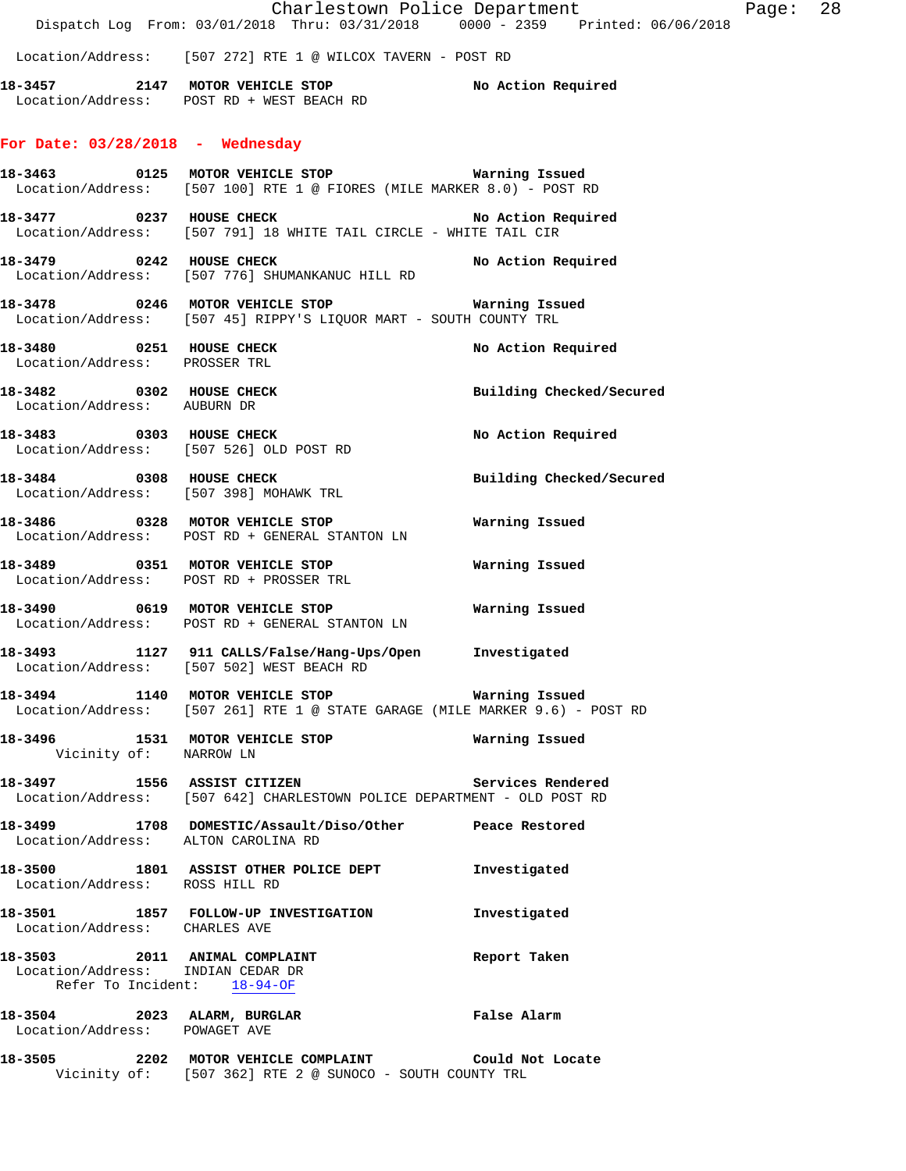|                                                                                                   | Dispatch Log From: 03/01/2018 Thru: 03/31/2018 0000 - 2359 Printed: 06/06/2018                                                | Charlestown Police Department | Page: 28 |  |
|---------------------------------------------------------------------------------------------------|-------------------------------------------------------------------------------------------------------------------------------|-------------------------------|----------|--|
|                                                                                                   | Location/Address: [507 272] RTE 1 @ WILCOX TAVERN - POST RD                                                                   |                               |          |  |
|                                                                                                   | Location/Address: POST RD + WEST BEACH RD                                                                                     |                               |          |  |
| For Date: $03/28/2018$ - Wednesday                                                                |                                                                                                                               |                               |          |  |
|                                                                                                   | Location/Address: [507 100] RTE 1 @ FIORES (MILE MARKER 8.0) - POST RD                                                        |                               |          |  |
| 18-3477 0237 HOUSE CHECK                                                                          | Location/Address: [507 791] 18 WHITE TAIL CIRCLE - WHITE TAIL CIR                                                             | No Action Required            |          |  |
|                                                                                                   | Location/Address: [507 776] SHUMANKANUC HILL RD                                                                               |                               |          |  |
|                                                                                                   | Location/Address: [507 45] RIPPY'S LIQUOR MART - SOUTH COUNTY TRL                                                             |                               |          |  |
| 18-3480 0251 HOUSE CHECK<br>Location/Address: PROSSER TRL                                         |                                                                                                                               | No Action Required            |          |  |
| Location/Address: AUBURN DR                                                                       | 18-3482 0302 HOUSE CHECK                                                                                                      | Building Checked/Secured      |          |  |
| Location/Address: [507 526] OLD POST RD                                                           | 18-3483 0303 HOUSE CHECK                                                                                                      | No Action Required            |          |  |
| Location/Address: [507 398] MOHAWK TRL                                                            | 18-3484 0308 HOUSE CHECK                                                                                                      | Building Checked/Secured      |          |  |
|                                                                                                   | 18-3486 0328 MOTOR VEHICLE STOP<br>Location/Address: POST RD + GENERAL STANTON LN                                             | Warning Issued                |          |  |
|                                                                                                   | Location/Address: POST RD + PROSSER TRL                                                                                       |                               |          |  |
|                                                                                                   | Location/Address: POST RD + GENERAL STANTON LN                                                                                |                               |          |  |
|                                                                                                   | 18-3493 1127 911 CALLS/False/Hang-Ups/Open<br>Location/Address: [507 502] WEST BEACH RD                                       | Investigated                  |          |  |
|                                                                                                   | Location/Address: [507 261] RTE 1 @ STATE GARAGE (MILE MARKER 9.6) - POST RD                                                  |                               |          |  |
| Vicinity of: NARROW LN                                                                            |                                                                                                                               |                               |          |  |
|                                                                                                   | 18-3497 1556 ASSIST CITIZEN 2007 Services Rendered<br>Location/Address: [507 642] CHARLESTOWN POLICE DEPARTMENT - OLD POST RD |                               |          |  |
| Location/Address: ALTON CAROLINA RD                                                               | 18-3499 1708 DOMESTIC/Assault/Diso/Other Peace Restored                                                                       |                               |          |  |
| Location/Address: ROSS HILL RD                                                                    | 18-3500 1801 ASSIST OTHER POLICE DEPT                                                                                         | Investigated                  |          |  |
| Location/Address: CHARLES AVE                                                                     | 18-3501 1857 FOLLOW-UP INVESTIGATION                                                                                          | Investigated                  |          |  |
| 18-3503 2011 ANIMAL COMPLAINT<br>Location/Address: INDIAN CEDAR DR<br>Refer To Incident: 18-94-OF |                                                                                                                               | Report Taken                  |          |  |
| 18-3504 2023 ALARM, BURGLAR<br>Location/Address: POWAGET AVE                                      |                                                                                                                               | False Alarm                   |          |  |
|                                                                                                   | 18-3505 2202 MOTOR VEHICLE COMPLAINT                                                                                          | Could Not Locate              |          |  |

Vicinity of: [507 362] RTE 2 @ SUNOCO - SOUTH COUNTY TRL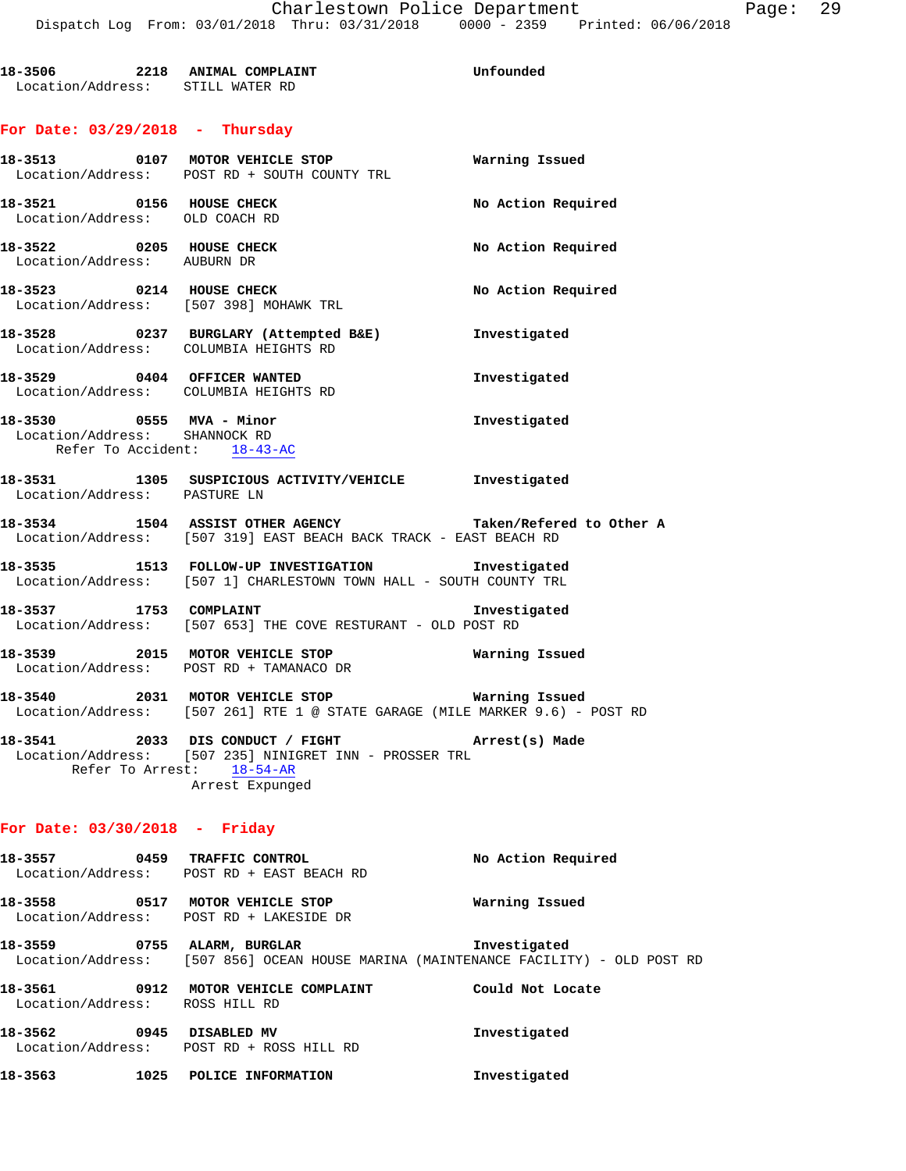# **For Date: 03/29/2018 - Thursday**

|                                                                                          | 18-3513 0107 MOTOR VEHICLE STOP<br>Location/Address: POST RD + SOUTH COUNTY TRL                                                                           | Warning Issued     |  |  |  |  |
|------------------------------------------------------------------------------------------|-----------------------------------------------------------------------------------------------------------------------------------------------------------|--------------------|--|--|--|--|
| 18-3521 0156 HOUSE CHECK<br>Location/Address: OLD COACH RD                               |                                                                                                                                                           | No Action Required |  |  |  |  |
| 18-3522 0205 HOUSE CHECK<br>Location/Address: AUBURN DR                                  |                                                                                                                                                           | No Action Required |  |  |  |  |
| 18-3523 0214 HOUSE CHECK                                                                 | Location/Address: [507 398] MOHAWK TRL                                                                                                                    | No Action Required |  |  |  |  |
| Location/Address: COLUMBIA HEIGHTS RD                                                    | 18-3528 0237 BURGLARY (Attempted B&E) Investigated                                                                                                        |                    |  |  |  |  |
| 18-3529 0404 OFFICER WANTED<br>Location/Address: COLUMBIA HEIGHTS RD                     |                                                                                                                                                           | Investigated       |  |  |  |  |
| 18-3530 0555 MVA - Minor<br>Location/Address: SHANNOCK RD<br>Refer To Accident: 18-43-AC |                                                                                                                                                           | Investigated       |  |  |  |  |
| Location/Address: PASTURE LN                                                             | 18-3531 1305 SUSPICIOUS ACTIVITY/VEHICLE 1nvestigated                                                                                                     |                    |  |  |  |  |
|                                                                                          | 18-3534 1504 ASSIST OTHER AGENCY Taken/Refered to Other A<br>Location/Address: [507 319] EAST BEACH BACK TRACK - EAST BEACH RD                            |                    |  |  |  |  |
|                                                                                          | 18-3535 1513 FOLLOW-UP INVESTIGATION 1nvestigated<br>Location/Address: [507 1] CHARLESTOWN TOWN HALL - SOUTH COUNTY TRL                                   |                    |  |  |  |  |
| 18-3537 1753 COMPLAINT                                                                   | Location/Address: [507 653] THE COVE RESTURANT - OLD POST RD                                                                                              | Investigated       |  |  |  |  |
|                                                                                          | 18-3539 2015 MOTOR VEHICLE STOP <b>18-3539</b> Warning Issued<br>Location/Address: POST RD + TAMANACO DR                                                  |                    |  |  |  |  |
|                                                                                          | 18-3540 2031 MOTOR VEHICLE STOP <b>Warning Issued</b><br>Location/Address: [507 261] RTE 1 @ STATE GARAGE (MILE MARKER 9.6) - POST RD                     |                    |  |  |  |  |
|                                                                                          | 18-3541 2033 DIS CONDUCT / FIGHT Arrest(s) Made<br>Location/Address: [507 235] NINIGRET INN - PROSSER TRL<br>Refer To Arrest: 18-54-AR<br>Arrest Expunged |                    |  |  |  |  |
| For Date: $03/30/2018$ - Friday                                                          |                                                                                                                                                           |                    |  |  |  |  |
|                                                                                          | 18-3557 0459 TRAFFIC CONTROL<br>Location/Address: POST RD + EAST BEACH RD                                                                                 | No Action Required |  |  |  |  |
|                                                                                          | 18-3558 0517 MOTOR VEHICLE STOP<br>Location/Address: POST RD + LAKESIDE DR                                                                                | Warning Issued     |  |  |  |  |
|                                                                                          | 18-3559 0755 ALARM, BURGLAR<br>Location/Address: [507 856] OCEAN HOUSE MARINA (MAINTENANCE FACILITY) - OLD POST RD                                        | Investigated       |  |  |  |  |
| Location/Address: ROSS HILL RD                                                           | 18-3561 0912 MOTOR VEHICLE COMPLAINT Could Not Locate                                                                                                     |                    |  |  |  |  |
| 18-3562 0945 DISABLED MV                                                                 | Location/Address: POST RD + ROSS HILL RD                                                                                                                  | Investigated       |  |  |  |  |
| 18-3563 1025 POLICE INFORMATION                                                          |                                                                                                                                                           | Investigated       |  |  |  |  |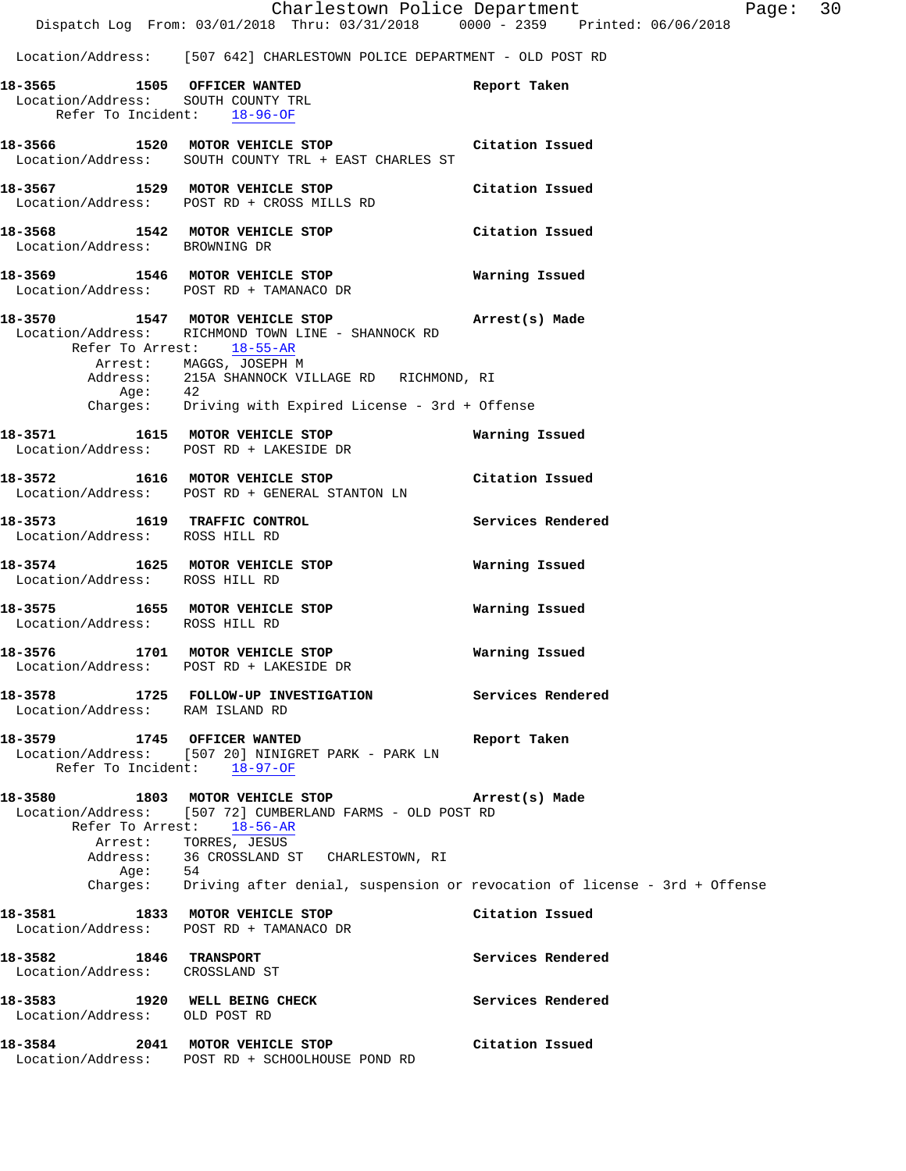Location/Address: [507 642] CHARLESTOWN POLICE DEPARTMENT - OLD POST RD

|                                                          |         | 18-3565 1505 OFFICER WANTED                                                            | Report Taken                                                                       |
|----------------------------------------------------------|---------|----------------------------------------------------------------------------------------|------------------------------------------------------------------------------------|
|                                                          |         | Location/Address: SOUTH COUNTY TRL                                                     |                                                                                    |
|                                                          |         | Refer To Incident: 18-96-OF                                                            |                                                                                    |
|                                                          |         | 18-3566 1520 MOTOR VEHICLE STOP Citation Issued                                        |                                                                                    |
|                                                          |         | Location/Address: SOUTH COUNTY TRL + EAST CHARLES ST                                   |                                                                                    |
|                                                          |         |                                                                                        |                                                                                    |
|                                                          |         | 18-3567 1529 MOTOR VEHICLE STOP<br>Location/Address: POST RD + CROSS MILLS RD          | Citation Issued                                                                    |
|                                                          |         |                                                                                        |                                                                                    |
|                                                          |         | 18-3568 1542 MOTOR VEHICLE STOP Citation Issued                                        |                                                                                    |
| Location/Address: BROWNING DR                            |         |                                                                                        |                                                                                    |
|                                                          |         |                                                                                        | Warning Issued                                                                     |
|                                                          |         | 18-3569 1546 MOTOR VEHICLE STOP<br>Location/Address: POST RD + TAMANACO DR             |                                                                                    |
|                                                          |         |                                                                                        |                                                                                    |
|                                                          |         | 18-3570 1547 MOTOR VEHICLE STOP 18-3570 Arrest(s) Made                                 |                                                                                    |
| Refer To Arrest: 18-55-AR                                |         | Location/Address: RICHMOND TOWN LINE - SHANNOCK RD                                     |                                                                                    |
|                                                          |         |                                                                                        |                                                                                    |
|                                                          |         | Arrest: MAGGS, JOSEPH M<br>Address: 215A SHANNOCK VILLAGE RD RICHMOND, RI              |                                                                                    |
|                                                          | Age: 42 |                                                                                        |                                                                                    |
|                                                          |         | Charges: Driving with Expired License - 3rd + Offense                                  |                                                                                    |
|                                                          |         |                                                                                        | Warning Issued                                                                     |
|                                                          |         | 18-3571 1615 MOTOR VEHICLE STOP<br>Location/Address: POST RD + LAKESIDE DR             |                                                                                    |
|                                                          |         |                                                                                        |                                                                                    |
|                                                          |         | 18-3572 1616 MOTOR VEHICLE STOP<br>Location/Address: POST RD + GENERAL STANTON LN      | Citation Issued                                                                    |
|                                                          |         |                                                                                        |                                                                                    |
|                                                          |         | 18-3573 1619 TRAFFIC CONTROL<br>Location/Address: ROSS HILL RD                         | Services Rendered                                                                  |
|                                                          |         |                                                                                        |                                                                                    |
|                                                          |         | 18-3574 1625 MOTOR VEHICLE STOP                                                        | Warning Issued                                                                     |
| Location/Address: ROSS HILL RD                           |         |                                                                                        |                                                                                    |
|                                                          |         |                                                                                        |                                                                                    |
| Location/Address: ROSS HILL RD                           |         | 18-3575 1655 MOTOR VEHICLE STOP                                                        | Warning Issued                                                                     |
|                                                          |         |                                                                                        |                                                                                    |
|                                                          |         | 18-3576 1701 MOTOR VEHICLE STOP                                                        | Warning Issued                                                                     |
|                                                          |         | Location/Address: POST RD + LAKESIDE DR                                                |                                                                                    |
|                                                          |         | 18-3578 1725 FOLLOW-UP INVESTIGATION Services Rendered                                 |                                                                                    |
| Location/Address: RAM ISLAND RD                          |         |                                                                                        |                                                                                    |
|                                                          |         |                                                                                        |                                                                                    |
| 18-3579 1745 OFFICER WANTED                              |         | Location/Address: [507 20] NINIGRET PARK - PARK LN                                     | Report Taken                                                                       |
|                                                          |         | Refer To Incident: 18-97-OF                                                            |                                                                                    |
|                                                          |         |                                                                                        |                                                                                    |
| 18-3580                                                  |         | 1803 MOTOR VEHICLE STOP                                                                | Arrest(s) Made                                                                     |
|                                                          |         | Location/Address: [507 72] CUMBERLAND FARMS - OLD POST RD<br>Refer To Arrest: 18-56-AR |                                                                                    |
|                                                          |         |                                                                                        |                                                                                    |
|                                                          |         | Arrest: TORRES, JESUS<br>Address: 36 CROSSLAND ST CHARLESTOWN, RI                      |                                                                                    |
|                                                          | Age: 54 |                                                                                        |                                                                                    |
|                                                          |         |                                                                                        | Charges: Driving after denial, suspension or revocation of license - 3rd + Offense |
| 18–3581                                                  |         | 1833 MOTOR VEHICLE STOP                                                                | Citation Issued                                                                    |
|                                                          |         | Location/Address: POST RD + TAMANACO DR                                                |                                                                                    |
|                                                          |         |                                                                                        |                                                                                    |
| 18-3582 1846 TRANSPORT<br>Location/Address: CROSSLAND ST |         |                                                                                        | Services Rendered                                                                  |
|                                                          |         |                                                                                        |                                                                                    |
|                                                          |         | 18-3583 1920 WELL BEING CHECK                                                          | Services Rendered                                                                  |
| Location/Address: OLD POST RD                            |         |                                                                                        |                                                                                    |
|                                                          |         | 18-3584 2041 MOTOR VEHICLE STOP                                                        | Citation Issued                                                                    |
|                                                          |         | Location/Address: POST RD + SCHOOLHOUSE POND RD                                        |                                                                                    |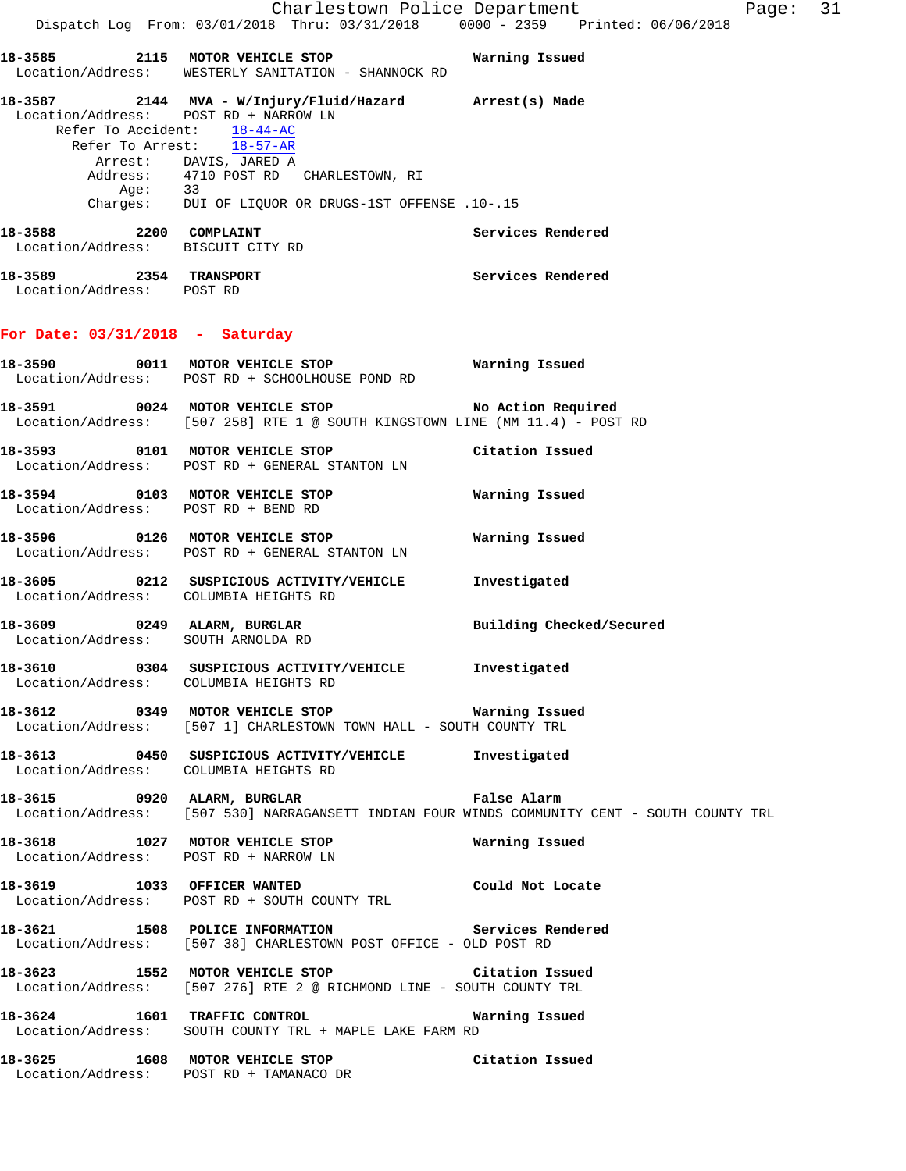Charlestown Police Department Fage: 31 Dispatch Log From: 03/01/2018 Thru: 03/31/2018 0000 - 2359 Printed: 06/06/2018 **18-3585 2115 MOTOR VEHICLE STOP Warning Issued**  Location/Address: WESTERLY SANITATION - SHANNOCK RD **18-3587 2144 MVA - W/Injury/Fluid/Hazard Arrest(s) Made**  Location/Address: POST RD + NARROW LN Refer To Accident: 18-44-AC Refer To Arrest: 18-57-AR Arrest: DAVIS, JARED A Address: 4710 POST RD CHARLESTOWN, RI Age: 33 Charges: DUI OF LIQUOR OR DRUGS-1ST OFFENSE .10-.15 18-3588 2200 COMPLAINT **Services Rendered**  Location/Address: BISCUIT CITY RD **18-3589 2354 TRANSPORT Services Rendered**  Location/Address: POST RD **For Date: 03/31/2018 - Saturday 18-3590 0011 MOTOR VEHICLE STOP Warning Issued**  Location/Address: POST RD + SCHOOLHOUSE POND RD **18-3591 0024 MOTOR VEHICLE STOP No Action Required**  Location/Address: [507 258] RTE 1 @ SOUTH KINGSTOWN LINE (MM 11.4) - POST RD **18-3593 0101 MOTOR VEHICLE STOP Citation Issued**  Location/Address: POST RD + GENERAL STANTON LN **18-3594 0103 MOTOR VEHICLE STOP Warning Issued**  Location/Address: POST RD + BEND RD **18-3596 0126 MOTOR VEHICLE STOP Warning Issued**  Location/Address: POST RD + GENERAL STANTON LN **18-3605 0212 SUSPICIOUS ACTIVITY/VEHICLE Investigated**  Location/Address: COLUMBIA HEIGHTS RD **18-3609 0249 ALARM, BURGLAR Building Checked/Secured**  Location/Address: SOUTH ARNOLDA RD **18-3610 0304 SUSPICIOUS ACTIVITY/VEHICLE Investigated**  Location/Address: COLUMBIA HEIGHTS RD **18-3612 0349 MOTOR VEHICLE STOP Warning Issued**  Location/Address: [507 1] CHARLESTOWN TOWN HALL - SOUTH COUNTY TRL **18-3613 0450 SUSPICIOUS ACTIVITY/VEHICLE Investigated**  Location/Address: COLUMBIA HEIGHTS RD **18-3615 0920 ALARM, BURGLAR False Alarm**  Location/Address: [507 530] NARRAGANSETT INDIAN FOUR WINDS COMMUNITY CENT - SOUTH COUNTY TRL **18-3618 1027 MOTOR VEHICLE STOP Warning Issued**  Location/Address: POST RD + NARROW LN **18-3619 1033 OFFICER WANTED Could Not Locate**  Location/Address: POST RD + SOUTH COUNTY TRL **18-3621 1508 POLICE INFORMATION Services Rendered**  Location/Address: [507 38] CHARLESTOWN POST OFFICE - OLD POST RD **18-3623 1552 MOTOR VEHICLE STOP Citation Issued**  Location/Address: [507 276] RTE 2 @ RICHMOND LINE - SOUTH COUNTY TRL **18-3624 1601 TRAFFIC CONTROL Warning Issued**  Location/Address: SOUTH COUNTY TRL + MAPLE LAKE FARM RD **18-3625 1608 MOTOR VEHICLE STOP Citation Issued** 

Location/Address: POST RD + TAMANACO DR